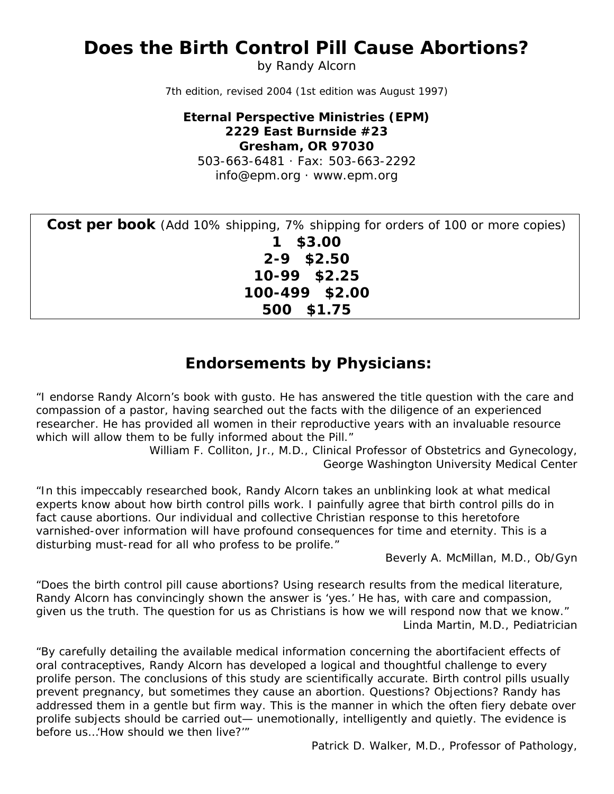## **Does the Birth Control Pill Cause Abortions?**

by Randy Alcorn

*7th edition, revised 2004 (1st edition was August 1997)* 

#### **Eternal Perspective Ministries (EPM) 2229 East Burnside #23 Gresham, OR 97030**

503-663-6481 · Fax: 503-663-2292 info@epm.org · [www.epm.org](http://www.epm.org/)

**Cost per book** *(Add 10% shipping, 7% shipping for orders of 100 or more copies)* **1 \$3.00 2-9 \$2.50 10-99 \$2.25 100-499 \$2.00 500 \$1.75** 

### **Endorsements by Physicians:**

"I endorse Randy Alcorn's book with gusto. He has answered the title question with the care and compassion of a pastor, having searched out the facts with the diligence of an experienced researcher. He has provided all women in their reproductive years with an invaluable resource which will allow them to be fully informed about the Pill."

> William F. Colliton, Jr., M.D., Clinical Professor of Obstetrics and Gynecology, George Washington University Medical Center

"In this impeccably researched book, Randy Alcorn takes an unblinking look at what medical experts know about how birth control pills work. I painfully agree that birth control pills do in fact cause abortions. Our individual and collective Christian response to this heretofore varnished-over information will have profound consequences for time and eternity. This is a disturbing must-read for all who profess to be prolife."

Beverly A. McMillan, M.D., Ob/Gyn

"Does the birth control pill cause abortions? Using research results from the medical literature, Randy Alcorn has convincingly shown the answer is 'yes.' He has, with care and compassion, given us the truth. The question for us as Christians is how we will respond now that we know." Linda Martin, M.D., Pediatrician

"By carefully detailing the available medical information concerning the abortifacient effects of oral contraceptives, Randy Alcorn has developed a logical and thoughtful challenge to every prolife person. The conclusions of this study are scientifically accurate. Birth control pills usually prevent pregnancy, but sometimes they cause an abortion. Questions? Objections? Randy has addressed them in a gentle but firm way. This is the manner in which the often fiery debate over prolife subjects should be carried out— unemotionally, intelligently and quietly. The evidence is before us…'How should we then live?'"

Patrick D. Walker, M.D., Professor of Pathology,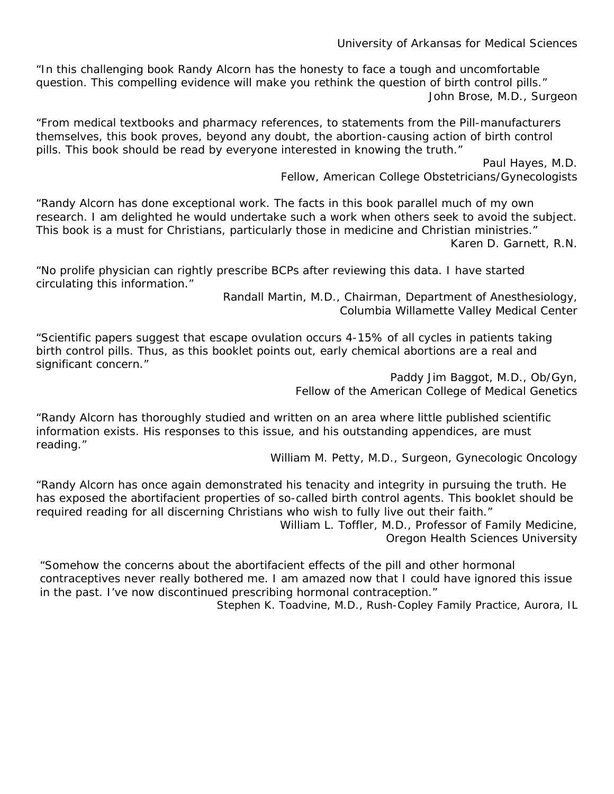#### University of Arkansas for Medical Sciences

"In this challenging book Randy Alcorn has the honesty to face a tough and uncomfortable question. This compelling evidence will make you rethink the question of birth control pills." John Brose, M.D., Surgeon

"From medical textbooks and pharmacy references, to statements from the Pill-manufacturers themselves, this book proves, beyond any doubt, the abortion-causing action of birth control pills. This book should be read by everyone interested in knowing the truth."

> Paul Hayes, M.D. Fellow, American College Obstetricians/Gynecologists

"Randy Alcorn has done exceptional work. The facts in this book parallel much of my own research. I am delighted he would undertake such a work when others seek to avoid the subject. This book is a must for Christians, particularly those in medicine and Christian ministries." Karen D. Garnett, R.N.

"No prolife physician can rightly prescribe BCPs after reviewing this data. I have started circulating this information."

> Randall Martin, M.D., Chairman, Department of Anesthesiology, Columbia Willamette Valley Medical Center

"Scientific papers suggest that escape ovulation occurs 4-15% of all cycles in patients taking birth control pills. Thus, as this booklet points out, early chemical abortions are a real and significant concern."

> Paddy Jim Baggot, M.D., Ob/Gyn, Fellow of the American College of Medical Genetics

"Randy Alcorn has thoroughly studied and written on an area where little published scientific information exists. His responses to this issue, and his outstanding appendices, are must reading."

William M. Petty, M.D., Surgeon, Gynecologic Oncology

"Randy Alcorn has once again demonstrated his tenacity and integrity in pursuing the truth. He has exposed the abortifacient properties of so-called birth control agents. This booklet should be required reading for all discerning Christians who wish to fully live out their faith."

William L. Toffler, M.D., Professor of Family Medicine, Oregon Health Sciences University

"Somehow the concerns about the abortifacient effects of the pill and other hormonal contraceptives never really bothered me. I am amazed now that I could have ignored this issue in the past. I've now discontinued prescribing hormonal contraception."

Stephen K. Toadvine, M.D., Rush-Copley Family Practice, Aurora, IL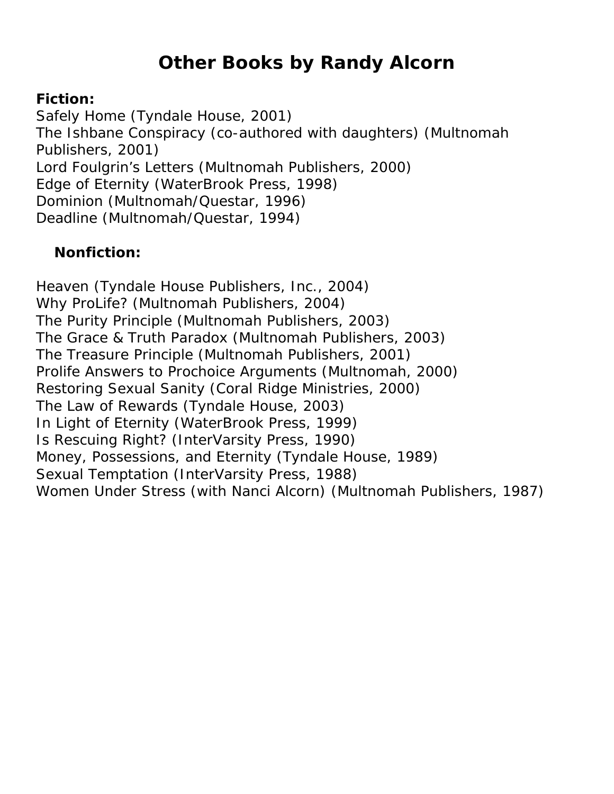# **Other Books by Randy Alcorn**

### **Fiction:**

*Safely Home* (Tyndale House, 2001) *The Ishbane Conspiracy (co-authored with daughters)* (Multnomah Publishers, 2001) *Lord Foulgrin's Letters* (Multnomah Publishers, 2000) *Edge of Eternity* (WaterBrook Press, 1998) *Dominion* (Multnomah/Questar, 1996) *Deadline* (Multnomah/Questar, 1994)

### **Nonfiction:**

*Heaven* (Tyndale House Publishers, Inc., 2004) *Why ProLife?* (Multnomah Publishers, 2004) *The Purity Principle* (Multnomah Publishers, 2003) *The Grace & Truth Paradox* (Multnomah Publishers, 2003) *The Treasure Principle* (Multnomah Publishers, 2001) *Prolife Answers to Prochoice Arguments* (Multnomah, 2000) *Restoring Sexual Sanity* (Coral Ridge Ministries, 2000) *The Law of Rewards* (Tyndale House, 2003) *In Light of Eternity* (WaterBrook Press, 1999) *Is Rescuing Right?* (InterVarsity Press, 1990) *Money, Possessions, and Eternity* (Tyndale House, 1989) *Sexual Temptation* (InterVarsity Press, 1988) *Women Under Stress (with Nanci Alcorn)* (Multnomah Publishers, 1987)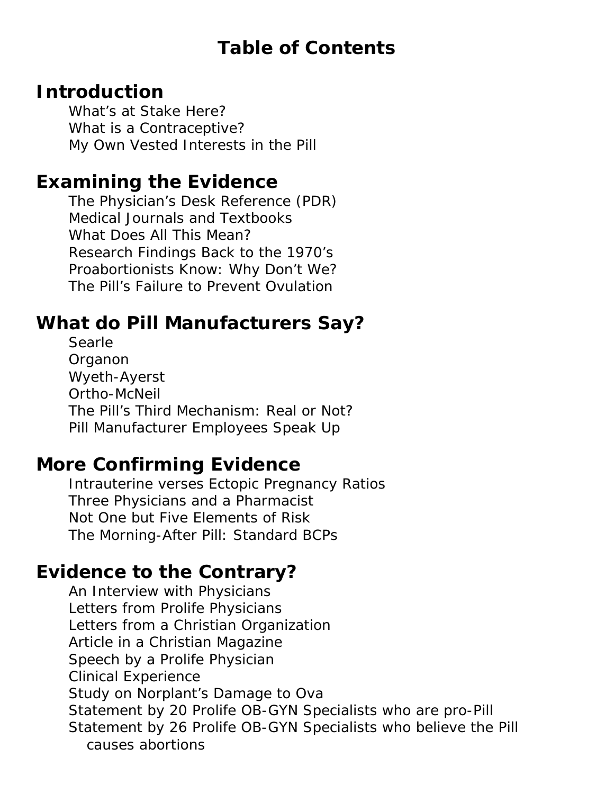# **Table of Contents**

## **Introduction**

What's at Stake Here? What is a Contraceptive? My Own Vested Interests in the Pill

## **Examining the Evidence**

The Physician's Desk Reference (PDR) Medical Journals and Textbooks What Does All This Mean? Research Findings Back to the 1970's Proabortionists Know: Why Don't We? The Pill's Failure to Prevent Ovulation

# **What do Pill Manufacturers Say?**

Searle **Organon** Wyeth-Ayerst Ortho-McNeil The Pill's Third Mechanism: Real or Not? Pill Manufacturer Employees Speak Up

# **More Confirming Evidence**

Intrauterine verses Ectopic Pregnancy Ratios Three Physicians and a Pharmacist Not One but Five Elements of Risk The Morning-After Pill: Standard BCPs

# **Evidence to the Contrary?**

An Interview with Physicians Letters from Prolife Physicians Letters from a Christian Organization Article in a Christian Magazine Speech by a Prolife Physician Clinical Experience Study on Norplant's Damage to Ova Statement by 20 Prolife OB-GYN Specialists who are pro-Pill Statement by 26 Prolife OB-GYN Specialists who believe the Pill causes abortions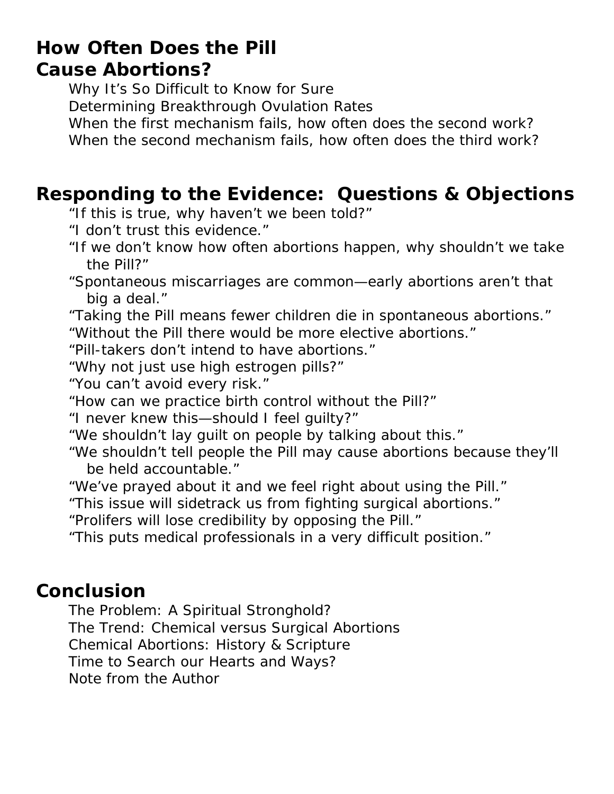# **How Often Does the Pill Cause Abortions?**

Why It's So Difficult to Know for Sure Determining Breakthrough Ovulation Rates When the first mechanism fails, how often does the second work? When the second mechanism fails, how often does the third work?

## **Responding to the Evidence: Questions & Objections**

"If this is true, why haven't we been told?"

- "I don't trust this evidence."
- "If we don't know how often abortions happen, why *shouldn't* we take the Pill?"
- "Spontaneous miscarriages are common—early abortions aren't that big a deal."
- "Taking the Pill means fewer children die in spontaneous abortions."
- "Without the Pill there would be more elective abortions."

"Pill-takers don't intend to have abortions."

"Why not just use high estrogen pills?"

"You can't avoid every risk."

"How can we practice birth control without the Pill?"

- "I never knew this—should I feel guilty?"
- "We shouldn't lay guilt on people by talking about this."
- "We shouldn't tell people the Pill may cause abortions because they'll be held accountable."
- "We've prayed about it and we feel right about using the Pill."
- "This issue will sidetrack us from fighting surgical abortions."
- "Prolifers will lose credibility by opposing the Pill."

"This puts medical professionals in a very difficult position."

## **Conclusion**

The Problem: A Spiritual Stronghold? The Trend: Chemical versus Surgical Abortions Chemical Abortions: History & Scripture Time to Search our Hearts and Ways? Note from the Author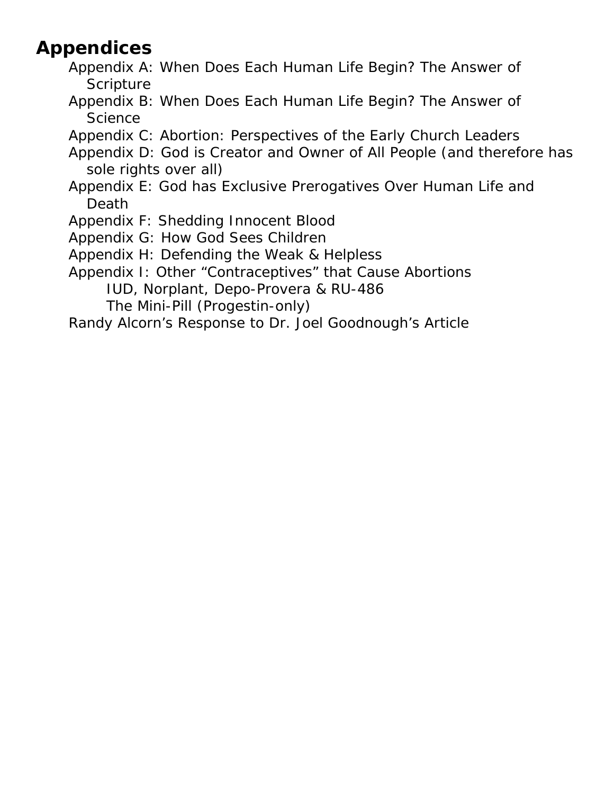# **Appendices**

- Appendix A: When Does Each Human Life Begin? The Answer of **Scripture**
- Appendix B: When Does Each Human Life Begin? The Answer of **Science**
- Appendix C: Abortion: Perspectives of the Early Church Leaders
- Appendix D: God is Creator and Owner of All People (and therefore has sole rights over all)
- Appendix E: God has Exclusive Prerogatives Over Human Life and Death
- Appendix F: Shedding Innocent Blood
- Appendix G: How God Sees Children
- Appendix H: Defending the Weak & Helpless
- Appendix I: Other "Contraceptives" that Cause Abortions IUD, Norplant, Depo-Provera & RU-486 The Mini-Pill (Progestin-only)
- Randy Alcorn's Response to Dr. Joel Goodnough's Article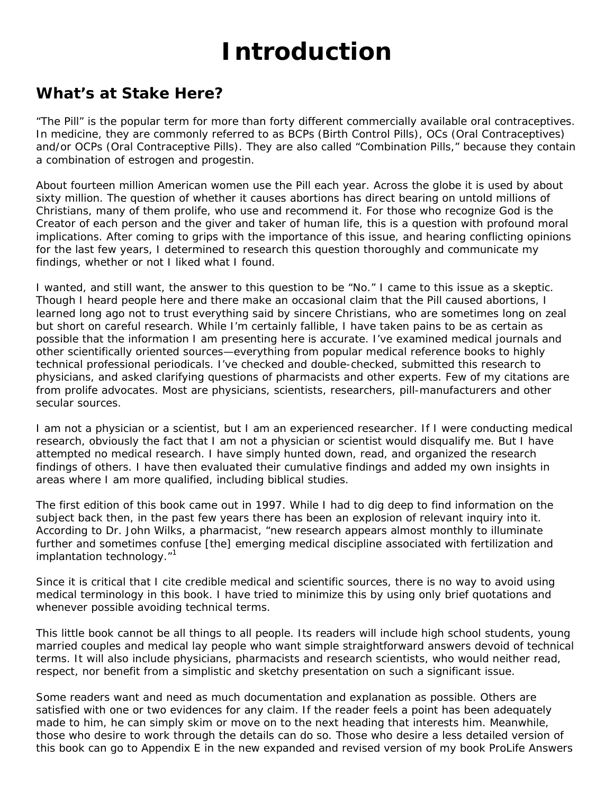# **Introduction**

### **What's at Stake Here?**

"The Pill" is the popular term for more than forty different commercially available oral contraceptives. In medicine, they are commonly referred to as BCPs (Birth Control Pills), OCs (Oral Contraceptives) and/or OCPs (Oral Contraceptive Pills). They are also called "Combination Pills," because they contain a combination of estrogen and progestin.

About fourteen million American women use the Pill each year. Across the globe it is used by about sixty million. The question of whether it causes abortions has direct bearing on untold millions of Christians, many of them prolife, who use and recommend it. For those who recognize God is the Creator of each person and the giver and taker of human life, this is a question with profound moral implications. After coming to grips with the importance of this issue, and hearing conflicting opinions for the last few years, I determined to research this question thoroughly and communicate my findings, whether or not I liked what I found.

I wanted, and still want, the answer to this question to be "No." I came to this issue as a skeptic. Though I heard people here and there make an occasional claim that the Pill caused abortions, I learned long ago not to trust everything said by sincere Christians, who are sometimes long on zeal but short on careful research. While I'm certainly fallible, I have taken pains to be as certain as possible that the information I am presenting here is accurate. I've examined medical journals and other scientifically oriented sources—everything from popular medical reference books to highly technical professional periodicals. I've checked and double-checked, submitted this research to physicians, and asked clarifying questions of pharmacists and other experts. Few of my citations are from prolife advocates. Most are physicians, scientists, researchers, pill-manufacturers and other secular sources.

I am not a physician or a scientist, but I am an experienced researcher. If I were conducting medical research, obviously the fact that I am not a physician or scientist would disqualify me. But I have attempted no medical research. I have simply hunted down, read, and organized the research findings of others. I have then evaluated their cumulative findings and added my own insights in areas where I am more qualified, including biblical studies.

The first edition of this book came out in 1997. While I had to dig deep to find information on the subject back then, in the past few years there has been an explosion of relevant inquiry into it. According to Dr. John Wilks, a pharmacist, "new research appears almost monthly to illuminate further and sometimes confuse [the] emerging medical discipline associated with fertilization and implantation technology."<sup>1</sup>

Since it is critical that I cite credible medical and scientific sources, there is no way to avoid using medical terminology in this book. I have tried to minimize this by using only brief quotations and whenever possible avoiding technical terms.

This little book cannot be all things to all people. Its readers will include high school students, young married couples and medical lay people who want simple straightforward answers devoid of technical terms. It will also include physicians, pharmacists and research scientists, who would neither read, respect, nor benefit from a simplistic and sketchy presentation on such a significant issue.

Some readers want and need as much documentation and explanation as possible. Others are satisfied with one or two evidences for any claim. If the reader feels a point has been adequately made to him, he can simply skim or move on to the next heading that interests him. Meanwhile, those who desire to work through the details can do so. Those who desire a less detailed version of this book can go to Appendix E in the new expanded and revised version of my book *ProLife Answers*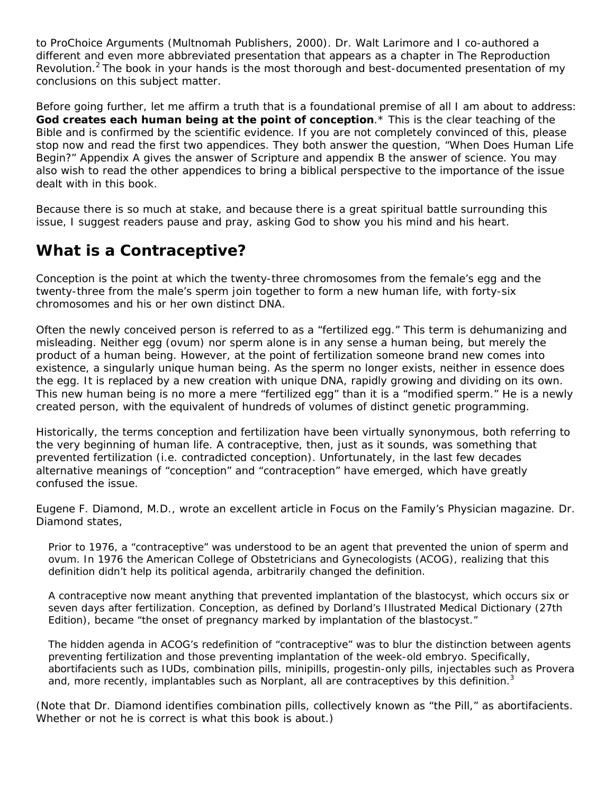*to ProChoice Arguments* (Multnomah Publishers, 2000). Dr. Walt Larimore and I co-authored a different and even more abbreviated presentation that appears as a chapter in *The Reproduction Revolution*. [2](#page-88-1) The book in your hands is the most thorough and best-documented presentation of my conclusions on this subject matter.

Before going further, let me affirm a truth that is a foundational premise of all I am about to address: *God creates each human being at the point of conception*.\* This is the clear teaching of the Bible and is confirmed by the scientific evidence. If you are not *completely* convinced of this, please stop now and read the first two appendices. They both answer the question, "When Does Human Life Begin?" Appendix A gives the answer of Scripture and appendix B the answer of science. You may also wish to read the other appendices to bring a biblical perspective to the importance of the issue dealt with in this book.

Because there is so much at stake, and because there is a great spiritual battle surrounding this issue, I suggest readers pause and pray, asking God to show you his mind and his heart.

### **What is a Contraceptive?**

Conception is the point at which the twenty-three chromosomes from the female's egg and the twenty-three from the male's sperm join together to form a new human life, with forty-six chromosomes and his or her own distinct DNA.

Often the newly conceived person is referred to as a "fertilized egg." This term is dehumanizing and misleading. Neither egg (ovum) nor sperm alone is in any sense a human being, but merely the product of a human being. However, at the point of fertilization someone brand new comes into existence, a singularly unique human being. As the sperm no longer exists, neither in essence does the egg. It is replaced by a new creation with unique DNA, rapidly growing and dividing on its own. This new human being is no more a mere "fertilized egg" than it is a "modified sperm." He is a newly created person, with the equivalent of hundreds of volumes of distinct genetic programming.

Historically, the terms conception and fertilization have been virtually synonymous, both referring to the very beginning of human life. A contraceptive, then, just as it sounds, was something that prevented fertilization (i.e. *contra*dicted *concept*ion). Unfortunately, in the last few decades alternative meanings of "conception" and "contraception" have emerged, which have greatly confused the issue.

Eugene F. Diamond, M.D., wrote an excellent article in Focus on the Family's *Physician* magazine. Dr. Diamond states,

Prior to 1976, a "contraceptive" was understood to be an agent that prevented the union of sperm and ovum. In 1976 the American College of Obstetricians and Gynecologists (ACOG), realizing that this definition didn't help its political agenda, arbitrarily changed the definition.

A contraceptive now meant anything that prevented implantation of the blastocyst, which occurs six or seven days after fertilization. Conception, as defined by *Dorland's Illustrated Medical Dictionary* (27th Edition), became "the onset of pregnancy marked by implantation of the blastocyst."

The hidden agenda in ACOG's redefinition of "contraceptive" was to blur the distinction between agents preventing fertilization and those preventing implantation of the week-old embryo. Specifically, abortifacients such as IUDs, combination pills, minipills, progestin-only pills, injectables such as Provera and, more recently, implantables such as Norplant, all are contraceptives by this definition.<sup>3</sup>

(Note that Dr. Diamond identifies combination pills, collectively known as "the Pill," as abortifacients. Whether or not he is correct is what this book is about.)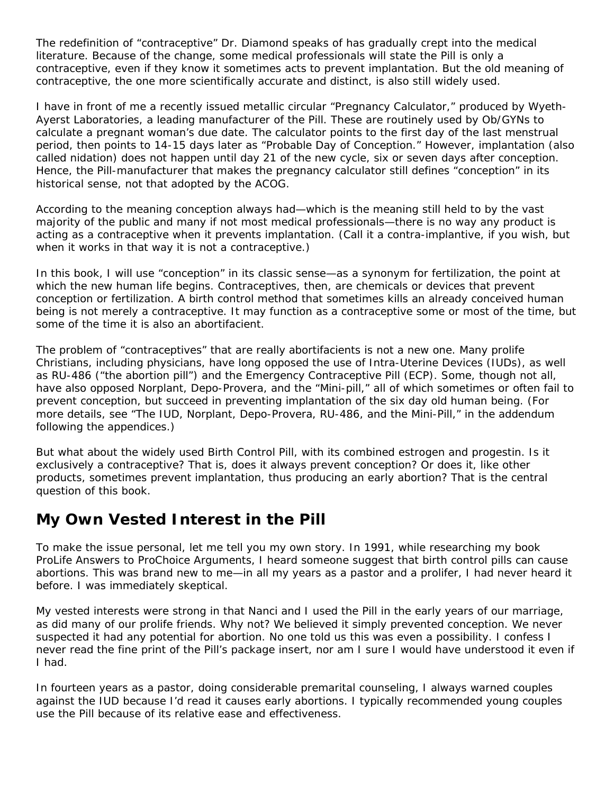The redefinition of "contraceptive" Dr. Diamond speaks of has gradually crept into the medical literature. Because of the change, some medical professionals will state the Pill is only a contraceptive, even if they know it sometimes acts to prevent implantation. But the old meaning of contraceptive, the one more scientifically accurate and distinct, is also still widely used.

I have in front of me a recently issued metallic circular "Pregnancy Calculator," produced by Wyeth-Ayerst Laboratories, a leading manufacturer of the Pill. These are routinely used by Ob/GYNs to calculate a pregnant woman's due date. The calculator points to the first day of the last menstrual period, then points to 14-15 days later as "Probable Day of Conception." However, implantation (also called nidation) does not happen until day 21 of the new cycle, six or seven days after conception. Hence, the Pill-manufacturer that makes the pregnancy calculator still defines "conception" in its historical sense, not that adopted by the ACOG.

According to the meaning conception always had—which is the meaning still held to by the vast majority of the public and many if not most medical professionals—there is no way any product is acting as a contraceptive when it prevents implantation. (Call it a contra-*implantive*, if you wish, but when it works in that way it is not a contraceptive.)

In this book, I will use "conception" in its classic sense—as a synonym for fertilization, the point at which the new human life begins. Contraceptives, then, are chemicals or devices that prevent conception or fertilization. A birth control method that sometimes kills an already conceived human being is *not* merely a contraceptive. It may function as a contraceptive some or most of the time, but some of the time it is also an abortifacient.

The problem of "contraceptives" that are really abortifacients is not a new one. Many prolife Christians, including physicians, have long opposed the use of Intra-Uterine Devices (IUDs), as well as RU-486 ("the abortion pill") and the Emergency Contraceptive Pill (ECP). Some, though not all, have also opposed Norplant, Depo-Provera, and the "Mini-pill," all of which sometimes or often fail to prevent conception, but succeed in preventing implantation of the six day old human being. (For more details, see "The IUD, Norplant, Depo-Provera, RU-486, and the Mini-Pill," in the addendum following the appendices.)

But what about the widely used Birth Control Pill, with its combined estrogen and progestin. Is it exclusively a contraceptive? That is, does it always prevent conception? Or does it, like other products, sometimes prevent implantation, thus producing an early abortion? That is the central question of this book.

### **My Own Vested Interest in the Pill**

To make the issue personal, let me tell you my own story. In 1991, while researching my book *ProLife Answers to ProChoice Arguments*, I heard someone suggest that birth control pills can cause abortions. This was brand new to me—in all my years as a pastor and a prolifer, I had never heard it before. I was immediately skeptical.

My vested interests were strong in that Nanci and I used the Pill in the early years of our marriage, as did many of our prolife friends. Why not? We believed it simply prevented conception. We never suspected it had any potential for abortion. No one told us this was even a possibility. I confess I never read the fine print of the Pill's package insert, nor am I sure I would have understood it even if I had.

In fourteen years as a pastor, doing considerable premarital counseling, I always warned couples against the IUD because I'd read it causes early abortions. I typically recommended young couples use the Pill because of its relative ease and effectiveness.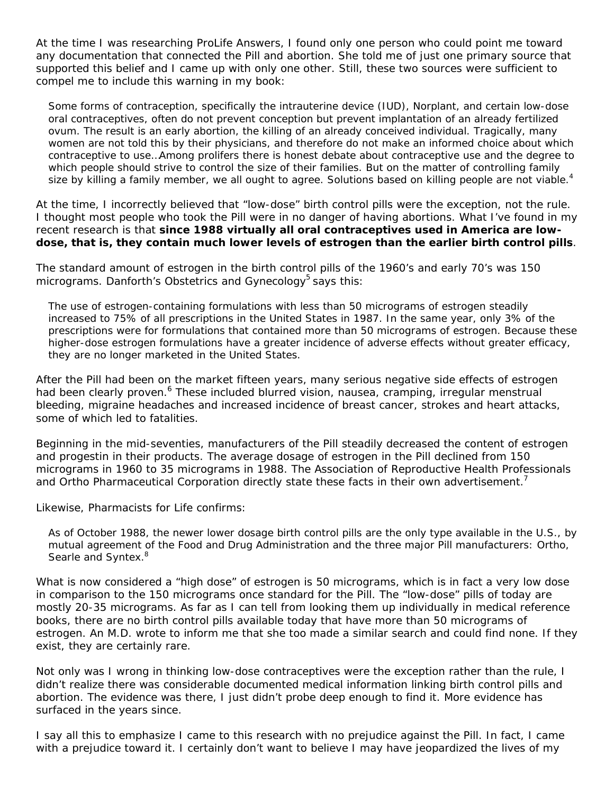At the time I was researching *ProLife Answers*, I found only one person who could point me toward any documentation that connected the Pill and abortion. She told me of just one primary source that supported this belief and I came up with only one other. Still, these two sources were sufficient to compel me to include this warning in my book:

Some forms of contraception, specifically the intrauterine device (IUD), Norplant, and certain low-dose oral contraceptives, often do not prevent conception but prevent implantation of an already fertilized ovum. The result is an early abortion, the killing of an already conceived individual. Tragically, many women are not told this by their physicians, and therefore do not make an informed choice about which contraceptive to use…Among prolifers there is honest debate about contraceptive use and the degree to which people should strive to control the size of their families. But on the matter of controlling family size by killing a family member, we all ought to agree. Solutions based on killing people are not viable.<sup>4</sup>

At the time, I incorrectly believed that "low-dose" birth control pills were the exception, not the rule. I thought most people who took the Pill were in no danger of having abortions. What I've found in my recent research is that **since 1988 virtually** *all* **oral contraceptives used in America are lowdose, that is, they contain much lower levels of estrogen than the earlier birth control pills**.

The standard amount of estrogen in the birth control pills of the 1960's and early 70's was 150 micrograms. *Danforth's Obstetrics and Gynecology*<sup>[5](#page-88-4)</sup> says this:

The use of estrogen-containing formulations with less than 50 micrograms of estrogen steadily increased to 75% of all prescriptions in the United States in 1987. In the same year, only 3% of the prescriptions were for formulations that contained more than 50 micrograms of estrogen. Because these higher-dose estrogen formulations have a greater incidence of adverse effects without greater efficacy, they are no longer marketed in the United States.

After the Pill had been on the market fifteen years, many serious negative side effects of estrogen had been clearly proven.<sup>6</sup> These included blurred vision, nausea, cramping, irregular menstrual bleeding, migraine headaches and increased incidence of breast cancer, strokes and heart attacks, some of which led to fatalities.

Beginning in the mid-seventies, manufacturers of the Pill steadily decreased the content of estrogen and progestin in their products. The average dosage of estrogen in the Pill declined from 150 micrograms in 1960 to 35 micrograms in 1988. The Association of Reproductive Health Professionals and Ortho Pharmaceutical Corporation directly state these facts in their own advertisement.<sup>7</sup>

Likewise, Pharmacists for Life confirms:

As of October 1988, the newer lower dosage birth control pills are the only type available in the U.S., by mutual agreement of the Food and Drug Administration and the three major Pill manufacturers: Ortho, Searle and Syntex.<sup>8</sup>

What is now considered a "high dose" of estrogen is 50 micrograms, which is in fact a very low dose in comparison to the 150 micrograms once standard for the Pill. The "low-dose" pills of today are mostly 20-35 micrograms. As far as I can tell from looking them up individually in medical reference books, there are no birth control pills available today that have more than 50 micrograms of estrogen. An M.D. wrote to inform me that she too made a similar search and could find none. If they exist, they are certainly rare.

Not only was I wrong in thinking low-dose contraceptives were the exception rather than the rule, I didn't realize there was considerable documented medical information linking birth control pills and abortion. The evidence was there, I just didn't probe deep enough to find it. More evidence has surfaced in the years since.

I say all this to emphasize I came to this research with no prejudice against the Pill. In fact, I came with a prejudice *toward* it. I certainly don't want to believe I may have jeopardized the lives of my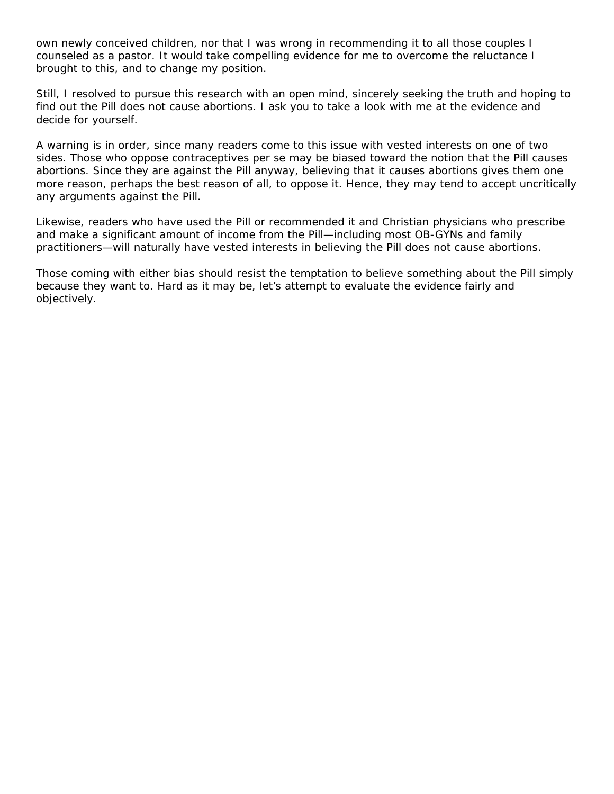own newly conceived children, nor that I was wrong in recommending it to all those couples I counseled as a pastor. It would take compelling evidence for me to overcome the reluctance I brought to this, and to change my position.

Still, I resolved to pursue this research with an open mind, sincerely seeking the truth and hoping to find out the Pill does not cause abortions. I ask you to take a look with me at the evidence and decide for yourself.

A warning is in order, since many readers come to this issue with vested interests on one of two sides. Those who oppose contraceptives per se may be biased toward the notion that the Pill causes abortions. Since they are against the Pill anyway, believing that it causes abortions gives them one more reason, perhaps the best reason of all, to oppose it. Hence, they may tend to accept uncritically any arguments against the Pill.

Likewise, readers who have used the Pill or recommended it and Christian physicians who prescribe and make a significant amount of income from the Pill—including most OB-GYNs and family practitioners—will naturally have vested interests in believing the Pill does not cause abortions.

Those coming with either bias should resist the temptation to believe something about the Pill simply because they want to. Hard as it may be, let's attempt to evaluate the evidence fairly and objectively.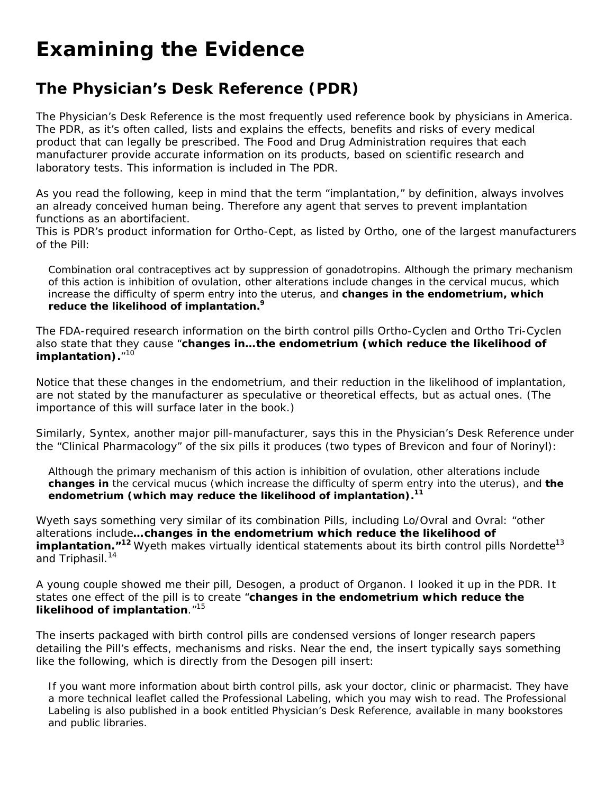# **Examining the Evidence**

### **The Physician's Desk Reference (PDR)**

The *Physician's Desk Reference* is the most frequently used reference book by physicians in America. The *PDR*, as it's often called, lists and explains the effects, benefits and risks of every medical product that can legally be prescribed. The Food and Drug Administration requires that each manufacturer provide accurate information on its products, based on scientific research and laboratory tests. This information is included in The *PDR*.

As you read the following, keep in mind that the term "implantation," by definition, *always* involves an already conceived human being. Therefore any agent that serves to prevent implantation functions as an abortifacient.

This is *PDR's* product information for Ortho-Cept, as listed by Ortho, one of the largest manufacturers of the Pill:

Combination oral contraceptives act by suppression of gonadotropins. Although the primary mechanism of this action is inhibition of ovulation, other alterations include changes in the cervical mucus, which increase the difficulty of sperm entry into the uterus, and **changes in the endometrium, which reduce the likelihood of implantation.[9](#page-88-8)**

The FDA-required research information on the birth control pills Ortho-Cyclen and Ortho Tri-Cyclen also state that they cause "**changes in…the endometrium (which reduce the likelihood of**  implantation).<sup>"10</sup>

Notice that these changes in the endometrium, and their reduction in the likelihood of implantation, are not stated by the manufacturer as speculative or theoretical effects, but as actual ones. (The importance of this will surface later in the book.)

Similarly, Syntex, another major pill-manufacturer, says this in the *Physician's Desk Reference* under the "Clinical Pharmacology" of the six pills it produces (two types of Brevicon and four of Norinyl):

Although the primary mechanism of this action is inhibition of ovulation, other alterations include **changes in** the cervical mucus (which increase the difficulty of sperm entry into the uterus), and **the endometrium (which may reduce the likelihood of implantation).[11](#page-88-10)**

Wyeth says something very similar of its combination Pills, including Lo/Ovral and Ovral: "other alterations include**…changes in the endometrium which reduce the likelihood of implantation."<sup>[12](#page-88-11)</sup>** Wyeth makes virtually identical statements about its birth control pills Nordette<sup>[13](#page-88-12)</sup> and Triphasil.<sup>14</sup>

A young couple showed me their pill, Desogen, a product of Organon. I looked it up in the *PDR*. It states one effect of the pill is to create "**changes in the endometrium which reduce the likelihood of implantation**.["15](#page-88-14) 

The inserts packaged with birth control pills are condensed versions of longer research papers detailing the Pill's effects, mechanisms and risks. Near the end, the insert typically says something like the following, which is directly from the Desogen pill insert:

If you want more information about birth control pills, ask your doctor, clinic or pharmacist. They have a more technical leaflet called the Professional Labeling, which you may wish to read. The Professional Labeling is also published in a book entitled *Physician's Desk Reference*, available in many bookstores and public libraries.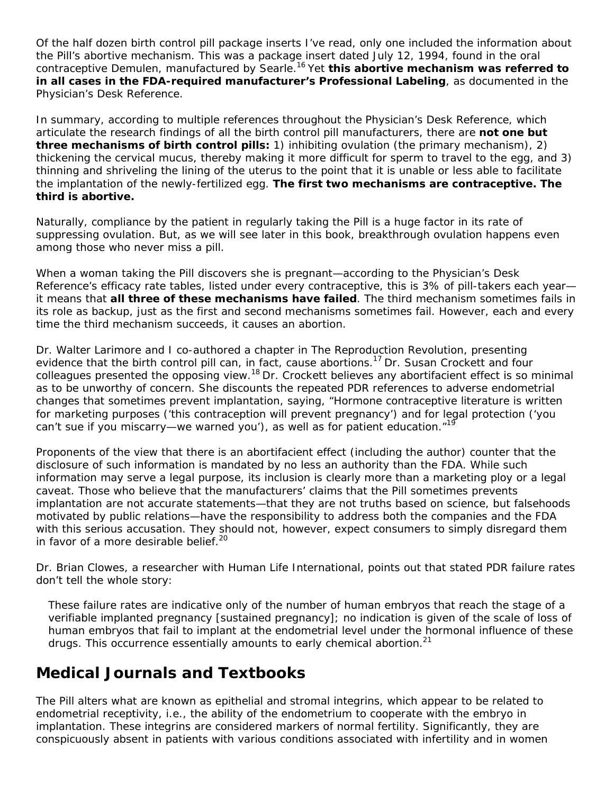Of the half dozen birth control pill package inserts I've read, only *one* included the information about the Pill's abortive mechanism. This was a package insert dated July 12, 1994, found in the oral contraceptive Demulen, manufactured by Searle.[16](#page-88-15) Yet **this abortive mechanism was** *referred to in all cases* **in the FDA-required manufacturer's Professional Labeling**, as documented in the *Physician's Desk Reference*.

In summary, according to multiple references throughout the *Physician's Desk Reference*, which articulate the research findings of all the birth control pill manufacturers, there are *not one but three mechanisms of birth control pills:* 1) inhibiting ovulation (the primary mechanism), 2) thickening the cervical mucus, thereby making it more difficult for sperm to travel to the egg, and 3) thinning and shriveling the lining of the uterus to the point that it is unable or less able to facilitate the implantation of the newly-fertilized egg. **The first two mechanisms are contraceptive. The third is abortive.** 

Naturally, compliance by the patient in regularly taking the Pill is a huge factor in its rate of suppressing ovulation. But, as we will see later in this book, breakthrough ovulation happens even among those who never miss a pill.

When a woman taking the Pill discovers she is pregnant—according to the *Physician's Desk Reference*'s efficacy rate tables, listed under every contraceptive, this is 3% of pill-takers *each year* it means that **all three of these mechanisms have failed**. The third mechanism *sometimes* fails in its role as backup, just as the first and second mechanisms sometimes fail. However, each and every time the third mechanism succeeds, it causes an abortion.

Dr. Walter Larimore and I co-authored a chapter in *The Reproduction Revolution*, presenting evidence that the birth control pill can, in fact, cause abortions.<sup>[17](#page-88-16)</sup> Dr. Susan Crockett and four colleagues presented the opposing view.<sup>[18](#page-88-17)</sup> Dr. Crockett believes any abortifacient effect is so minimal as to be unworthy of concern. She discounts the repeated *PDR* references to adverse endometrial changes that sometimes prevent implantation, saying, "Hormone contraceptive literature is written for marketing purposes ('this contraception will prevent pregnancy') and for legal protection ('you can't sue if you miscarry—we warned you'), as well as for patient education."<sup>19</sup>

Proponents of the view that there is an abortifacient effect (including the author) counter that the disclosure of such information is mandated by no less an authority than the FDA. While such information may serve a legal purpose, its inclusion is clearly more than a marketing ploy or a legal caveat. Those who believe that the manufacturers' claims *that the Pill sometimes prevents implantation* are not accurate statements—that they are not truths based on science, but falsehoods motivated by public relations—have the responsibility to address both the companies and the FDA with this serious accusation. They should not, however, expect consumers to simply disregard them in favor of a more desirable belief.<sup>20</sup>

Dr. Brian Clowes, a researcher with Human Life International, points out that stated *PDR* failure rates don't tell the whole story:

These failure rates are indicative only of the number of human embryos that reach the stage of a verifiable implanted pregnancy [sustained pregnancy]; no indication is given of the scale of loss of human embryos that fail to implant at the endometrial level under the hormonal influence of these drugs. This occurrence essentially amounts to early chemical abortion.<sup>21</sup>

### **Medical Journals and Textbooks**

The Pill alters what are known as epithelial and stromal integrins, which appear to be related to endometrial receptivity, i.e., the ability of the endometrium to cooperate with the embryo in implantation. These integrins are considered markers of normal fertility. Significantly, they are conspicuously absent in patients with various conditions associated with infertility *and* in women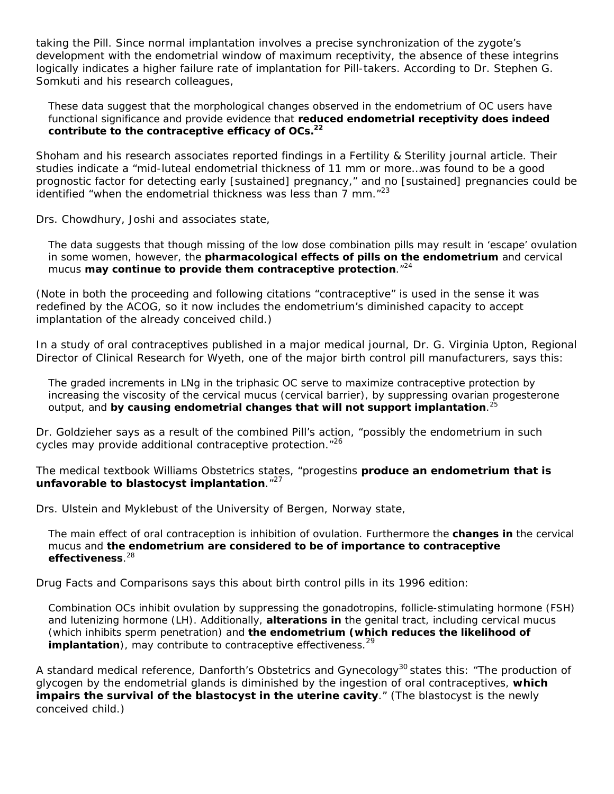taking the Pill. Since normal implantation involves a precise synchronization of the zygote's development with the endometrial window of maximum receptivity, the absence of these integrins logically indicates a higher failure rate of implantation for Pill-takers. According to Dr. Stephen G. Somkuti and his research colleagues,

These data suggest that the morphological changes observed in the endometrium of OC users have functional significance and provide evidence that **reduced endometrial receptivity does indeed contribute to the contraceptive efficacy of OCs.[22](#page-88-21)**

Shoham and his research associates reported findings in a *Fertility & Sterility* journal article. Their studies indicate a "mid-luteal endometrial thickness of 11 mm or more…was found to be a good prognostic factor for detecting early [sustained] pregnancy," and no [sustained] pregnancies could be identified "when the endometrial thickness was less than 7 mm."<sup>23</sup>

Drs. Chowdhury, Joshi and associates state,

The data suggests that though missing of the low dose combination pills may result in 'escape' ovulation in some women, however, the **pharmacological effects of pills on the endometrium** and cervical mucus **may continue to provide them contraceptive protection**."[24](#page-88-23) 

(Note in both the proceeding and following citations "contraceptive" is used in the sense it was redefined by the ACOG, so it now includes the endometrium's diminished capacity to accept implantation of the already conceived child.)

In a study of oral contraceptives published in a major medical journal, Dr. G. Virginia Upton, Regional Director of Clinical Research for Wyeth, one of the major birth control pill manufacturers, says this:

The graded increments in LNg in the triphasic OC serve to maximize contraceptive protection by increasing the viscosity of the cervical mucus (cervical barrier), by suppressing ovarian progesterone output, and **by causing endometrial changes that will not support implantation**. [25](#page-88-24) 

Dr. Goldzieher says as a result of the combined Pill's action, "possibly the endometrium in such cycles may provide additional contraceptive protection."<sup>26</sup>

#### The medical textbook *Williams Obstetrics* states, "progestins **produce an endometrium that is unfavorable to blastocyst implantation**.["27](#page-88-26)

Drs. Ulstein and Myklebust of the University of Bergen, Norway state,

The main effect of oral contraception is inhibition of ovulation. Furthermore the **changes in** the cervical mucus and **the endometrium are considered to be of importance to contraceptive effectiveness**. [28](#page-88-27) 

*Drug Facts and Comparisons* says this about birth control pills in its 1996 edition:

Combination OCs inhibit ovulation by suppressing the gonadotropins, follicle-stimulating hormone (FSH) and lutenizing hormone (LH). Additionally, **alterations in** the genital tract, including cervical mucus (which inhibits sperm penetration) and **the endometrium (which reduces the likelihood of implantation**), may contribute to contraceptive effectiveness.<sup>29</sup>

A standard medical reference, *Danforth's Obstetrics and Gynecology[30](#page-88-29)* states this: "The production of glycogen by the endometrial glands is diminished by the ingestion of oral contraceptives, **which impairs the survival of the blastocyst in the uterine cavity**." (The blastocyst is the newly conceived child.)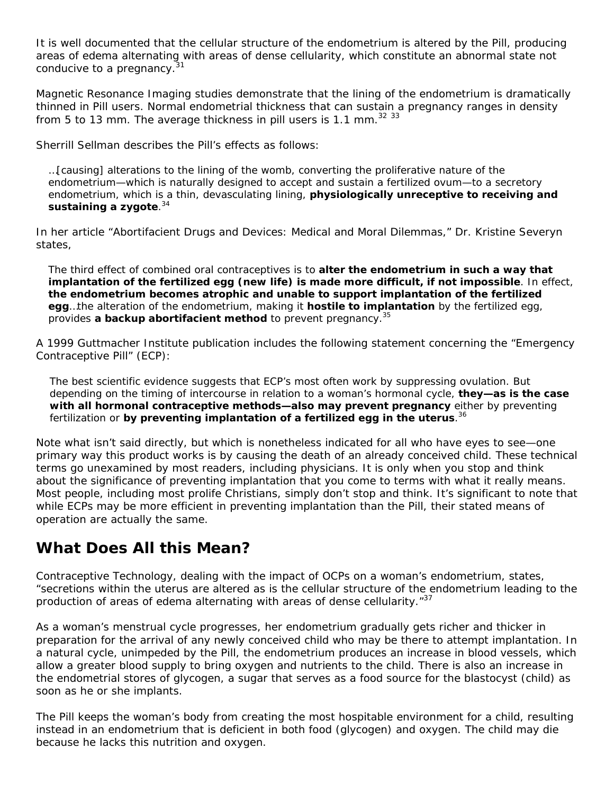It is well documented that the cellular structure of the endometrium is altered by the Pill, producing areas of edema alternating with areas of dense cellularity, which constitute an abnormal state not conducive to a pregnancy.<sup>3</sup>

Magnetic Resonance Imaging studies demonstrate that the lining of the endometrium is dramatically thinned in Pill users. Normal endometrial thickness that can sustain a pregnancy ranges in density from 5 to 13 mm. The average thickness in pill users is 1.1 mm.  $32\frac{33}{2}$  $32\frac{33}{2}$  $32\frac{33}{2}$  $32\frac{33}{2}$ 

Sherrill Sellman describes the Pill's effects as follows:

…[causing] alterations to the lining of the womb, converting the proliferative nature of the endometrium—which is naturally designed to accept and sustain a fertilized ovum—to a secretory endometrium, which is a thin, devasculating lining, **physiologically unreceptive to receiving and sustaining a zygote**. [34](#page-88-33) 

In her article "Abortifacient Drugs and Devices: Medical and Moral Dilemmas," Dr. Kristine Severyn states,

The third effect of combined oral contraceptives is to **alter the endometrium in such a way that implantation of the fertilized egg (new life) is made more difficult, if not impossible**. In effect, **the endometrium becomes atrophic and unable to support implantation of the fertilized egg**…the alteration of the endometrium, making it **hostile to implantation** by the fertilized egg, provides **a backup abortifacient method** to prevent pregnancy.<sup>35</sup>

A 1999 Guttmacher Institute publication includes the following statement concerning the "Emergency Contraceptive Pill" (ECP):

The best scientific evidence suggests that ECP's most often work by suppressing ovulation. But depending on the timing of intercourse in relation to a woman's hormonal cycle, **they—as is the case with** *all* **hormonal contraceptive methods—also may prevent pregnancy** either by preventing fertilization or **by preventing implantation of a fertilized egg in the uterus**. [36](#page-88-35) 

Note what isn't said directly, but which is nonetheless indicated for all who have eyes to see—one primary way this product works is by causing the death of an already conceived child. These technical terms go unexamined by most readers, including physicians. It is only when you stop and think about the significance of preventing implantation that you come to terms with what it really means. Most people, including most prolife Christians, simply don't stop and think. It's significant to note that while ECPs may be more efficient in preventing implantation than the Pill, their stated means of operation are actually the same.

### **What Does All this Mean?**

*Contraceptive Technology,* dealing with the impact of OCPs on a woman's endometrium, states, "secretions within the uterus are altered as is the cellular structure of the endometrium leading to the production of areas of edema alternating with areas of dense cellularity."<sup>37</sup>

As a woman's menstrual cycle progresses, her endometrium gradually gets richer and thicker in preparation for the arrival of any newly conceived child who may be there to attempt implantation. In a natural cycle, unimpeded by the Pill, the endometrium produces an increase in blood vessels, which allow a greater blood supply to bring oxygen and nutrients to the child. There is also an increase in the endometrial stores of glycogen, a sugar that serves as a food source for the blastocyst (child) as soon as he or she implants.

The Pill keeps the woman's body from creating the most hospitable environment for a child, resulting instead in an endometrium that is deficient in both food (glycogen) and oxygen. The child may die because he lacks this nutrition and oxygen.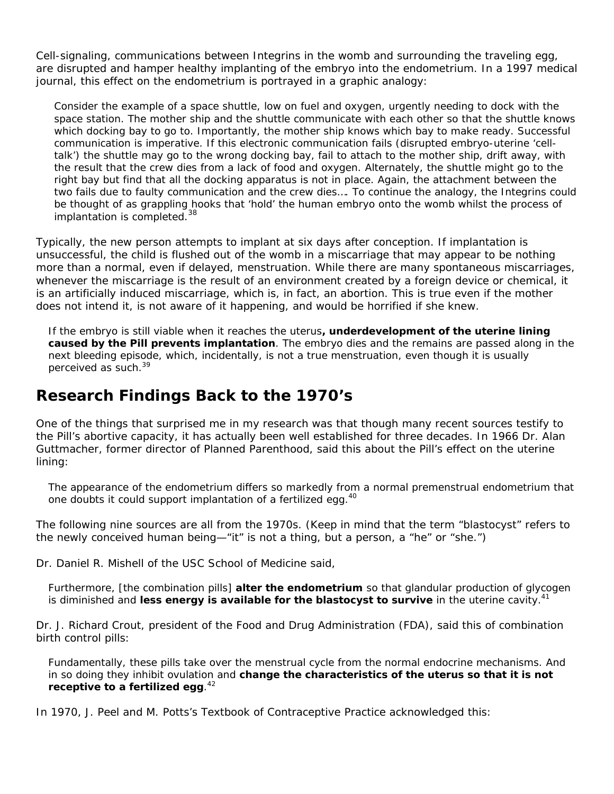Cell-signaling, communications between Integrins in the womb and surrounding the traveling egg, are disrupted and hamper healthy implanting of the embryo into the endometrium. In a 1997 medical journal, this effect on the endometrium is portrayed in a graphic analogy:

Consider the example of a space shuttle, low on fuel and oxygen, urgently needing to dock with the space station. The mother ship and the shuttle communicate with each other so that the shuttle knows which docking bay to go to. Importantly, the mother ship knows which bay to make ready. Successful communication is imperative. If this electronic communication fails (disrupted embryo-uterine 'celltalk') the shuttle may go to the wrong docking bay, fail to attach to the mother ship, drift away, with the result that the crew dies from a lack of food and oxygen. Alternately, the shuttle might go to the right bay but find that all the docking apparatus is not in place. Again, the attachment between the two fails due to faulty communication and the crew dies…. To continue the analogy, the Integrins could be thought of as grappling hooks that 'hold' the human embryo onto the womb whilst the process of implantation is completed.<sup>[38](#page-88-37)</sup>

Typically, the new person attempts to implant at six days after conception. If implantation is unsuccessful, the child is flushed out of the womb in a miscarriage that may appear to be nothing more than a normal, even if delayed, menstruation. While there are many spontaneous miscarriages, whenever the miscarriage is the result of an environment created by a foreign device or chemical, it is an artificially induced miscarriage, which is, in fact, an abortion. This is true even if the mother does not intend it, is not aware of it happening, and would be horrified if she knew.

If the embryo is still viable when it reaches the uterus**, underdevelopment of the uterine lining caused by the Pill prevents implantation**. The embryo dies and the remains are passed along in the next bleeding episode, which, incidentally, is not a true menstruation, even though it is usually perceived as such.[39](#page-88-38) 

### **Research Findings Back to the 1970's**

One of the things that surprised me in my research was that though many recent sources testify to the Pill's abortive capacity, it has actually been well established for three decades. In 1966 Dr. Alan Guttmacher, former director of Planned Parenthood, said this about the Pill's effect on the uterine lining:

The appearance of the endometrium differs so markedly from a normal premenstrual endometrium that one doubts it could support implantation of a fertilized egg.<sup>[40](#page-88-39)</sup>

The following nine sources are all from the 1970s. (Keep in mind that the term "blastocyst" refers to the newly conceived human being—"it" is not a thing, but a person, a "he" or "she.")

Dr. Daniel R. Mishell of the USC School of Medicine said,

Furthermore, [the combination pills] **alter the endometrium** so that glandular production of glycogen is diminished and **less energy is available for the blastocyst to survive** in the uterine cavity[.41](#page-88-40)

Dr. J. Richard Crout, president of the Food and Drug Administration (FDA), said this of combination birth control pills:

Fundamentally, these pills take over the menstrual cycle from the normal endocrine mechanisms. And in so doing they inhibit ovulation and **change the characteristics of the uterus so that it is not receptive to a fertilized egg**. [42](#page-88-41)

In 1970, J. Peel and M. Potts's *Textbook of Contraceptive Practice* acknowledged this: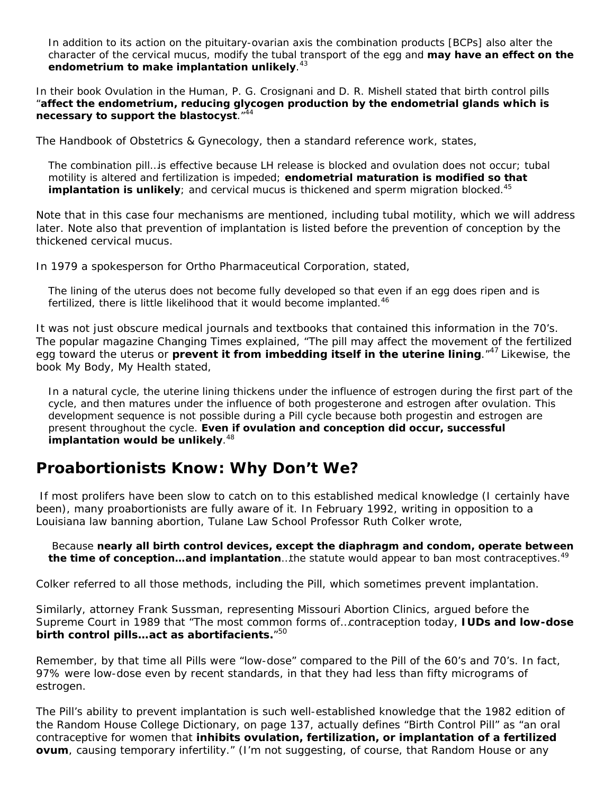In addition to its action on the pituitary-ovarian axis the combination products [BCPs] also alter the character of the cervical mucus, modify the tubal transport of the egg and **may have an effect on the endometrium to make implantation unlikely**. [43](#page-88-42)

In their book *Ovulation in the Human*, P. G. Crosignani and D. R. Mishell stated that birth control pills "**affect the endometrium, reducing glycogen production by the endometrial glands which is necessary to support the blastocyst**."[44](#page-88-43)

The *Handbook of Obstetrics & Gynecology*, then a standard reference work, states,

The combination pill…is effective because LH release is blocked and ovulation does not occur; tubal motility is altered and fertilization is impeded; **endometrial maturation is modified so that implantation is unlikely**; and cervical mucus is thickened and sperm migration blocked.<sup>[45](#page-88-44)</sup>

Note that in this case *four* mechanisms are mentioned, including tubal motility, which we will address later. Note also that prevention of implantation is listed before the prevention of conception by the thickened cervical mucus.

In 1979 a spokesperson for Ortho Pharmaceutical Corporation, stated,

The lining of the uterus does not become fully developed so that even if an egg does ripen and is fertilized, there is little likelihood that it would become implanted.<sup>[46](#page-88-45)</sup>

It was not just obscure medical journals and textbooks that contained this information in the 70's. The popular magazine *Changing Times* explained, "The pill may affect the movement of the fertilized egg toward the uterus or **prevent it from imbedding itself in the uterine lining**."[47](#page-88-9) Likewise, the book *My Body, My Health* stated,

In a natural cycle, the uterine lining thickens under the influence of estrogen during the first part of the cycle, and then matures under the influence of both progesterone and estrogen after ovulation. This development sequence is not possible during a Pill cycle because both progestin and estrogen are present throughout the cycle. **Even if ovulation and conception did occur, successful implantation would be unlikely**. [48](#page-88-10) 

### **Proabortionists Know: Why Don't We?**

 If most prolifers have been slow to catch on to this established medical knowledge (I certainly have been), many proabortionists are fully aware of it. In February 1992, writing in opposition to a Louisiana law banning abortion, Tulane Law School Professor Ruth Colker wrote,

#### Because **nearly all birth control devices, except the diaphragm and condom, operate between the time of conception…and implantation**…the statute would appear to ban most contraceptives.<sup>[49](#page-88-12)</sup>

Colker referred to all those methods, including the Pill, which sometimes prevent implantation.

Similarly, attorney Frank Sussman, representing Missouri Abortion Clinics, argued before the Supreme Court in 1989 that "The most common forms of…contraception today, **IUDs and low-dose birth control pills…act as abortifacients.**" [50](#page-88-13)

Remember, by that time all Pills were "low-dose" compared to the Pill of the 60's and 70's. In fact, 97% were low-dose even by recent standards, in that they had less than fifty micrograms of estrogen.

The Pill's ability to prevent implantation is such well-established knowledge that the 1982 edition of the *Random House College Dictionary*, on page 137, actually defines "Birth Control Pill" as "an oral contraceptive for women that **inhibits ovulation, fertilization, or implantation of a fertilized ovum**, causing temporary infertility." (I'm not suggesting, of course, that *Random House* or any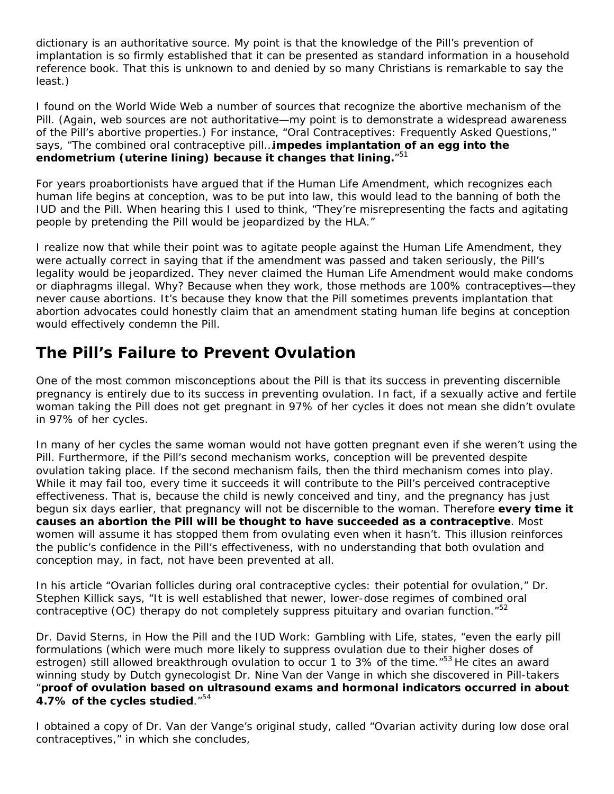dictionary is an authoritative source. My point is that the knowledge of the Pill's prevention of implantation is so firmly established that it can be presented as standard information in a household reference book. That this is unknown to and denied by so many Christians is remarkable to say the least.)

I found on the World Wide Web a number of sources that recognize the abortive mechanism of the Pill. (Again, web sources are not authoritative—my point is to demonstrate a widespread awareness of the Pill's abortive properties.) For instance, "Oral Contraceptives: Frequently Asked Questions," says, "The combined oral contraceptive pill…**impedes implantation of an egg into the endometrium (uterine lining) because it changes that lining.**" [51](#page-88-15)

For years proabortionists have argued that if the Human Life Amendment, which recognizes each human life begins at conception, was to be put into law, this would lead to the banning of both the IUD and the Pill. When hearing this I used to think, "They're misrepresenting the facts and agitating people by pretending the Pill would be jeopardized by the HLA."

I realize now that while their point *was* to agitate people against the Human Life Amendment, they were actually correct in saying that if the amendment was passed and taken seriously, the Pill's legality would be jeopardized. They never claimed the Human Life Amendment would make condoms or diaphragms illegal. Why? Because when they work, those methods are 100% contraceptives—they *never* cause abortions. It's because they know that the Pill sometimes prevents implantation that abortion advocates could honestly claim that an amendment stating human life begins at conception would effectively condemn the Pill.

### **The Pill's Failure to Prevent Ovulation**

One of the most common misconceptions about the Pill is that its success in preventing discernible pregnancy is entirely due to its success in preventing ovulation. In fact, if a sexually active and fertile woman taking the Pill does not get pregnant in 97% of her cycles it does *not* mean she didn't ovulate in 97% of her cycles.

In many of her cycles the same woman would not have gotten pregnant even if she weren't using the Pill. Furthermore, if the Pill's second mechanism works, conception will be prevented despite ovulation taking place. If the second mechanism fails, then the third mechanism comes into play. While it may fail too, every time it succeeds it will contribute to the Pill's *perceived* contraceptive effectiveness. That is, because the child is newly conceived and tiny, and the pregnancy has just begun six days earlier, that pregnancy will not be discernible to the woman. Therefore **every time it causes an abortion the Pill will be** *thought* **to have succeeded as a contraceptive**. Most women will assume it has stopped them from ovulating even when it hasn't. This illusion reinforces the public's confidence in the Pill's effectiveness, with no understanding that both ovulation *and* conception may, in fact, not have been prevented at all.

In his article "Ovarian follicles during oral contraceptive cycles: their potential for ovulation," Dr. Stephen Killick says, "It is well established that newer, lower-dose regimes of combined oral contraceptive (OC) therapy do not completely suppress pituitary and ovarian function."<sup>[52](#page-88-16)</sup>

Dr. David Sterns, in *How the Pill and the IUD Work: Gambling with Life,* states, "even the early pill formulations (which were much more likely to suppress ovulation due to their higher doses of estrogen) still allowed breakthrough ovulation to occur 1 to 3% of the time.<sup>"[53](#page-88-46)</sup> He cites an award winning study by Dutch gynecologist Dr. Nine Van der Vange in which she discovered in Pill-takers "**proof of ovulation based on ultrasound exams and hormonal indicators occurred in about 4.7% of the cycles studied**."[54](#page-88-17)

I obtained a copy of Dr. Van der Vange's original study, called "Ovarian activity during low dose oral contraceptives," in which she concludes,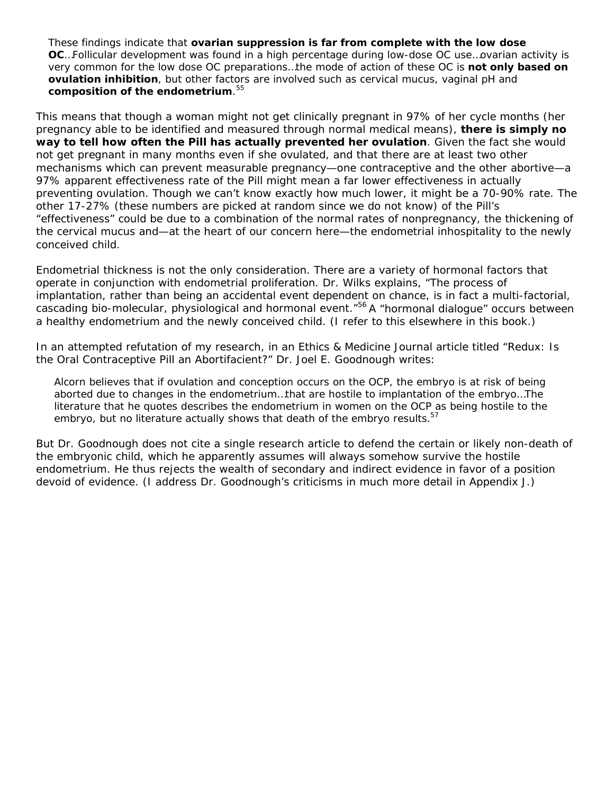These findings indicate that **ovarian suppression is far from complete with the low dose OC**…Follicular development was found in a high percentage during low-dose OC use…ovarian activity is very common for the low dose OC preparations…the mode of action of these OC is **not only based on ovulation inhibition**, but other factors are involved such as cervical mucus, vaginal pH and **composition of the endometrium**. [55](#page-88-47)

This means that though a woman might not get clinically pregnant in 97% of her cycle months (her pregnancy able to be identified and measured through normal medical means), *there is simply no way to tell how often the Pill has actually prevented her ovulation*. Given the fact she would not get pregnant in many months even if she ovulated, and that there are at least two other mechanisms which can prevent measurable pregnancy—one contraceptive and the other abortive—a 97% apparent effectiveness rate of the Pill might mean a far lower effectiveness in actually preventing ovulation. Though we can't know exactly how much lower, it might be a 70-90% rate. The other 17-27% (these numbers are picked at random since we do not know) of the Pill's "effectiveness" could be due to a combination of the normal rates of nonpregnancy, the thickening of the cervical mucus and—at the heart of our concern here—the endometrial inhospitality to the newly conceived child.

Endometrial thickness is not the only consideration. There are a variety of hormonal factors that operate in conjunction with endometrial proliferation. Dr. Wilks explains, "The process of implantation, rather than being an accidental event dependent on chance, is in fact a multi-factorial, cascading bio-molecular, physiological and hormonal event."<sup>56</sup> A "hormonal dialogue" occurs between a healthy endometrium and the newly conceived child. (I refer to this elsewhere in this book.)

In an attempted refutation of my research, in an *Ethics & Medicine* Journal article titled "Redux: Is the Oral Contraceptive Pill an Abortifacient?" Dr. Joel E. Goodnough writes:

Alcorn believes that if ovulation and conception occurs on the OCP, the embryo is at risk of being aborted due to changes in the endometrium…that are hostile to implantation of the embryo…The literature that he quotes describes the endometrium in women on the OCP as being hostile to the embryo, but no literature actually shows that death of the embryo results.<sup>57</sup>

But Dr. Goodnough does not cite a single research article to defend the certain or likely non-death of the embryonic child, which he apparently assumes will always somehow survive the hostile endometrium. He thus rejects the wealth of secondary and indirect evidence in favor of a position devoid of evidence. (I address Dr. Goodnough's criticisms in much more detail in *Appendix J*.)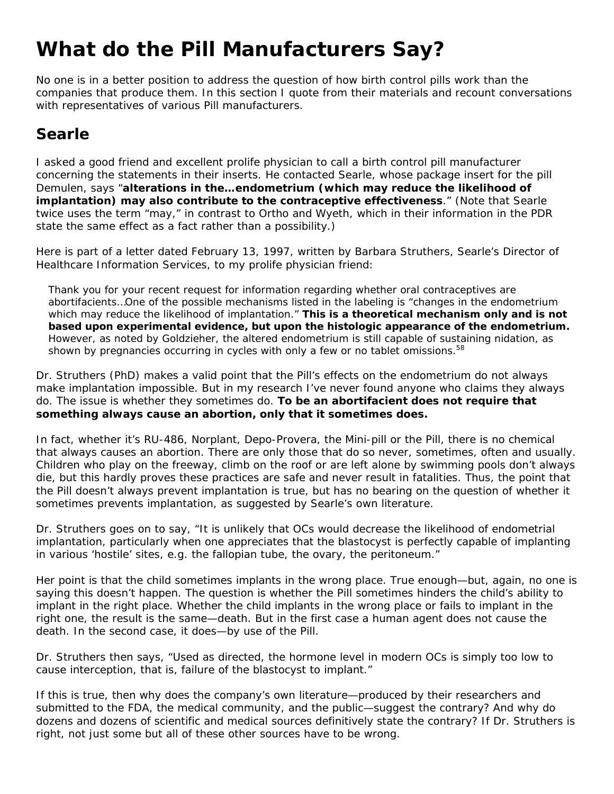# **What do the Pill Manufacturers Say?**

No one is in a better position to address the question of how birth control pills work than the companies that produce them. In this section I quote from their materials and recount conversations with representatives of various Pill manufacturers.

### **Searle**

I asked a good friend and excellent prolife physician to call a birth control pill manufacturer concerning the statements in their inserts. He contacted Searle, whose package insert for the pill Demulen, says "**alterations in the…endometrium (which may reduce the likelihood of implantation) may also contribute to the contraceptive effectiveness**." (Note that Searle twice uses the term "may," in contrast to Ortho and Wyeth, which in their information in the *PDR* state the same effect as a fact rather than a possibility.)

Here is part of a letter dated February 13, 1997, written by Barbara Struthers, Searle's Director of Healthcare Information Services, to my prolife physician friend:

Thank you for your recent request for information regarding whether oral contraceptives are abortifacients…One of the possible mechanisms listed in the labeling is "changes in the endometrium which may reduce the likelihood of implantation." **This is a theoretical mechanism only and is not based upon experimental evidence, but upon the histologic appearance of the endometrium.** However, as noted by Goldzieher, the altered endometrium is still capable of sustaining nidation, as shown by pregnancies occurring in cycles with only a few or no tablet omissions.<sup>58</sup>

Dr. Struthers (PhD) makes a valid point that the Pill's effects on the endometrium do not *always* make implantation impossible. But in my research I've never found anyone who claims they *always* do. The issue is whether they *sometimes* do. **To be an abortifacient does not require that something always cause an abortion, only that it sometimes does.**

In fact, whether it's RU-486, Norplant, Depo-Provera, the Mini-pill or the Pill, there is no chemical that *always* causes an abortion. There are only those that do so never, sometimes, often and usually. Children who play on the freeway, climb on the roof or are left alone by swimming pools don't *always* die, but this hardly proves these practices are safe and never result in fatalities. Thus, the point that the Pill doesn't always prevent implantation is true, but has no bearing on the question of whether it sometimes prevents implantation, as suggested by Searle's own literature.

Dr. Struthers goes on to say, "It is unlikely that OCs would decrease the likelihood of endometrial implantation, particularly when one appreciates that the blastocyst is perfectly capable of implanting in various 'hostile' sites, e.g. the fallopian tube, the ovary, the peritoneum."

Her point is that the child sometimes implants in the wrong place. True enough—but, again, no one is saying this doesn't happen. The question is whether the Pill sometimes hinders the child's ability to implant in the *right* place. Whether the child implants in the wrong place or fails to implant in the right one, the result is the same—death. But in the first case a human agent does not cause the death. In the second case, it does—by use of the Pill.

Dr. Struthers then says, "Used as directed, the hormone level in modern OCs is simply too low to cause interception, that is, failure of the blastocyst to implant."

If this is true, then why does the company's own literature—produced by their researchers and submitted to the FDA, the medical community, and the public—suggest the contrary? And why do dozens and dozens of scientific and medical sources definitively state the contrary? If Dr. Struthers is right, not just some but *all* of these other sources have to be wrong.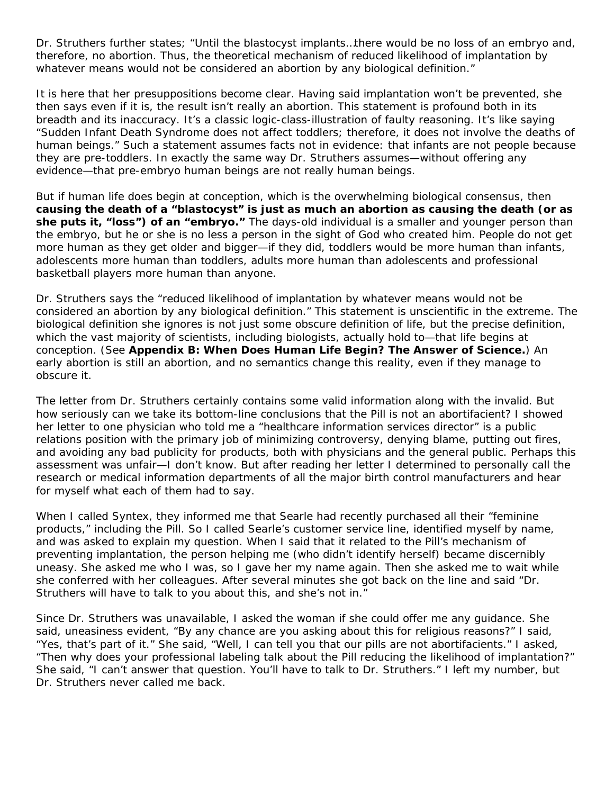Dr. Struthers further states; "Until the blastocyst implants…there would be no loss of an embryo and, therefore, no abortion. Thus, the theoretical mechanism of reduced likelihood of implantation by whatever means would not be considered an abortion by any biological definition."

It is here that her presuppositions become clear. Having said implantation won't be prevented, she then says even if it is, *the result isn't really an abortion*. This statement is profound both in its breadth and its inaccuracy. It's a classic logic-class-illustration of faulty reasoning. It's like saying "Sudden Infant Death Syndrome does not affect toddlers; therefore, it does not involve the deaths of human beings." Such a statement assumes facts not in evidence: that infants are not people because they are pre-toddlers. In exactly the same way Dr. Struthers assumes—without offering any evidence—that pre-embryo human beings are not really human beings.

But if human life *does* begin at conception, which is the overwhelming biological consensus, then **causing the death of a "blastocyst" is just as much an abortion as causing the death (or as she puts it, "loss") of an "embryo."** The days-old individual is a *smaller and younger* person than the embryo, but he or she is *no less* a person in the sight of God who created him. People do not get more human as they get older and bigger—if they did, toddlers would be more human than infants, adolescents more human than toddlers, adults more human than adolescents and professional basketball players more human than anyone.

Dr. Struthers says the "reduced likelihood of implantation by whatever means would not be considered an abortion by any biological definition." This statement is unscientific in the extreme. The biological definition she ignores is not just some obscure definition of life, but the precise definition, which the vast majority of scientists, including biologists, actually hold to—that life begins at conception. (See *Appendix B:* **When Does Human Life Begin? The Answer of Science.**) An early abortion is still an abortion, and no semantics change this reality, even if they manage to obscure it.

The letter from Dr. Struthers certainly contains some valid information along with the invalid. But how seriously can we take its bottom-line conclusions that the Pill is not an abortifacient? I showed her letter to one physician who told me a "healthcare information services director" is a public relations position with the primary job of minimizing controversy, denying blame, putting out fires, and avoiding any bad publicity for products, both with physicians and the general public. Perhaps this assessment was unfair—I don't know. But after reading her letter I determined to personally call the research or medical information departments of all the major birth control manufacturers and hear for myself what each of them had to say.

When I called Syntex, they informed me that Searle had recently purchased all their "feminine products," including the Pill. So I called Searle's customer service line, identified myself by name, and was asked to explain my question. When I said that it related to the Pill's mechanism of preventing implantation, the person helping me (who didn't identify herself) became discernibly uneasy. She asked me who I was, so I gave her my name again. Then she asked me to wait while she conferred with her colleagues. After several minutes she got back on the line and said "Dr. Struthers will have to talk to you about this, and she's not in."

Since Dr. Struthers was unavailable, I asked the woman if *she* could offer me any guidance. She said, uneasiness evident, "By any chance are you asking about this for religious reasons?" I said, "Yes, that's part of it." She said, "Well, I can tell you that our pills are *not* abortifacients." I asked, "Then why does your professional labeling talk about the Pill reducing the likelihood of implantation?" She said, "I can't answer that question. You'll have to talk to Dr. Struthers." I left my number, but Dr. Struthers never called me back.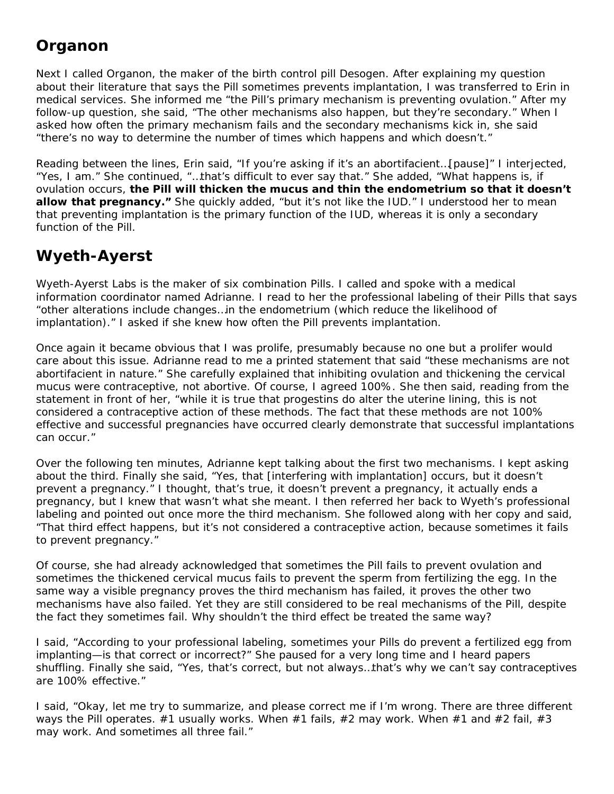### **Organon**

Next I called Organon, the maker of the birth control pill Desogen. After explaining my question about their literature that says the Pill sometimes prevents implantation, I was transferred to Erin in medical services. She informed me "the Pill's *primary* mechanism is preventing ovulation." After my follow-up question, she said, "The other mechanisms also happen, but they're secondary." When I asked how often the primary mechanism fails and the secondary mechanisms kick in, she said "there's no way to determine the number of times which happens and which doesn't."

Reading between the lines, Erin said, "If you're asking if it's an abortifacient…[pause]" I interjected, "Yes, I am." She continued, "…that's difficult to ever say that." She added, "What happens is, if ovulation occurs, **the Pill will thicken the mucus and thin the endometrium so that it doesn't allow that pregnancy."** She quickly added, "but it's not like the IUD." I understood her to mean that preventing implantation is the *primary* function of the IUD, whereas it is only a *secondary* function of the Pill.

### **Wyeth-Ayerst**

Wyeth-Ayerst Labs is the maker of six combination Pills. I called and spoke with a medical information coordinator named Adrianne. I read to her the professional labeling of their Pills that says "other alterations include changes…in the endometrium (which reduce the likelihood of implantation)." I asked if she knew how often the Pill prevents implantation.

Once again it became obvious that I was prolife, presumably because no one but a prolifer would care about this issue. Adrianne read to me a printed statement that said "these mechanisms are not abortifacient in nature." She carefully explained that inhibiting ovulation and thickening the cervical mucus were contraceptive, not abortive. Of course, I agreed 100%. She then said, reading from the statement in front of her, "while it is true that progestins do alter the uterine lining, this is not considered a contraceptive action of these methods. The fact that these methods are not 100% effective and successful pregnancies have occurred clearly demonstrate that successful implantations can occur."

Over the following ten minutes, Adrianne kept talking about the first two mechanisms. I kept asking about the third. Finally she said, "Yes, that [interfering with implantation] occurs, but it doesn't prevent a pregnancy." I thought, that's true, it doesn't *prevent* a pregnancy, it actually *ends* a pregnancy, but I knew that wasn't what she meant. I then referred her back to Wyeth's professional labeling and pointed out once more the third mechanism. She followed along with her copy and said, "That third effect happens, but it's not considered a contraceptive action, because sometimes it fails to prevent pregnancy."

Of course, she had already acknowledged that sometimes the Pill fails to prevent ovulation and sometimes the thickened cervical mucus fails to prevent the sperm from fertilizing the egg. In the same way a visible pregnancy proves the third mechanism has failed, it proves the other two mechanisms have also failed. Yet *they* are still considered to be real mechanisms of the Pill, despite the fact they sometimes fail. Why shouldn't the third effect be treated the same way?

I said, "According to your professional labeling, sometimes your Pills do prevent a fertilized egg from implanting—is that correct or incorrect?" She paused for a very long time and I heard papers shuffling. Finally she said, "Yes, that's correct, but not always…that's why we can't say contraceptives are 100% effective."

I said, "Okay, let me try to summarize, and please correct me if I'm wrong. There are three different ways the Pill operates.  $\#1$  usually works. When  $\#1$  fails,  $\#2$  may work. When  $\#1$  and  $\#2$  fail,  $\#3$ may work. And sometimes all three fail."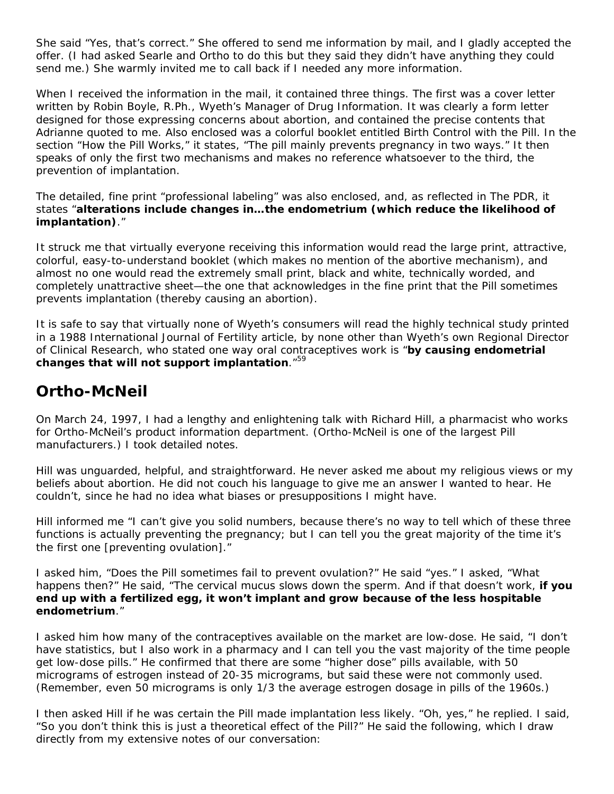She said "Yes, that's correct." She offered to send me information by mail, and I gladly accepted the offer. (I had asked Searle and Ortho to do this but they said they didn't have anything they could send me.) She warmly invited me to call back if I needed any more information.

When I received the information in the mail, it contained three things. The first was a cover letter written by Robin Boyle, R.Ph., Wyeth's Manager of Drug Information. It was clearly a form letter designed for those expressing concerns about abortion, and contained the precise contents that Adrianne quoted to me. Also enclosed was a colorful booklet entitled *Birth Control with the Pill*. In the section "How the Pill Works," it states, "The pill mainly prevents pregnancy in two ways." It then speaks of only the first two mechanisms and makes no reference whatsoever to the third, the prevention of implantation.

The detailed, fine print "professional labeling" was also enclosed, and, as reflected in *The PDR*, it states "**alterations include changes in…the endometrium (which reduce the likelihood of implantation)**."

It struck me that virtually everyone receiving this information would read the large print, attractive, colorful, easy-to-understand booklet (which makes no mention of the abortive mechanism), and almost no one would read the extremely small print, black and white, technically worded, and completely unattractive sheet—the one that acknowledges in the fine print that the Pill sometimes prevents implantation (thereby causing an abortion).

It is safe to say that virtually none of Wyeth's consumers will read the highly technical study printed in a 1988 *International Journal of Fertility* article*,* by none other than Wyeth's own Regional Director of Clinical Research, who stated one way oral contraceptives work is "**by causing endometrial changes that will not support implantation**."[59](#page-88-22) 

### **Ortho-McNeil**

On March 24, 1997, I had a lengthy and enlightening talk with Richard Hill, a pharmacist who works for Ortho-McNeil's product information department. (Ortho-McNeil is one of the largest Pill manufacturers.) I took detailed notes.

Hill was unguarded, helpful, and straightforward. He never asked me about my religious views or my beliefs about abortion. He did not couch his language to give me an answer I wanted to hear. He couldn't, since he had no idea what biases or presuppositions I might have.

Hill informed me "I can't give you solid numbers, because there's no way to tell which of these three functions is actually preventing the pregnancy; but I can tell you the great majority of the time it's the first one [preventing ovulation]."

I asked him, "Does the Pill sometimes fail to prevent ovulation?" He said "yes." I asked, "What happens then?" He said, "The cervical mucus slows down the sperm. And if that doesn't work, **if you end up with a fertilized egg, it won't implant and grow because of the less hospitable endometrium**."

I asked him how many of the contraceptives available on the market are low-dose. He said, "I don't have statistics, but I also work in a pharmacy and I can tell you the vast majority of the time people get low-dose pills." He confirmed that there are some "higher dose" pills available, with 50 micrograms of estrogen instead of 20-35 micrograms, but said these were not commonly used. (Remember, even 50 micrograms is only 1/3 the average estrogen dosage in pills of the 1960s.)

I then asked Hill if he was *certain* the Pill made implantation less likely. "Oh, yes," he replied. I said, "So you don't think this is just a theoretical effect of the Pill?" He said the following, which I draw directly from my extensive notes of our conversation: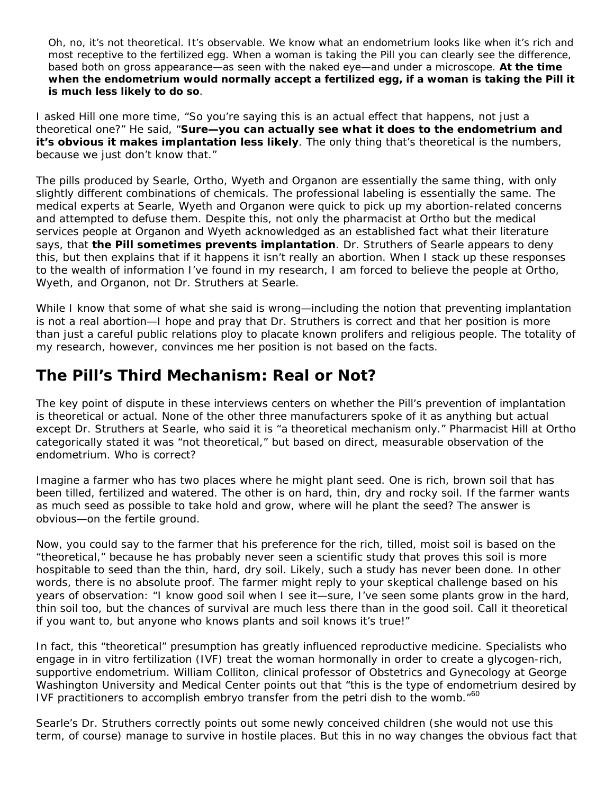Oh, no, it's not theoretical. It's observable. We know what an endometrium looks like when it's rich and most receptive to the fertilized egg. When a woman is taking the Pill you can clearly see the difference, based both on gross appearance—as seen with the naked eye—and under a microscope. **At the time when the endometrium would normally accept a fertilized egg, if a woman is taking the Pill it is much less likely to do so**.

I asked Hill one more time, "So you're saying this is an actual effect that happens, not just a theoretical one?" He said, "**Sure—you can actually see what it does to the endometrium and it's obvious it makes implantation less likely**. The only thing that's theoretical is the numbers, because we just don't know that."

The pills produced by Searle, Ortho, Wyeth and Organon are essentially the same thing, with only slightly different combinations of chemicals. The professional labeling is essentially the same. The medical experts at Searle, Wyeth and Organon were quick to pick up my abortion-related concerns and attempted to defuse them. Despite this, not only the pharmacist at Ortho but the medical services people at Organon and Wyeth acknowledged as an established fact what their literature says, that **the Pill sometimes prevents implantation**. Dr. Struthers of Searle appears to deny this, but then explains that if it happens it isn't really an abortion. When I stack up these responses to the wealth of information I've found in my research, I am forced to believe the people at Ortho, Wyeth, and Organon, not Dr. Struthers at Searle.

While I know that some of what she said is wrong—including the notion that preventing implantation is not a real abortion—I hope and pray that Dr. Struthers is correct and that her position is more than just a careful public relations ploy to placate known prolifers and religious people. The totality of my research, however, convinces me her position is not based on the facts.

### **The Pill's Third Mechanism: Real or Not?**

The key point of dispute in these interviews centers on whether the Pill's prevention of implantation is theoretical or actual. None of the other three manufacturers spoke of it as anything but actual except Dr. Struthers at Searle, who said it is "a theoretical mechanism only." Pharmacist Hill at Ortho categorically stated it was "not theoretical," but based on direct, measurable observation of the endometrium. Who is correct?

Imagine a farmer who has two places where he might plant seed. One is rich, brown soil that has been tilled, fertilized and watered. The other is on hard, thin, dry and rocky soil. If the farmer wants as much seed as possible to take hold and grow, where will he plant the seed? The answer is obvious—on the fertile ground.

Now, you could say to the farmer that his preference for the rich, tilled, moist soil is based on the "theoretical," because he has probably never seen a scientific study that proves this soil is more hospitable to seed than the thin, hard, dry soil. Likely, such a study has never been done. In other words, there is no absolute proof. The farmer might reply to your skeptical challenge based on his years of observation: "I know good soil when I see it—sure, I've seen some plants grow in the hard, thin soil too, but the chances of survival are much less there than in the good soil. Call it theoretical if you want to, but anyone who knows plants and soil knows it's true!"

In fact, this "theoretical" presumption has greatly influenced reproductive medicine. Specialists who engage in *in vitro* fertilization (IVF) treat the woman hormonally in order to create a glycogen-rich, supportive endometrium. William Colliton, clinical professor of Obstetrics and Gynecology at George Washington University and Medical Center points out that "this is the type of endometrium desired by IVF practitioners to accomplish embryo transfer from the petri dish to the womb. $^{160}$  $^{160}$  $^{160}$ 

Searle's Dr. Struthers correctly points out some newly conceived children (she would not use this term, of course) manage to survive in hostile places. But this in no way changes the obvious fact that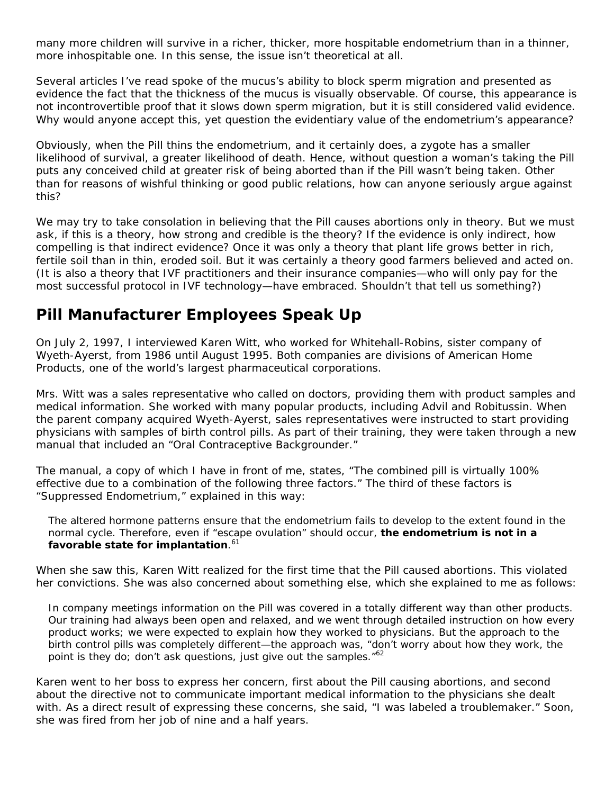many *more* children will survive in a richer, thicker, more hospitable endometrium than in a thinner, more inhospitable one. In this sense, the issue isn't theoretical at all.

Several articles I've read spoke of the mucus's ability to block sperm migration and presented as evidence the fact that the thickness of the mucus is visually observable. Of course, this appearance is not incontrovertible proof that it slows down sperm migration, but it is still considered valid evidence. Why would anyone accept this, yet question the evidentiary value of the endometrium's appearance?

Obviously, when the Pill thins the endometrium, and it certainly does, a zygote has a smaller likelihood of survival, a greater likelihood of death. Hence, without question a woman's taking the Pill puts any conceived child at *greater* risk of being aborted than if the Pill wasn't being taken. Other than for reasons of wishful thinking or good public relations, how can anyone seriously argue against this?

We may try to take consolation in believing that the Pill causes abortions only in theory. But we must ask, if this is a theory, how strong and credible is the theory? If the evidence is only indirect, how compelling is that indirect evidence? Once it was only a theory that plant life grows better in rich, fertile soil than in thin, eroded soil. But it was certainly a theory good farmers believed and acted on. (It is also a theory that IVF practitioners and their insurance companies—who will only pay for the most successful protocol in IVF technology—have embraced. Shouldn't that tell us something?)

### **Pill Manufacturer Employees Speak Up**

On July 2, 1997, I interviewed Karen Witt, who worked for Whitehall-Robins, sister company of Wyeth-Ayerst, from 1986 until August 1995. Both companies are divisions of American Home Products, one of the world's largest pharmaceutical corporations.

Mrs. Witt was a sales representative who called on doctors, providing them with product samples and medical information. She worked with many popular products, including Advil and Robitussin. When the parent company acquired Wyeth-Ayerst, sales representatives were instructed to start providing physicians with samples of birth control pills. As part of their training, they were taken through a new manual that included an "Oral Contraceptive Backgrounder."

The manual, a copy of which I have in front of me, states, "The combined pill is virtually 100% effective due to a combination of the following three factors." The third of these factors is "Suppressed Endometrium," explained in this way:

The altered hormone patterns ensure that the endometrium fails to develop to the extent found in the normal cycle. Therefore, even if "escape ovulation" should occur, **the endometrium is not in a favorable state for implantation**. [61](#page-88-24)

When she saw this, Karen Witt realized for the first time that the Pill caused abortions. This violated her convictions. She was also concerned about something else, which she explained to me as follows:

In company meetings information on the Pill was covered in a totally different way than other products. Our training had always been open and relaxed, and we went through detailed instruction on how every product works; we were expected to explain how they worked to physicians. But the approach to the birth control pills was completely different—the approach was, "don't worry about how they work, the point is they do; don't ask questions, just give out the samples. $162$ 

Karen went to her boss to express her concern, first about the Pill causing abortions, and second about the directive not to communicate important medical information to the physicians she dealt with. As a direct result of expressing these concerns, she said, "I was labeled a troublemaker." Soon, she was fired from her job of nine and a half years.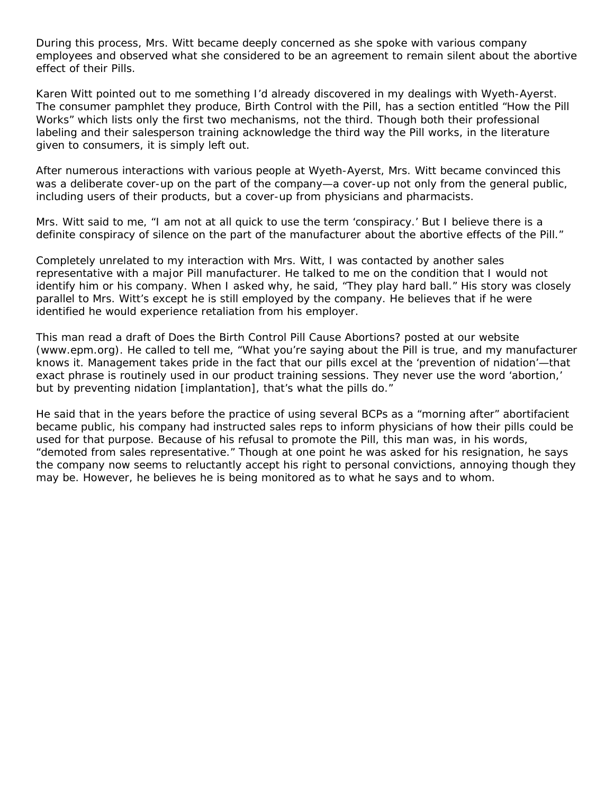During this process, Mrs. Witt became deeply concerned as she spoke with various company employees and observed what she considered to be an agreement to remain silent about the abortive effect of their Pills.

Karen Witt pointed out to me something I'd already discovered in my dealings with Wyeth-Ayerst. The consumer pamphlet they produce, *Birth Control with the Pill,* has a section entitled "How the Pill Works" which lists only the first two mechanisms, not the third. Though both their professional labeling and their salesperson training acknowledge the third way the Pill works, in the literature given to consumers, it is simply left out.

After numerous interactions with various people at Wyeth-Ayerst, Mrs. Witt became convinced this was a deliberate cover-up on the part of the company—a cover-up not only from the general public, including users of their products, but a cover-up from physicians and pharmacists.

Mrs. Witt said to me, "I am not at all quick to use the term 'conspiracy.' But I believe there is a definite conspiracy of silence on the part of the manufacturer about the abortive effects of the Pill."

Completely unrelated to my interaction with Mrs. Witt, I was contacted by another sales representative with a major Pill manufacturer. He talked to me on the condition that I would not identify him or his company. When I asked why, he said, "They play hard ball." His story was closely parallel to Mrs. Witt's except he is still employed by the company. He believes that if he were identified he would experience retaliation from his employer.

This man read a draft of *Does the Birth Control Pill Cause Abortions?* posted at our website (www.epm.org). He called to tell me, "What you're saying about the Pill is true, and my manufacturer knows it. Management takes pride in the fact that our pills excel at the 'prevention of nidation'—that exact phrase is routinely used in our product training sessions. They never use the word 'abortion,' but by preventing nidation [implantation], that's what the pills do."

He said that in the years before the practice of using several BCPs as a "morning after" abortifacient became public, his company had instructed sales reps to inform physicians of how their pills could be used for that purpose. Because of his refusal to promote the Pill, this man was, in his words, "demoted from sales representative." Though at one point he was asked for his resignation, he says the company now seems to reluctantly accept his right to personal convictions, annoying though they may be. However, he believes he is being monitored as to what he says and to whom.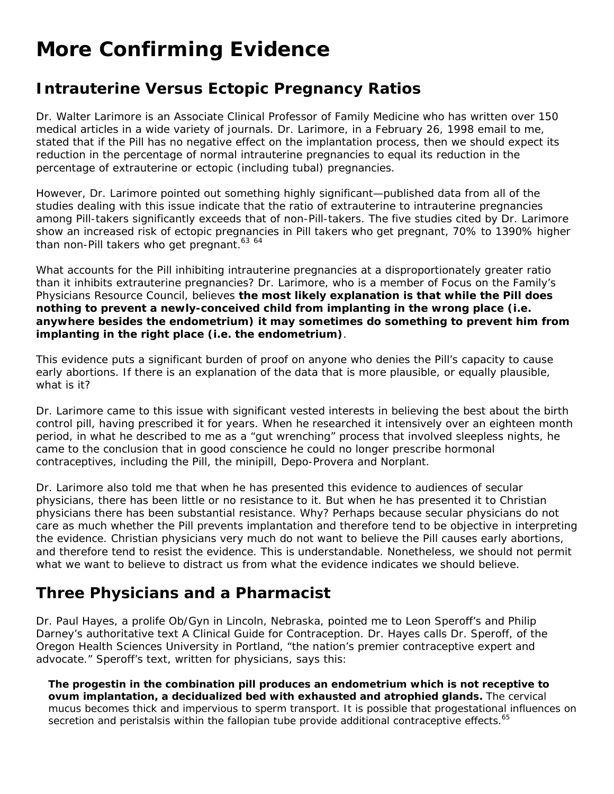# **More Confirming Evidence**

### **Intrauterine Versus Ectopic Pregnancy Ratios**

Dr. Walter Larimore is an Associate Clinical Professor of Family Medicine who has written over 150 medical articles in a wide variety of journals. Dr. Larimore, in a February 26, 1998 email to me, stated that if the Pill has no negative effect on the implantation process, then we should expect its reduction in the percentage of normal intrauterine pregnancies to equal its reduction in the percentage of extrauterine or ectopic (including tubal) pregnancies.

However, Dr. Larimore pointed out something highly significant—published data from all of the studies dealing with this issue indicate that the ratio of extrauterine to intrauterine pregnancies among Pill-takers *significantly exceeds* that of non-Pill-takers. The five studies cited by Dr. Larimore show an increased risk of ectopic pregnancies in Pill takers who get pregnant, 70% to 1390% higher than non-Pill takers who get pregnant.<sup>63 [64](#page-88-32)</sup>

What accounts for the Pill inhibiting intrauterine pregnancies at a disproportionately greater ratio than it inhibits extrauterine pregnancies? Dr. Larimore, who is a member of Focus on the Family's Physicians Resource Council, believes **the most likely explanation is that while the Pill does nothing to prevent a newly-conceived child from implanting in the** *wrong* **place (i.e. anywhere besides the endometrium) it may sometimes do something to prevent him from implanting in the** *right* **place (i.e. the endometrium)**.

This evidence puts a significant burden of proof on anyone who denies the Pill's capacity to cause early abortions. If there is an explanation of the data that is more plausible, or equally plausible, what is it?

Dr. Larimore came to this issue with significant vested interests in believing the best about the birth control pill, having prescribed it for years. When he researched it intensively over an eighteen month period, in what he described to me as a "gut wrenching" process that involved sleepless nights, he came to the conclusion that in good conscience he could no longer prescribe hormonal contraceptives, including the Pill, the minipill, Depo-Provera and Norplant.

Dr. Larimore also told me that when he has presented this evidence to audiences of secular physicians, there has been little or no resistance to it. But when he has presented it to Christian physicians there has been substantial resistance. Why? Perhaps because secular physicians do not care as much whether the Pill prevents implantation and therefore tend to be objective in interpreting the evidence. Christian physicians very much do not want to believe the Pill causes early abortions, and therefore tend to resist the evidence. This is understandable. Nonetheless, we should not permit what we *want* to believe to distract us from what the evidence indicates we *should* believe.

### **Three Physicians and a Pharmacist**

Dr. Paul Hayes, a prolife Ob/Gyn in Lincoln, Nebraska, pointed me to Leon Speroff's and Philip Darney's authoritative text *A Clinical Guide for Contraception.* Dr. Hayes calls Dr. Speroff, of the Oregon Health Sciences University in Portland, "the nation's premier contraceptive expert and advocate." Speroff's text, written for physicians, says this:

**The progestin in the combination pill produces an endometrium which is not receptive to ovum implantation, a decidualized bed with exhausted and atrophied glands.** The cervical mucus becomes thick and impervious to sperm transport. It is possible that progestational influences on secretion and peristalsis within the fallopian tube provide additional contraceptive effects.<sup>[65](#page-88-33)</sup>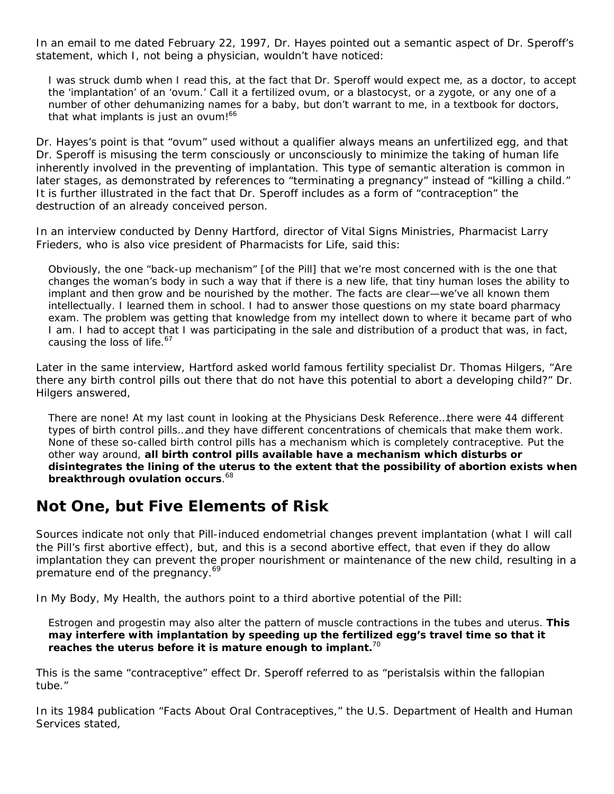In an email to me dated February 22, 1997, Dr. Hayes pointed out a semantic aspect of Dr. Speroff's statement, which I, not being a physician, wouldn't have noticed:

I was struck dumb when I read this, at the fact that Dr. Speroff would expect me, as a doctor, to accept the 'implantation' of an 'ovum.' Call it a *fertilized* ovum, or a blastocyst, or a zygote, or any one of a number of other dehumanizing names for a baby, but don't warrant to me, in a textbook for doctors, that what implants is just an ovum!<sup>[66](#page-88-34)</sup>

Dr. Hayes's point is that "ovum" used without a qualifier always means an unfertilized egg, and that Dr. Speroff is misusing the term consciously or unconsciously to minimize the taking of human life inherently involved in the preventing of implantation. This type of semantic alteration is common in later stages, as demonstrated by references to "terminating a pregnancy" instead of "killing a child." It is further illustrated in the fact that Dr. Speroff includes as a form of "contraception" the destruction of an already conceived person.

In an interview conducted by Denny Hartford, director of Vital Signs Ministries, Pharmacist Larry Frieders, who is also vice president of Pharmacists for Life, said this:

Obviously, the one "back-up mechanism" [of the Pill] that we're most concerned with is the one that changes the woman's body in such a way that if there is a new life, that tiny human loses the ability to implant and then grow and be nourished by the mother. The facts are clear—we've all known them intellectually. I learned them in school. I had to answer those questions on my state board pharmacy exam. The problem was getting that knowledge from my intellect down to where it became part of who I am. I had to accept that I was participating in the sale and distribution of a product that was, in fact, causing the loss of life.<sup>[67](#page-88-50)</sup>

Later in the same interview, Hartford asked world famous fertility specialist Dr. Thomas Hilgers, "Are there any birth control pills out there that do not have this potential to abort a developing child?" Dr. Hilgers answered,

There are none! At my last count in looking at the *Physicians Desk Reference*…there were 44 different types of birth control pills…and they have different concentrations of chemicals that make them work. None of these so-called birth control pills has a mechanism which is completely contraceptive. Put the other way around, **all birth control pills available have a mechanism which disturbs or disintegrates the lining of the uterus to the extent that the possibility of abortion exists when breakthrough ovulation occurs**. [68](#page-88-35) 

### **Not One, but Five Elements of Risk**

Sources indicate not only that Pill-induced endometrial changes prevent implantation (what I will call the Pill's first abortive effect), but, and this is a second abortive effect, that even if they do allow implantation they can prevent the proper nourishment or maintenance of the new child, resulting in a premature end of the pregnancy.<sup>[69](#page-88-51)</sup>

In *My Body, My Health*, the authors point to a third abortive potential of the Pill:

Estrogen and progestin may also alter the pattern of muscle contractions in the tubes and uterus. **This may interfere with implantation by speeding up the fertilized egg's travel time so that it reaches the uterus before it is mature enough to implant.**[70](#page-88-52)

This is the same "contraceptive" effect Dr. Speroff referred to as "peristalsis within the fallopian tube."

In its 1984 publication "Facts About Oral Contraceptives," the U.S. Department of Health and Human Services stated,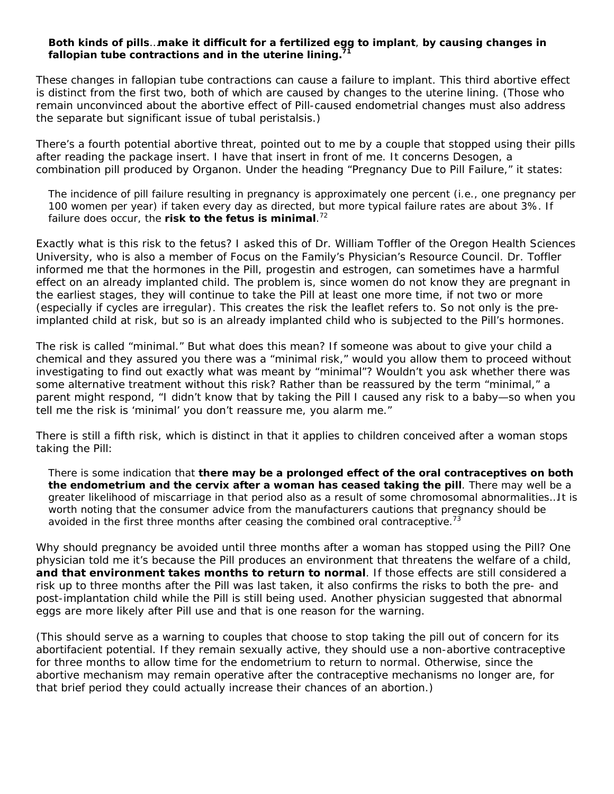#### **Both kinds of pills**…**make it difficult for a fertilized egg to implant**, **by causing changes in fallopian tube contractions and in the uterine lining.[71](#page-88-39)**

These changes in fallopian tube contractions can cause a failure to implant. This third abortive effect is distinct from the first two, both of which are caused by changes to the uterine lining. (Those who remain unconvinced about the abortive effect of Pill-caused endometrial changes must also address the separate but significant issue of tubal peristalsis.)

There's a fourth potential abortive threat, pointed out to me by a couple that stopped using their pills after reading the package insert. I have that insert in front of me. It concerns Desogen, a combination pill produced by Organon. Under the heading "Pregnancy Due to Pill Failure," it states:

The incidence of pill failure resulting in pregnancy is approximately one percent (i.e., one pregnancy per 100 women per year) if taken every day as directed, but more typical failure rates are about 3%. If failure does occur, the **risk to the fetus is minimal**. [72](#page-88-53)

Exactly what *is* this risk to the fetus? I asked this of Dr. William Toffler of the Oregon Health Sciences University, who is also a member of Focus on the Family's Physician's Resource Council. Dr. Toffler informed me that the hormones in the Pill, progestin and estrogen, can sometimes have a harmful effect on an already implanted child. The problem is, since women do not know they are pregnant in the earliest stages, they will continue to take the Pill at least one more time, if not two or more (especially if cycles are irregular). This creates the risk the leaflet refers to. So not only is the preimplanted child at risk, but so is an *already implanted child* who is subjected to the Pill's hormones.

The risk is called "minimal." But what does this mean? If someone was about to give your child a chemical and they assured you there was a "minimal risk," would you allow them to proceed without investigating to find out exactly what was meant by "minimal"? Wouldn't you ask whether there was some alternative treatment without this risk? Rather than be reassured by the term "minimal," a parent might respond, "I didn't know that by taking the Pill I caused *any* risk to a baby—so when you tell me the risk is 'minimal' you don't reassure me, you alarm me."

There is still a fifth risk, which is distinct in that it applies to children conceived *after* a woman stops taking the Pill:

There is some indication that **there may be a prolonged effect of the oral contraceptives on both the endometrium and the cervix after a woman has ceased taking the pill**. There may well be a greater likelihood of miscarriage in that period also as a result of some chromosomal abnormalities…It is worth noting that the consumer advice from the manufacturers cautions that pregnancy should be avoided in the first three months after ceasing the combined oral contraceptive.<sup>[73](#page-88-40)</sup>

Why should pregnancy be avoided until three months after a woman has stopped using the Pill? One physician told me it's because the Pill produces an environment that threatens the welfare of a child, *and* **that environment takes months to return to normal**. If those effects are still considered a risk up to three months after the Pill was last taken, it also confirms the risks to both the pre- and post-implantation child while the Pill is still being used. Another physician suggested that abnormal eggs are more likely after Pill use and that is one reason for the warning.

(This should serve as a warning to couples that choose to stop taking the pill out of concern for its abortifacient potential. If they remain sexually active, they should use a non-abortive contraceptive for three months to allow time for the endometrium to return to normal. Otherwise, since the abortive mechanism may remain operative after the contraceptive mechanisms no longer are, for that brief period they could actually increase their chances of an abortion.)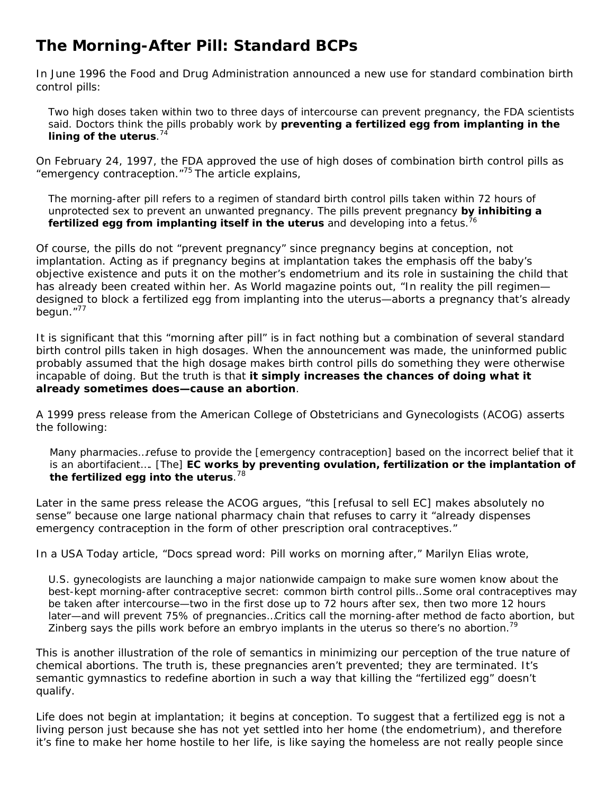### **The Morning-After Pill: Standard BCPs**

In June 1996 the Food and Drug Administration announced a new use for standard combination birth control pills:

Two high doses taken within two to three days of intercourse can prevent pregnancy, the FDA scientists said. Doctors think the pills probably work by **preventing a fertilized egg from implanting in the lining of the uterus**. [74](#page-88-41) 

On February 24, 1997, the FDA approved the use of high doses of combination birth control pills as "emergency contraception."[75](#page-88-42) The article explains,

The morning-after pill refers to a regimen of standard birth control pills taken within 72 hours of unprotected sex to prevent an unwanted pregnancy. The pills prevent pregnancy **by inhibiting a**  fertilized egg from implanting itself in the uterus and developing into a fetus.<sup>76</sup>

Of course, the pills do *not* "prevent pregnancy" since pregnancy begins at conception, not implantation. Acting as if pregnancy begins at implantation takes the emphasis off the baby's objective existence and puts it on the mother's endometrium and its role in sustaining the child that has already been created within her. As *World* magazine points out, "In reality the pill regimen designed to block a fertilized egg from implanting into the uterus—aborts a pregnancy that's already begun. $177$ 

It is significant that this "morning after pill" is in fact nothing but a combination of several standard birth control pills taken in high dosages. When the announcement was made, the uninformed public probably assumed that the high dosage makes birth control pills do something they were otherwise incapable of doing. But the truth is that **it simply increases the chances of doing what it already sometimes does—cause an abortion**.

A 1999 press release from the American College of Obstetricians and Gynecologists (ACOG) asserts the following:

Many pharmacies…refuse to provide the [emergency contraception] based on the incorrect belief that it is an abortifacient…. [The] **EC works by preventing ovulation, fertilization or the implantation of the fertilized egg into the uterus**. [78](#page-88-9) 

Later in the same press release the ACOG argues, "this [refusal to sell EC] makes absolutely no sense" because one large national pharmacy chain that refuses to carry it "already dispenses emergency contraception in the form of other prescription oral contraceptives."

In a *USA Today* article*,* "Docs spread word: Pill works on morning after," Marilyn Elias wrote,

U.S. gynecologists are launching a major nationwide campaign to make sure women know about the best-kept morning-after contraceptive secret: common birth control pills…Some oral contraceptives may be taken after intercourse—two in the first dose up to 72 hours after sex, then two more 12 hours later—and will prevent 75% of pregnancies…Critics call the morning-after method de facto abortion, but Zinberg says the pills work before an embryo implants in the uterus so there's no abortion.<sup>79</sup>

This is another illustration of the role of semantics in minimizing our perception of the true nature of chemical abortions. The truth is, these pregnancies aren't prevented; they are *terminated*. It's semantic gymnastics to redefine abortion in such a way that killing the "fertilized egg" doesn't qualify.

Life does not begin at implantation; it begins at conception. To suggest that a fertilized egg is not a living person just because she has not yet settled into her home (the endometrium), and therefore it's fine to make her home hostile to her life, is like saying the homeless are not really people since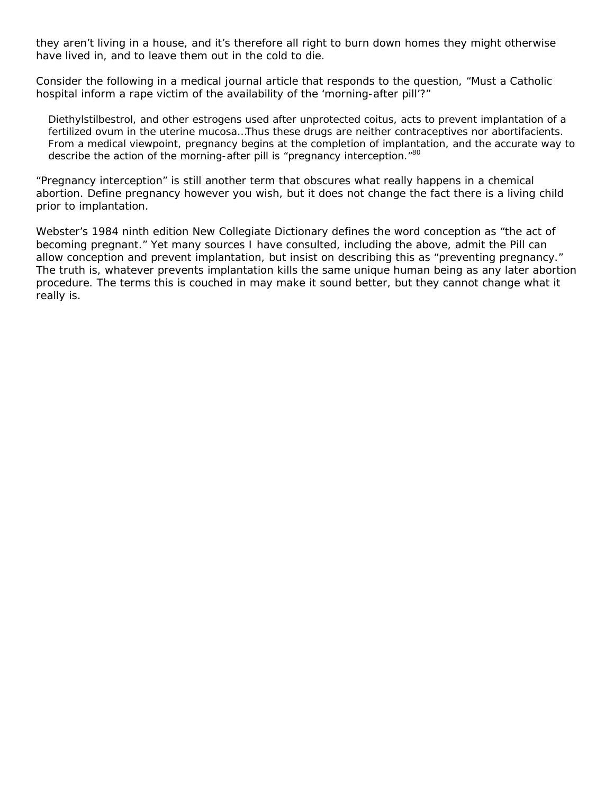they aren't living in a house, and it's therefore all right to burn down homes they might otherwise have lived in, and to leave them out in the cold to die.

Consider the following in a medical journal article that responds to the question, "Must a Catholic hospital inform a rape victim of the availability of the 'morning-after pill'?"

Diethylstilbestrol, and other estrogens used after unprotected coitus, acts to prevent implantation of a fertilized ovum in the uterine mucosa…Thus these drugs are neither contraceptives nor abortifacients. From a medical viewpoint, pregnancy begins at the completion of implantation, and the accurate way to describe the action of the morning-after pill is "pregnancy interception."<sup>80</sup>

"Pregnancy interception" is still another term that obscures what really happens in a chemical abortion. Define pregnancy however you wish, but it does not change the fact there is a living child prior to implantation.

Webster's 1984 ninth edition *New Collegiate Dictionary* defines the word conception as "the act of becoming pregnant." Yet many sources I have consulted, including the above, admit the Pill can allow conception and prevent implantation, but insist on describing this as "preventing pregnancy." The truth is, whatever prevents implantation kills the same unique human being as any later abortion procedure. The terms this is couched in may make it sound better, but they cannot change what it really is.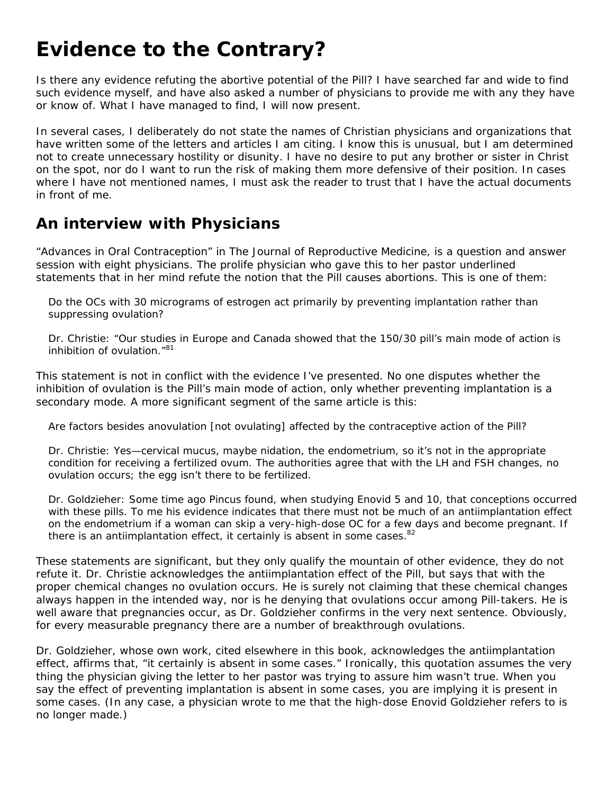# **Evidence to the Contrary?**

Is there any evidence refuting the abortive potential of the Pill? I have searched far and wide to find such evidence myself, and have also asked a number of physicians to provide me with any they have or know of. What I have managed to find, I will now present.

In several cases, I deliberately do not state the names of Christian physicians and organizations that have written some of the letters and articles I am citing. I know this is unusual, but I am determined not to create unnecessary hostility or disunity. I have no desire to put any brother or sister in Christ on the spot, nor do I want to run the risk of making them more defensive of their position. In cases where I have not mentioned names, I must ask the reader to trust that I have the actual documents in front of me.

### **An interview with Physicians**

"Advances in Oral Contraception" in *The Journal of Reproductive Medicine*, is a question and answer session with eight physicians. The prolife physician who gave this to her pastor underlined statements that in her mind refute the notion that the Pill causes abortions. This is one of them:

Do the OCs with 30 micrograms of estrogen act primarily by preventing implantation rather than suppressing ovulation?

Dr. Christie: "Our studies in Europe and Canada showed that the 150/30 pill's main mode of action is inhibition of ovulation."[81](#page-88-13)

This statement is not in conflict with the evidence I've presented. No one disputes whether the inhibition of ovulation is the Pill's *main* mode of action, only whether preventing implantation is a secondary mode. A more significant segment of the same article is this:

Are factors besides anovulation [not ovulating] affected by the contraceptive action of the Pill?

Dr. Christie: Yes—cervical mucus, maybe nidation, the endometrium, so it's not in the appropriate condition for receiving a fertilized ovum. The authorities agree that with the LH and FSH changes, no ovulation occurs; the egg isn't there to be fertilized.

Dr. Goldzieher: Some time ago Pincus found, when studying Enovid 5 and 10, that conceptions occurred with these pills. To me his evidence indicates that there must not be much of an antiimplantation effect on the endometrium if a woman can skip a very-high-dose OC for a few days and become pregnant. If there is an antiimplantation effect, it certainly is absent in some cases. $82$ 

These statements are significant, but they only *qualify* the mountain of other evidence, they do not *refute* it. Dr. Christie acknowledges the antiimplantation effect of the Pill, but says that with the proper chemical changes no ovulation occurs. He is surely not claiming that these chemical changes *always* happen in the intended way, nor is he denying that ovulations occur among Pill-takers. He is well aware that pregnancies occur, as Dr. Goldzieher confirms in the very next sentence. Obviously, for every measurable pregnancy there are a number of breakthrough ovulations.

Dr. Goldzieher, whose own work, cited elsewhere in this book, acknowledges the antiimplantation effect, affirms that, "it certainly is absent in some cases." Ironically, this quotation assumes the very thing the physician giving the letter to her pastor was trying to assure him wasn't true. When you say the effect of preventing implantation is absent in some cases, you are implying it is present in some cases. (In any case, a physician wrote to me that the high-dose Enovid Goldzieher refers to is no longer made.)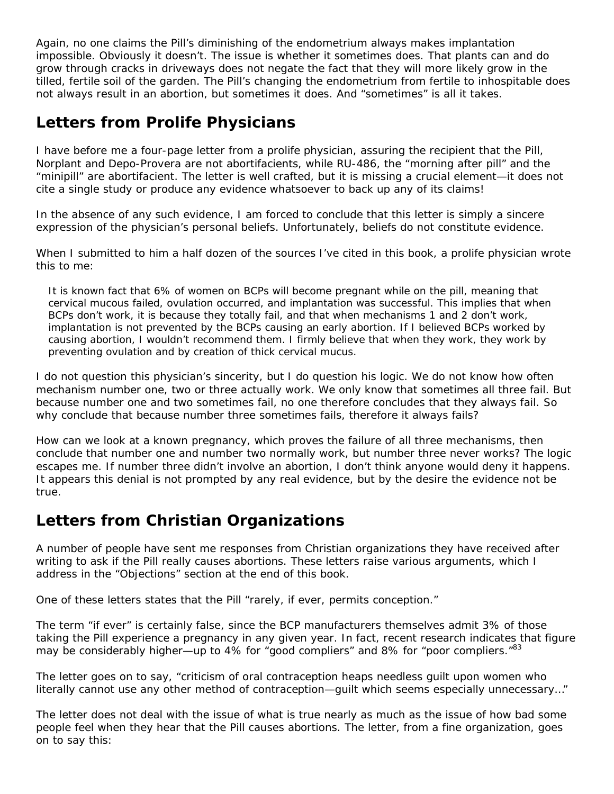Again, no one claims the Pill's diminishing of the endometrium *always* makes implantation impossible. Obviously it doesn't. The issue is whether it *sometimes* does. That plants can and do grow through cracks in driveways does not negate the fact that they will more likely grow in the tilled, fertile soil of the garden. The Pill's changing the endometrium from fertile to inhospitable does not always result in an abortion, but sometimes it does. And "sometimes" is all it takes.

### **Letters from Prolife Physicians**

I have before me a four-page letter from a prolife physician, assuring the recipient that the Pill, Norplant and Depo-Provera are not abortifacients, while RU-486, the "morning after pill" and the "minipill" are abortifacient. The letter is well crafted, but it is missing a crucial element—it does not cite a single study or produce any evidence whatsoever to back up any of its claims!

In the absence of any such evidence, I am forced to conclude that this letter is simply a sincere expression of the physician's personal beliefs. Unfortunately, beliefs do not constitute evidence.

When I submitted to him a half dozen of the sources I've cited in this book, a prolife physician wrote this to me:

It is known fact that 6% of women on BCPs will become pregnant while on the pill, meaning that cervical mucous failed, ovulation occurred, and implantation was successful. This implies that when BCPs don't work, it is because they totally fail, and that when mechanisms 1 and 2 don't work, implantation is not prevented by the BCPs causing an early abortion. If I believed BCPs worked by causing abortion, I wouldn't recommend them. I firmly believe that when they work, they work by preventing ovulation and by creation of thick cervical mucus.

I do not question this physician's sincerity, but I do question his logic. We do not know how often mechanism number one, two or three actually work. We only know that sometimes all three fail. But because number one and two *sometimes* fail, no one therefore concludes that they *always* fail. So why conclude that because number three sometimes fails, therefore it always fails?

How can we look at a known pregnancy, which proves the failure of all three mechanisms, then conclude that number one and number two *normally* work, but number three *never* works? The logic escapes me. If number three didn't involve an abortion, I don't think anyone would deny it happens. It appears this denial is not prompted by any real evidence, but by the desire the evidence not be true.

### **Letters from Christian Organizations**

A number of people have sent me responses from Christian organizations they have received after writing to ask if the Pill really causes abortions. These letters raise various arguments, which I address in the "Objections" section at the end of this book.

One of these letters states that the Pill "rarely, if ever, permits conception."

The term "if ever" is certainly false, since the BCP manufacturers themselves admit 3% of those taking the Pill experience a pregnancy in any given year. In fact, recent research indicates that figure may be considerably higher—up to 4% for "good compliers" and 8% for "poor compliers."<sup>[83](#page-88-16)</sup>

The letter goes on to say, "criticism of oral contraception heaps needless guilt upon women who literally cannot use any other method of contraception—guilt which seems especially unnecessary…"

The letter does not deal with the issue of what is true nearly as much as the issue of how bad some people feel when they hear that the Pill causes abortions. The letter, from a fine organization, goes on to say this: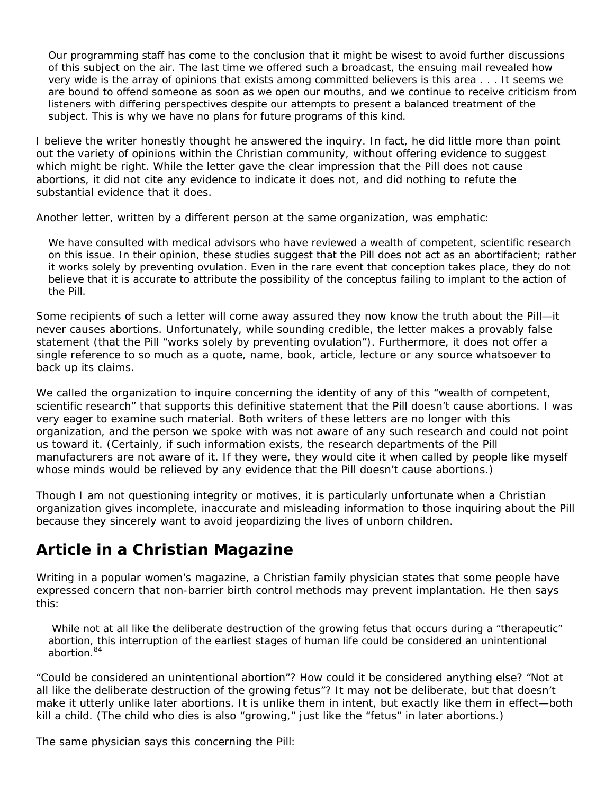Our programming staff has come to the conclusion that it might be wisest to avoid further discussions of this subject on the air. The last time we offered such a broadcast, the ensuing mail revealed how very wide is the array of opinions that exists among committed believers is this area . . . It seems we are bound to offend someone as soon as we open our mouths, and we continue to receive criticism from listeners with differing perspectives despite our attempts to present a balanced treatment of the subject. This is why we have no plans for future programs of this kind.

I believe the writer honestly thought he answered the inquiry. In fact, he did little more than point out the variety of opinions within the Christian community, without offering evidence to suggest which might be right. While the letter gave the clear impression that the Pill does not cause abortions, it did not cite any evidence to indicate it does not, and did nothing to refute the substantial evidence that it does.

Another letter, written by a different person at the same organization, was emphatic:

We have consulted with medical advisors who have reviewed a wealth of competent, scientific research on this issue. In their opinion, these studies suggest that the Pill does not act as an abortifacient; rather it works solely by preventing ovulation. Even in the rare event that conception takes place, they do not believe that it is accurate to attribute the possibility of the conceptus failing to implant to the action of the Pill.

Some recipients of such a letter will come away assured they now know the truth about the Pill—it never causes abortions. Unfortunately, while sounding credible, the letter makes a provably false statement (that the Pill "works solely by preventing ovulation"). Furthermore, it does not offer a single reference to so much as a quote, name, book, article, lecture or any source whatsoever to back up its claims.

We called the organization to inquire concerning the identity of *any* of this "wealth of competent, scientific research" that supports this definitive statement that the Pill doesn't cause abortions. I was very eager to examine such material. Both writers of these letters are no longer with this organization, and the person we spoke with was not aware of any such research and could not point us toward it. (Certainly, if such information exists, the research departments of the Pill manufacturers are not aware of it. If they were, they would cite it when called by people like myself whose minds would be relieved by any evidence that the Pill doesn't cause abortions.)

Though I am not questioning integrity or motives, it is particularly unfortunate when a Christian organization gives incomplete, inaccurate and misleading information to those inquiring about the Pill because they sincerely want to avoid jeopardizing the lives of unborn children.

### **Article in a Christian Magazine**

Writing in a popular women's magazine, a Christian family physician states that some people have expressed concern that non-barrier birth control methods may prevent implantation. He then says this:

While not at all like the deliberate destruction of the growing fetus that occurs during a "therapeutic" abortion, this interruption of the earliest stages of human life could be considered an unintentional abortion.[84](#page-88-54) 

"*Could* be considered an unintentional abortion"? How could it be considered anything else? "*Not at all* like the deliberate destruction of the growing fetus"? It may not be deliberate, but that doesn't make it utterly unlike later abortions. It is unlike them in *intent*, but exactly like them in *effect*—both kill a child. (The child who dies is also "growing," just like the "fetus" in later abortions.)

The same physician says this concerning the Pill: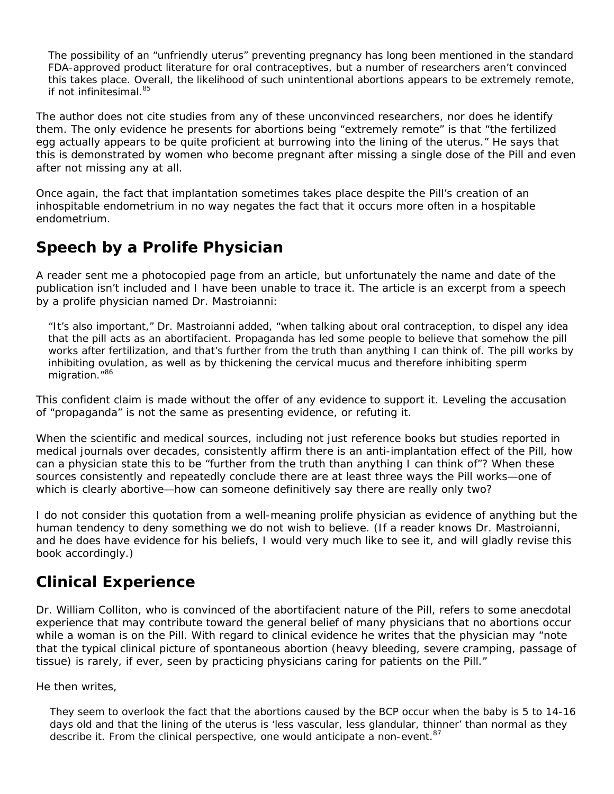The possibility of an "unfriendly uterus" preventing pregnancy has long been mentioned in the standard FDA-approved product literature for oral contraceptives, but a number of researchers aren't convinced this takes place. Overall, the likelihood of such unintentional abortions appears to be extremely remote, if not infinitesimal.<sup>85</sup>

The author does not cite studies from any of these unconvinced researchers, nor does he identify them. The only evidence he presents for abortions being "extremely remote" is that "the fertilized egg actually appears to be quite proficient at burrowing into the lining of the uterus." He says that this is demonstrated by women who become pregnant after missing a single dose of the Pill and even after not missing any at all.

Once again, the fact that implantation sometimes takes place despite the Pill's creation of an inhospitable endometrium in no way negates the fact that it occurs more often in a hospitable endometrium.

### **Speech by a Prolife Physician**

A reader sent me a photocopied page from an article, but unfortunately the name and date of the publication isn't included and I have been unable to trace it. The article is an excerpt from a speech by a prolife physician named Dr. Mastroianni:

"It's also important," Dr. Mastroianni added, "when talking about oral contraception, to dispel any idea that the pill acts as an abortifacient. Propaganda has led some people to believe that somehow the pill works after fertilization, and that's further from the truth than anything I can think of. The pill works by inhibiting ovulation, as well as by thickening the cervical mucus and therefore inhibiting sperm migration."[86](#page-88-47) 

This confident claim is made without the offer of any evidence to support it. Leveling the accusation of "propaganda" is not the same as presenting evidence, or refuting it.

When the scientific and medical sources, including not just reference books but studies reported in medical journals over decades, consistently affirm there is an anti-implantation effect of the Pill, how can a physician state this to be "further from the truth than anything I can think of"? When these sources consistently and repeatedly conclude there are at least three ways the Pill works—one of which is clearly abortive—how can someone definitively say there are *really* only two?

I do not consider this quotation from a well-meaning prolife physician as evidence of anything but the human tendency to deny something we do not wish to believe. (If a reader knows Dr. Mastroianni, and he *does* have evidence for his beliefs, I would very much like to see it, and will gladly revise this book accordingly.)

### **Clinical Experience**

Dr. William Colliton, who is convinced of the abortifacient nature of the Pill, refers to some anecdotal experience that may contribute toward the general belief of many physicians that no abortions occur while a woman is on the Pill. With regard to clinical evidence he writes that the physician may "note that the typical clinical picture of spontaneous abortion (heavy bleeding, severe cramping, passage of tissue) is rarely, if ever, seen by practicing physicians caring for patients on the Pill."

He then writes,

They seem to overlook the fact that the abortions caused by the BCP occur when the baby is 5 to 14-16 days old and that the lining of the uterus is 'less vascular, less glandular, thinner' than normal as they describe it. From the clinical perspective, one would anticipate a non-event. $87$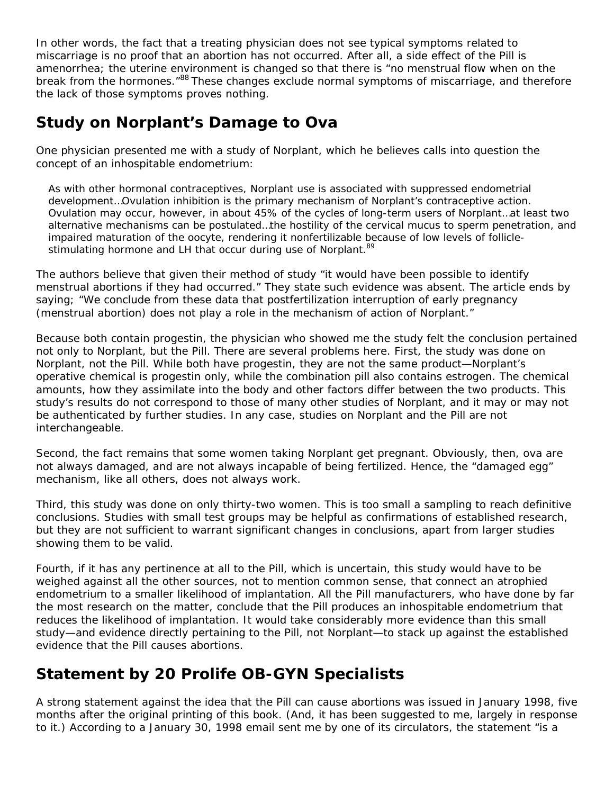In other words, the fact that a treating physician does not see typical symptoms related to miscarriage is no proof that an abortion has not occurred. After all, a side effect of the Pill is amenorrhea; the uterine environment is changed so that there is "no menstrual flow when on the break from the hormones.<sup>"[88](#page-88-20)</sup> These changes exclude normal symptoms of miscarriage, and therefore the lack of those symptoms proves nothing.

### **Study on Norplant's Damage to Ova**

One physician presented me with a study of Norplant, which he believes calls into question the concept of an inhospitable endometrium:

As with other hormonal contraceptives, Norplant use is associated with suppressed endometrial development…Ovulation inhibition is the primary mechanism of Norplant's contraceptive action. Ovulation may occur, however, in about 45% of the cycles of long-term users of Norplant…at least two alternative mechanisms can be postulated…the hostility of the cervical mucus to sperm penetration, and impaired maturation of the oocyte, rendering it nonfertilizable because of low levels of folliclestimulating hormone and LH that occur during use of Norplant.<sup>89</sup>

The authors believe that given their method of study "it would have been possible to identify menstrual abortions if they had occurred." They state such evidence was absent. The article ends by saying; "We conclude from these data that postfertilization interruption of early pregnancy (menstrual abortion) does not play a role in the mechanism of action of Norplant."

Because both contain progestin, the physician who showed me the study felt the conclusion pertained not only to Norplant, but the Pill. There are several problems here. First, the study was done on Norplant, *not* the Pill. While both have progestin, they are not the same product—Norplant's operative chemical is progestin only, while the combination pill also contains estrogen. The chemical amounts, how they assimilate into the body and other factors differ between the two products. This study's results do not correspond to those of many other studies of Norplant, and it may or may not be authenticated by further studies. In any case, studies on Norplant and the Pill are not interchangeable.

Second, the fact remains that some women taking Norplant get pregnant. Obviously, then, ova are not always damaged, and are not always incapable of being fertilized. Hence, the "damaged egg" mechanism, like all others, does not always work.

Third, this study was done on only thirty-two women. This is too small a sampling to reach definitive conclusions. Studies with small test groups may be helpful as confirmations of established research, but they are not sufficient to warrant significant changes in conclusions, apart from larger studies showing them to be valid.

Fourth, if it has any pertinence at all to the Pill, which is uncertain, this study would have to be weighed against all the other sources, not to mention common sense, that connect an atrophied endometrium to a smaller likelihood of implantation. All the Pill manufacturers, who have done by far the most research on the matter, conclude that the Pill produces an inhospitable endometrium that reduces the likelihood of implantation. It would take considerably more evidence than this small study—and evidence directly pertaining to the Pill, not Norplant—to stack up against the established evidence that the Pill causes abortions.

### **Statement by 20 Prolife OB-GYN Specialists**

A strong statement against the idea that the Pill can cause abortions was issued in January 1998, five months after the original printing of this book. (And, it has been suggested to me, largely in response to it.) According to a January 30, 1998 email sent me by one of its circulators, the statement "is a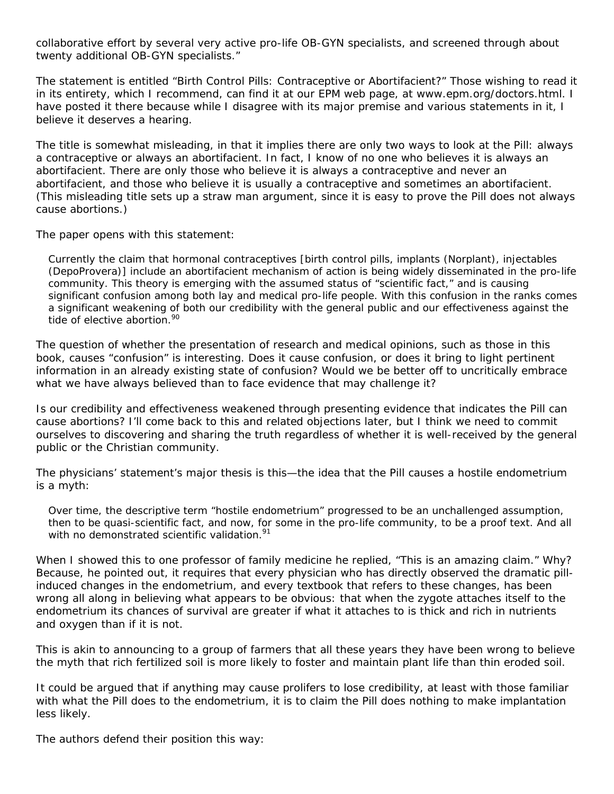collaborative effort by several very active pro-life OB-GYN specialists, and screened through about twenty additional OB-GYN specialists."

The statement is entitled "Birth Control Pills: Contraceptive or Abortifacient?" Those wishing to read it in its entirety, which I recommend, can find it at our EPM web page, at www.epm.org/doctors.html. I have posted it there because while I disagree with its major premise and various statements in it, I believe it deserves a hearing.

The title is somewhat misleading, in that it implies there are only two ways to look at the Pill: always a contraceptive or always an abortifacient. In fact, I know of no one who believes it is always an abortifacient. There are only those who believe it is always a contraceptive and never an abortifacient, and those who believe it is usually a contraceptive and *sometimes* an abortifacient. (This misleading title sets up a straw man argument, since it is easy to prove the Pill does not always cause abortions.)

The paper opens with this statement:

Currently the claim that hormonal contraceptives [birth control pills, implants (Norplant), injectables (DepoProvera)] include an abortifacient mechanism of action is being widely disseminated in the pro-life community. This theory is emerging with the assumed status of "scientific fact," and is causing significant confusion among both lay and medical pro-life people. With this confusion in the ranks comes a significant weakening of both our credibility with the general public and our effectiveness against the tide of elective abortion.<sup>90</sup>

The question of whether the presentation of research and medical opinions, such as those in this book, causes "confusion" is interesting. Does it cause confusion, or does it bring to light pertinent information in an already existing state of confusion? Would we be better off to uncritically embrace what we have always believed than to face evidence that may challenge it?

Is our credibility and effectiveness weakened through presenting evidence that indicates the Pill can cause abortions? I'll come back to this and related objections later, but I think we need to commit ourselves to discovering and sharing the truth regardless of whether it is well-received by the general public or the Christian community.

The physicians' statement's major thesis is this—the idea that the Pill causes a hostile endometrium is a myth:

Over time, the descriptive term "hostile endometrium" progressed to be an unchallenged assumption, then to be quasi-scientific fact, and now, for some in the pro-life community, to be a proof text. And all with no demonstrated scientific validation.<sup>[91](#page-88-1)</sup>

When I showed this to one professor of family medicine he replied, "This is an amazing claim." Why? Because, he pointed out, it requires that every physician who has directly observed the dramatic pillinduced changes in the endometrium, and every textbook that refers to these changes, has been wrong all along in believing what appears to be obvious: that when the zygote attaches itself to the endometrium its chances of survival are greater if what it attaches to is thick and rich in nutrients and oxygen than if it is not.

This is akin to announcing to a group of farmers that all these years they have been wrong to believe the myth that rich fertilized soil is more likely to foster and maintain plant life than thin eroded soil.

It could be argued that if anything may cause prolifers to lose credibility, at least with those familiar with what the Pill does to the endometrium, it is to claim the Pill does nothing to make implantation less likely.

The authors defend their position this way: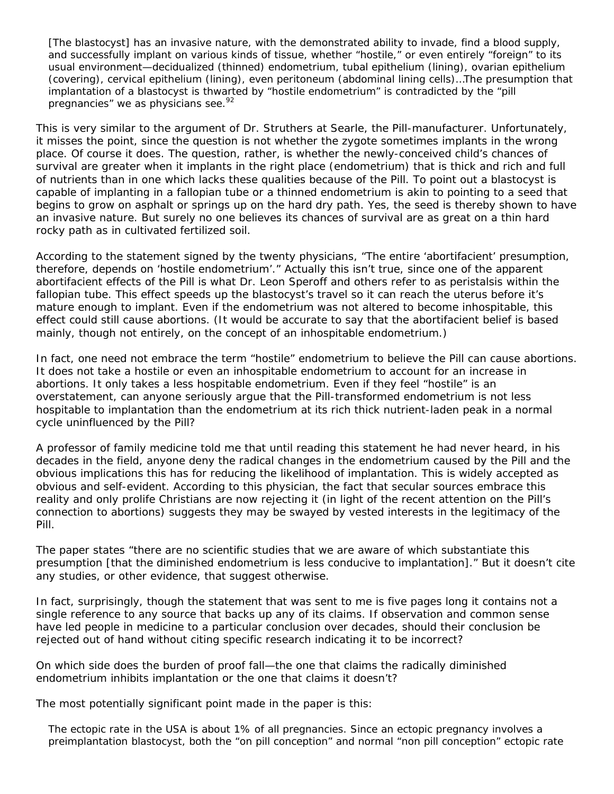[The blastocyst] has an invasive nature, with the demonstrated ability to invade, find a blood supply, and successfully implant on various kinds of tissue, whether "hostile," or even entirely "foreign" to its usual environment—decidualized (thinned) endometrium, tubal epithelium (lining), ovarian epithelium (covering), cervical epithelium (lining), even peritoneum (abdominal lining cells)…The presumption that implantation of a blastocyst is thwarted by "hostile endometrium" is contradicted by the "pill pregnancies" we as physicians see.<sup>92</sup>

This is very similar to the argument of Dr. Struthers at Searle, the Pill-manufacturer. Unfortunately, it misses the point, since the question is not whether the zygote sometimes implants in the wrong place. Of course it does. The question, rather, is whether the newly-conceived child's chances of survival are greater when it implants in the right place (endometrium) that is thick and rich and full of nutrients than in one which lacks these qualities because of the Pill. To point out a blastocyst is capable of implanting in a fallopian tube or a thinned endometrium is akin to pointing to a seed that begins to grow on asphalt or springs up on the hard dry path. Yes, the seed is thereby shown to have an invasive nature. But surely no one believes its chances of survival are as great on a thin hard rocky path as in cultivated fertilized soil.

According to the statement signed by the twenty physicians, "The entire 'abortifacient' presumption, therefore, depends on 'hostile endometrium'." Actually this isn't true, since one of the apparent abortifacient effects of the Pill is what Dr. Leon Speroff and others refer to as peristalsis within the fallopian tube. This effect speeds up the blastocyst's travel so it can reach the uterus before it's mature enough to implant. Even if the endometrium was not altered to become inhospitable, this effect could still cause abortions. (It would be accurate to say that the abortifacient belief is based *mainly*, though not entirely, on the concept of an inhospitable endometrium.)

In fact, one need not embrace the term "hostile" endometrium to believe the Pill can cause abortions. It does not take a hostile or even an inhospitable endometrium to account for an increase in abortions. It only takes a *less* hospitable endometrium. Even if they feel "hostile" is an overstatement, can anyone seriously argue that the Pill-transformed endometrium is not *less* hospitable to implantation than the endometrium at its rich thick nutrient-laden peak in a normal cycle uninfluenced by the Pill?

A professor of family medicine told me that until reading this statement he had never heard, in his decades in the field, *anyone* deny the radical changes in the endometrium caused by the Pill and the obvious implications this has for reducing the likelihood of implantation. This is widely accepted as obvious and self-evident. According to this physician, the fact that secular sources embrace this reality and only prolife Christians are now rejecting it (in light of the recent attention on the Pill's connection to abortions) suggests they may be swayed by vested interests in the legitimacy of the Pill.

The paper states "there are no scientific studies that we are aware of which substantiate this presumption [that the diminished endometrium is less conducive to implantation]." But it doesn't cite any studies, or other evidence, that suggest otherwise.

In fact, surprisingly, though the statement that was sent to me is five pages long it contains not a single reference to any source that backs up any of its claims. If observation and common sense have led people in medicine to a particular conclusion over decades, should their conclusion be rejected out of hand without citing specific research indicating it to be incorrect?

On which side does the burden of proof fall—the one that claims the radically diminished endometrium inhibits implantation or the one that claims it doesn't?

The most potentially significant point made in the paper is this:

The ectopic rate in the USA is about 1% of all pregnancies. Since an ectopic pregnancy involves a preimplantation blastocyst, both the "on pill conception" and normal "non pill conception" ectopic rate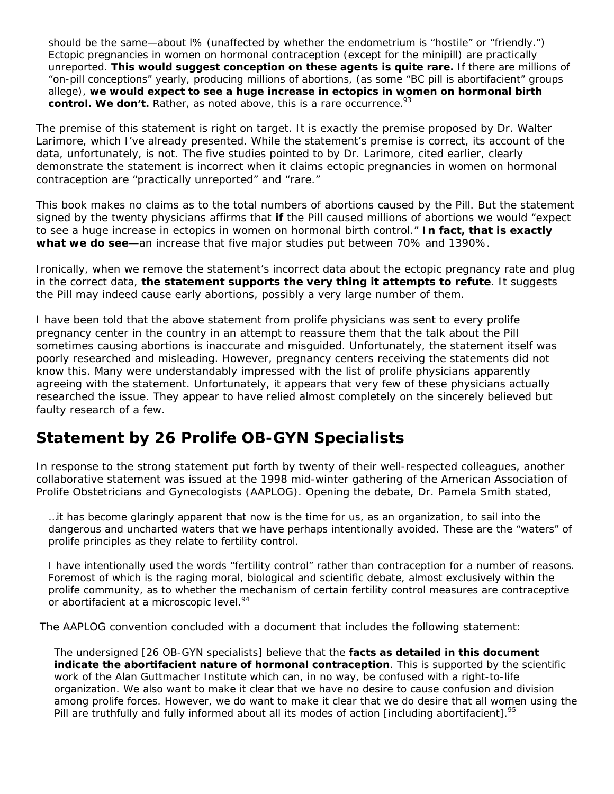should be the same—about l% (unaffected by whether the endometrium is "hostile" or "friendly.") Ectopic pregnancies in women on hormonal contraception (except for the minipill) are practically unreported. **This would suggest conception on these agents is quite rare.** If there are millions of "on-pill conceptions" yearly, producing millions of abortions, (as some "BC pill is abortifacient" groups allege), **we would expect to see a huge increase in ectopics in women on hormonal birth control. We don't.** Rather, as noted above, this is a rare occurrence.<sup>93</sup>

The premise of this statement is right on target. It is exactly the premise proposed by Dr. Walter Larimore, which I've already presented. While the statement's premise is correct, its account of the data, unfortunately, is not. The five studies pointed to by Dr. Larimore, cited earlier, clearly demonstrate the statement is incorrect when it claims ectopic pregnancies in women on hormonal contraception are "practically unreported" and "rare."

This book makes no claims as to the total numbers of abortions caused by the Pill. But the statement signed by the twenty physicians affirms that *if* the Pill caused millions of abortions we would "expect to see a huge increase in ectopics in women on hormonal birth control." **In fact, that is exactly what we** *do* **see**—an increase that five major studies put between 70% and 1390%.

Ironically, when we remove the statement's incorrect data about the ectopic pregnancy rate and plug in the correct data, **the statement supports the very thing it attempts to refute**. It suggests the Pill may indeed cause early abortions, possibly a very large number of them.

I have been told that the above statement from prolife physicians was sent to every prolife pregnancy center in the country in an attempt to reassure them that the talk about the Pill sometimes causing abortions is inaccurate and misguided. Unfortunately, the statement itself was poorly researched and misleading. However, pregnancy centers receiving the statements did not know this. Many were understandably impressed with the list of prolife physicians apparently agreeing with the statement. Unfortunately, it appears that very few of these physicians actually researched the issue. They appear to have relied almost completely on the sincerely believed but faulty research of a few.

# **Statement by 26 Prolife OB-GYN Specialists**

In response to the strong statement put forth by twenty of their well-respected colleagues, another collaborative statement was issued at the 1998 mid-winter gathering of the American Association of Prolife Obstetricians and Gynecologists (AAPLOG). Opening the debate, Dr. Pamela Smith stated,

…it has become glaringly apparent that now is the time for us, as an organization, to sail into the dangerous and uncharted waters that we have perhaps intentionally avoided. These are the "waters" of prolife principles as they relate to fertility control.

I have intentionally used the words "fertility control" rather than contraception for a number of reasons. Foremost of which is the raging moral, biological and scientific debate, almost exclusively within the prolife community, as to whether the mechanism of certain fertility control measures are contraceptive or abortifacient at a microscopic level.<sup>94</sup>

The AAPLOG convention concluded with a document that includes the following statement:

The undersigned [26 OB-GYN specialists] believe that the **facts as detailed in this document indicate the abortifacient nature of hormonal contraception**. This is supported by the scientific work of the Alan Guttmacher Institute which can, in no way, be confused with a right-to-life organization. We also want to make it clear that we have no desire to cause confusion and division among prolife forces. However, we do want to make it clear that we do desire that all women using the Pill are truthfully and fully informed about all its modes of action [including abortifacient].<sup>95</sup>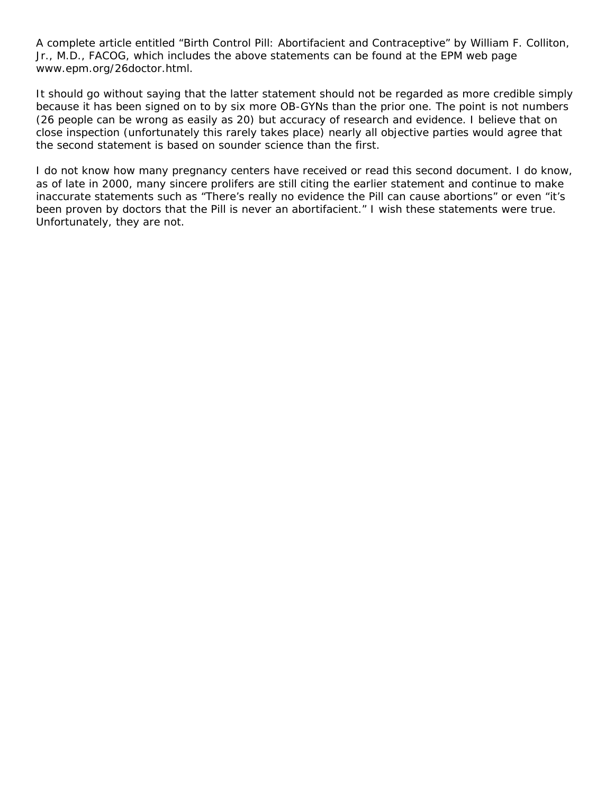A complete article entitled "Birth Control Pill: Abortifacient and Contraceptive" by William F. Colliton, Jr., M.D., FACOG, which includes the above statements can be found at the EPM web page [www.epm.org/26doctor.html.](http://www.epm.org/26doctor.html)

It should go without saying that the latter statement should not be regarded as more credible simply because it has been signed on to by six more OB-GYNs than the prior one. The point is not numbers (26 people can be wrong as easily as 20) but accuracy of research and evidence. I believe that on close inspection (unfortunately this rarely takes place) nearly all objective parties would agree that the second statement is based on sounder science than the first.

I do not know how many pregnancy centers have received or read this second document. I do know, as of late in 2000, many sincere prolifers are still citing the earlier statement and continue to make inaccurate statements such as "There's really no evidence the Pill can cause abortions" or even "it's been proven by doctors that the Pill is never an abortifacient." I wish these statements were true. Unfortunately, they are not.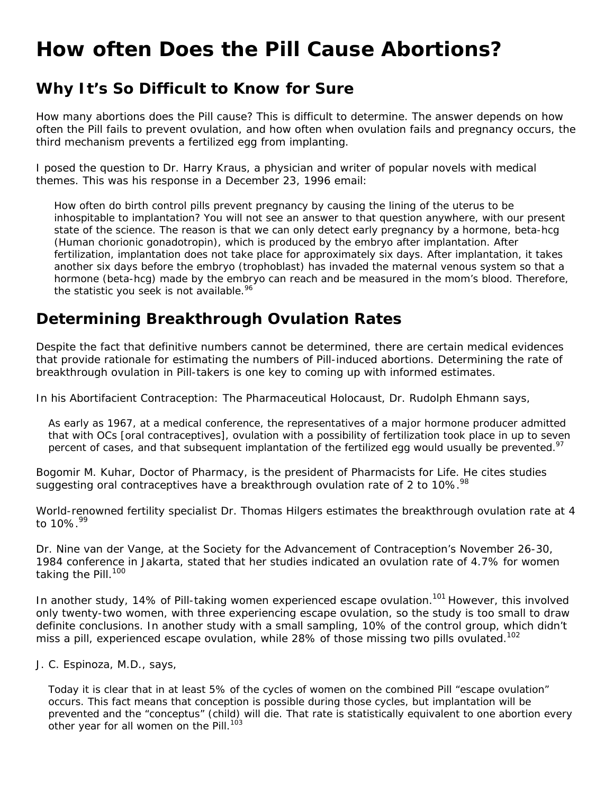# **How often Does the Pill Cause Abortions?**

## **Why It's So Difficult to Know for Sure**

How many abortions does the Pill cause? This is difficult to determine. The answer depends on how often the Pill fails to prevent ovulation, and how often when ovulation fails and pregnancy occurs, the third mechanism prevents a fertilized egg from implanting.

I posed the question to Dr. Harry Kraus, a physician and writer of popular novels with medical themes. This was his response in a December 23, 1996 email:

How often do birth control pills prevent pregnancy by causing the lining of the uterus to be inhospitable to implantation? You will not see an answer to that question anywhere, with our present state of the science. The reason is that we can only detect early pregnancy by a hormone, beta-hcg (Human chorionic gonadotropin), which is produced by the embryo after implantation. After fertilization, implantation does not take place for approximately six days. After implantation, it takes another six days before the embryo (trophoblast) has invaded the maternal venous system so that a hormone (beta-hcg) made by the embryo can reach and be measured in the mom's blood. Therefore, the statistic you seek is not available.<sup>96</sup>

# **Determining Breakthrough Ovulation Rates**

Despite the fact that definitive numbers cannot be determined, there are certain medical evidences that provide rationale for estimating the numbers of Pill-induced abortions. Determining the rate of breakthrough ovulation in Pill-takers is one key to coming up with informed estimates.

In his *Abortifacient Contraception: The Pharmaceutical Holocaust*, Dr. Rudolph Ehmann says,

As early as 1967, at a medical conference, the representatives of a major hormone producer admitted that with OCs [oral contraceptives], ovulation with a possibility of fertilization took place in up to seven percent of cases, and that subsequent implantation of the fertilized egg would usually be prevented.<sup>97</sup>

Bogomir M. Kuhar, Doctor of Pharmacy, is the president of Pharmacists for Life. He cites studies suggesting oral contraceptives have a breakthrough ovulation rate of 2 to 10%.<sup>98</sup>

World-renowned fertility specialist Dr. Thomas Hilgers estimates the breakthrough ovulation rate at 4 to  $10\%$ .  $99$ 

Dr. Nine van der Vange, at the Society for the Advancement of Contraception's November 26-30, 1984 conference in Jakarta, stated that her studies indicated an ovulation rate of 4.7% for women taking the Pill.<sup>100</sup>

In another study, 14% of Pill-taking women experienced escape ovulation.<sup>[101](#page-88-11)</sup> However, this involved only twenty-two women, with three experiencing escape ovulation, so the study is too small to draw definite conclusions. In another study with a small sampling, 10% of the control group, which didn't miss a pill, experienced escape ovulation, while 28% of those missing two pills ovulated.<sup>102</sup>

J. C. Espinoza, M.D., says,

Today it is clear that in at least 5% of the cycles of women on the combined Pill "escape ovulation" occurs. This fact means that conception is possible during those cycles, but implantation will be prevented and the "conceptus" (child) will die. That rate is statistically equivalent to one abortion every other year for all women on the Pill.<sup>103</sup>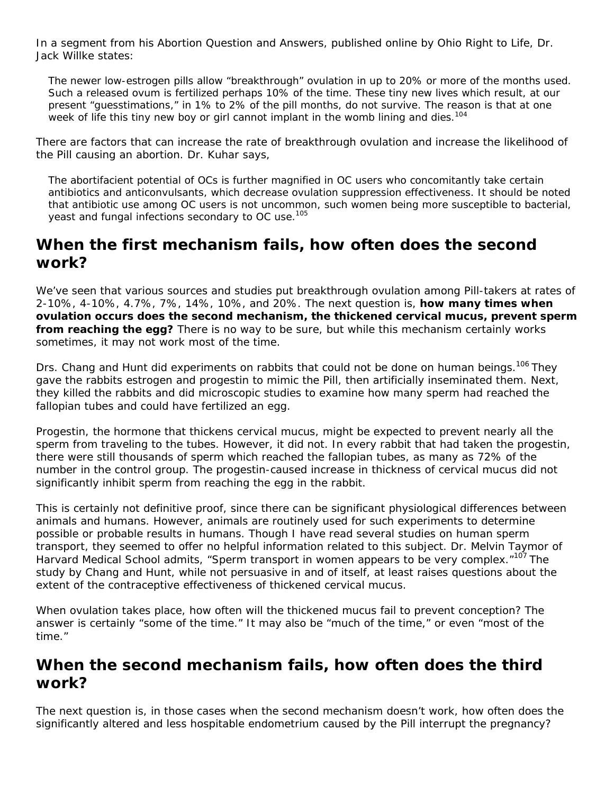In a segment from his *Abortion Question and Answers*, published online by Ohio Right to Life, Dr. Jack Willke states:

The newer low-estrogen pills allow "breakthrough" ovulation in up to 20% or more of the months used. Such a released ovum is fertilized perhaps 10% of the time. These tiny new lives which result, at our present "guesstimations," in 1% to 2% of the pill months, do not survive. The reason is that at one week of life this tiny new boy or girl cannot implant in the womb lining and dies.<sup>104</sup>

There are factors that can increase the rate of breakthrough ovulation and increase the likelihood of the Pill causing an abortion. Dr. Kuhar says,

The abortifacient potential of OCs is further magnified in OC users who concomitantly take certain antibiotics and anticonvulsants, which decrease ovulation suppression effectiveness. It should be noted that antibiotic use among OC users is not uncommon, such women being more susceptible to bacterial, yeast and fungal infections secondary to OC use.<sup>105</sup>

# **When the first mechanism fails, how often does the second work?**

We've seen that various sources and studies put breakthrough ovulation among Pill-takers at rates of 2-10%, 4-10%, 4.7%, 7%, 14%, 10%, and 20%. The next question is, **how many times when ovulation occurs does the second mechanism, the thickened cervical mucus, prevent sperm from reaching the egg?** There is no way to be sure, but while this mechanism certainly works sometimes, it may not work most of the time.

Drs. Chang and Hunt did experiments on rabbits that could not be done on human beings.<sup>[106](#page-88-16)</sup> They gave the rabbits estrogen and progestin to mimic the Pill, then artificially inseminated them. Next, they killed the rabbits and did microscopic studies to examine how many sperm had reached the fallopian tubes and could have fertilized an egg.

Progestin, the hormone that thickens cervical mucus, might be expected to prevent nearly all the sperm from traveling to the tubes. However, it did not. In every rabbit that had taken the progestin, there were still thousands of sperm which reached the fallopian tubes, as many as 72% of the number in the control group. The progestin-caused increase in thickness of cervical mucus did not significantly inhibit sperm from reaching the egg in the rabbit.

This is certainly not definitive proof, since there can be significant physiological differences between animals and humans. However, animals are routinely used for such experiments to determine possible or probable results in humans. Though I have read several studies on human sperm transport, they seemed to offer no helpful information related to this subject. Dr. Melvin Taymor of Harvard Medical School admits, "Sperm transport in women appears to be very complex."<sup>[107](#page-88-17)</sup> The study by Chang and Hunt, while not persuasive in and of itself, at least raises questions about the extent of the contraceptive effectiveness of thickened cervical mucus.

When ovulation takes place, how often will the thickened mucus fail to prevent conception? The answer is certainly "some of the time." It may also be "much of the time," or even "most of the time."

#### **When the second mechanism fails, how often does the third work?**

The next question is, in those cases when the second mechanism doesn't work, how often does the significantly altered and less hospitable endometrium caused by the Pill interrupt the pregnancy?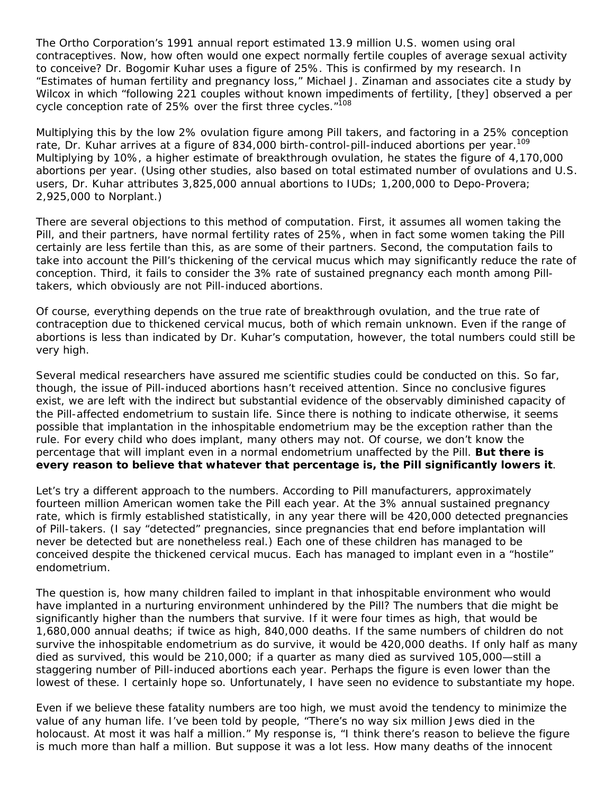The Ortho Corporation's 1991 annual report estimated 13.9 million U.S. women using oral contraceptives. Now, how often would one expect normally fertile couples of average sexual activity to conceive? Dr. Bogomir Kuhar uses a figure of 25%. This is confirmed by my research. In "Estimates of human fertility and pregnancy loss," Michael J. Zinaman and associates cite a study by Wilcox in which "following 221 couples without known impediments of fertility, [they] observed a per cycle conception rate of 25% over the first three cycles."<sup>[108](#page-88-18)</sup>

Multiplying this by the low 2% ovulation figure among Pill takers, and factoring in a 25% conception rate, Dr. Kuhar arrives at a figure of 834,000 birth-control-pill-induced abortions per vear.<sup>[109](#page-88-19)</sup> Multiplying by 10%, a higher estimate of breakthrough ovulation, he states the figure of 4,170,000 abortions per year. (Using other studies, also based on total estimated number of ovulations and U.S. users, Dr. Kuhar attributes 3,825,000 annual abortions to IUDs; 1,200,000 to Depo-Provera; 2,925,000 to Norplant.)

There are several objections to this method of computation. First, it assumes all women taking the Pill, and their partners, have normal fertility rates of 25%, when in fact some women taking the Pill certainly are less fertile than this, as are some of their partners. Second, the computation fails to take into account the Pill's thickening of the cervical mucus which may significantly reduce the rate of conception. Third, it fails to consider the 3% rate of sustained pregnancy each month among Pilltakers, which obviously are not Pill-induced abortions.

Of course, everything depends on the true rate of breakthrough ovulation, and the true rate of contraception due to thickened cervical mucus, both of which remain unknown. Even if the range of abortions is less than indicated by Dr. Kuhar's computation, however, the total numbers could still be very high.

Several medical researchers have assured me scientific studies could be conducted on this. So far, though, the issue of Pill-induced abortions hasn't received attention. Since no conclusive figures exist, we are left with the indirect but substantial evidence of the observably diminished capacity of the Pill-affected endometrium to sustain life. Since there is nothing to indicate otherwise, it seems possible that implantation in the inhospitable endometrium may be the exception rather than the rule. For every child who does implant, many others may not. Of course, we don't know the percentage that will implant even in a *normal* endometrium unaffected by the Pill. **But there is every reason to believe that whatever that percentage is, the Pill significantly lowers it**.

Let's try a different approach to the numbers. According to Pill manufacturers, approximately fourteen million American women take the Pill each year. At the 3% annual sustained pregnancy rate, which is firmly established statistically, in any year there will be 420,000 detected pregnancies of Pill-takers. (I say "detected" pregnancies, since pregnancies that end before implantation will never be detected but are nonetheless real.) Each one of these children has managed to be conceived despite the thickened cervical mucus. Each has managed to implant even in a "hostile" endometrium.

The question is, how many children *failed* to implant in that inhospitable environment who would have implanted in a nurturing environment unhindered by the Pill? The numbers that die might be significantly higher than the numbers that survive. If it were four times as high, that would be 1,680,000 annual deaths; if twice as high, 840,000 deaths. If the same numbers of children do not survive the inhospitable endometrium as do survive, it would be 420,000 deaths. If only half as many died as survived, this would be 210,000; if a quarter as many died as survived 105,000—still a staggering number of Pill-induced abortions each year. Perhaps the figure is even lower than the lowest of these. I certainly hope so. Unfortunately, I have seen no evidence to substantiate my hope.

Even if we believe these fatality numbers are too high, we must avoid the tendency to minimize the value of any human life. I've been told by people, "There's no way six million Jews died in the holocaust. At most it was half a million." My response is, "I think there's reason to believe the figure is much more than half a million. But suppose it *was* a lot less. How many deaths of the innocent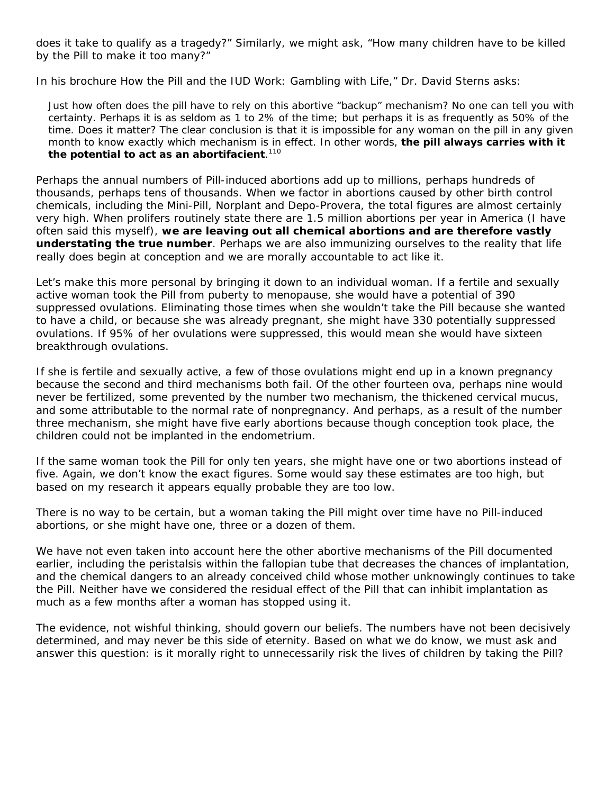does it take to qualify as a tragedy?" Similarly, we might ask, "How many children have to be killed by the Pill to make it too many?"

In his brochure *How the Pill and the IUD Work: Gambling with Life,*" Dr. David Sterns asks:

Just how often does the pill have to rely on this abortive "backup" mechanism? No one can tell you with certainty. Perhaps it is as seldom as 1 to 2% of the time; but perhaps it is as frequently as 50% of the time. Does it matter? The clear conclusion is that it is impossible for any woman on the pill in any given month to know exactly which mechanism is in effect. In other words, **the pill always carries with it the potential to act as an abortifacient**. [110](#page-88-20)

Perhaps the annual numbers of Pill-induced abortions add up to millions, perhaps hundreds of thousands, perhaps tens of thousands. When we factor in abortions caused by other birth control chemicals, including the Mini-Pill, Norplant and Depo-Provera, the total figures are almost certainly very high. When prolifers routinely state there are 1.5 million abortions per year in America (I have often said this myself), **we are leaving out all chemical abortions and are therefore vastly understating the true number**. Perhaps we are also immunizing ourselves to the reality that life really does begin at conception and we are morally accountable to act like it.

Let's make this more personal by bringing it down to an individual woman. If a fertile and sexually active woman took the Pill from puberty to menopause, she would have a potential of 390 suppressed ovulations. Eliminating those times when she wouldn't take the Pill because she wanted to have a child, or because she was already pregnant, she might have 330 potentially suppressed ovulations. If 95% of her ovulations were suppressed, this would mean she would have sixteen breakthrough ovulations.

If she is fertile and sexually active, a few of those ovulations might end up in a known pregnancy because the second and third mechanisms both fail. Of the other fourteen ova, perhaps nine would never be fertilized, some prevented by the number two mechanism, the thickened cervical mucus, and some attributable to the normal rate of nonpregnancy. And perhaps, as a result of the number three mechanism, she might have five early abortions because though conception took place, the children could not be implanted in the endometrium.

If the same woman took the Pill for only ten years, she might have one or two abortions instead of five. Again, we don't know the exact figures. Some would say these estimates are too high, but based on my research it appears equally probable they are too low.

There is no way to be certain, but a woman taking the Pill might over time have no Pill-induced abortions, or she might have one, three or a dozen of them.

We have not even taken into account here the other abortive mechanisms of the Pill documented earlier, including the peristalsis within the fallopian tube that decreases the chances of implantation, and the chemical dangers to an already conceived child whose mother unknowingly continues to take the Pill. Neither have we considered the residual effect of the Pill that can inhibit implantation as much as a few months after a woman has stopped using it.

The evidence, not wishful thinking, should govern our beliefs. The numbers have not been decisively determined, and may never be this side of eternity. Based on what we do know, we must ask and answer this question: is it morally right to unnecessarily risk the lives of children by taking the Pill?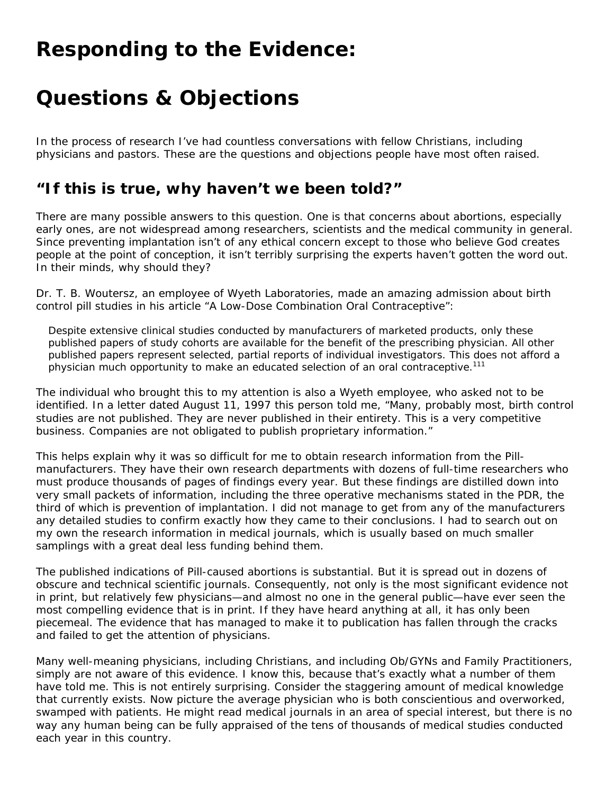# **Responding to the Evidence:**

# **Questions & Objections**

In the process of research I've had countless conversations with fellow Christians, including physicians and pastors. These are the questions and objections people have most often raised.

## **"If this is true, why haven't we been told?"**

There are many possible answers to this question. One is that concerns about abortions, especially early ones, are not widespread among researchers, scientists and the medical community in general. Since preventing implantation isn't of any ethical concern except to those who believe God creates people at the point of conception, it isn't terribly surprising the experts haven't gotten the word out. In their minds, why should they?

Dr. T. B. Woutersz, an employee of Wyeth Laboratories, made an amazing admission about birth control pill studies in his article "A Low-Dose Combination Oral Contraceptive":

Despite extensive clinical studies conducted by manufacturers of marketed products, only these published papers of study cohorts are available for the benefit of the prescribing physician. All other published papers represent selected, partial reports of individual investigators. This does not afford a physician much opportunity to make an educated selection of an oral contraceptive.<sup>[111](#page-88-21)</sup>

The individual who brought this to my attention is also a Wyeth employee, who asked not to be identified. In a letter dated August 11, 1997 this person told me, "Many, probably most, birth control studies are not published. They are never published in their entirety. This is a very competitive business. Companies are not obligated to publish proprietary information."

This helps explain why it was so difficult for me to obtain research information from the Pillmanufacturers. They have their own research departments with dozens of full-time researchers who must produce thousands of pages of findings every year. But these findings are distilled down into very small packets of information, including the three operative mechanisms stated in the PDR, the third of which is prevention of implantation. I did not manage to get from any of the manufacturers any detailed studies to confirm exactly how they came to their conclusions. I had to search out on my own the research information in medical journals, which is usually based on much smaller samplings with a great deal less funding behind them.

The published indications of Pill-caused abortions is substantial. But it is spread out in dozens of obscure and technical scientific journals. Consequently, not only is the most significant evidence not in print, but relatively few physicians—and almost no one in the general public—have ever seen the most compelling evidence that *is* in print. If they have heard anything at all, it has only been piecemeal. The evidence that has managed to make it to publication has fallen through the cracks and failed to get the attention of physicians.

Many well-meaning physicians, including Christians, and including Ob/GYNs and Family Practitioners, simply are not aware of this evidence. I know this, because that's exactly what a number of them have told me. This is not entirely surprising. Consider the staggering amount of medical knowledge that currently exists. Now picture the average physician who is both conscientious and overworked, swamped with patients. He might read medical journals in an area of special interest, but there is no way any human being can be fully appraised of the tens of thousands of medical studies conducted each year in this country.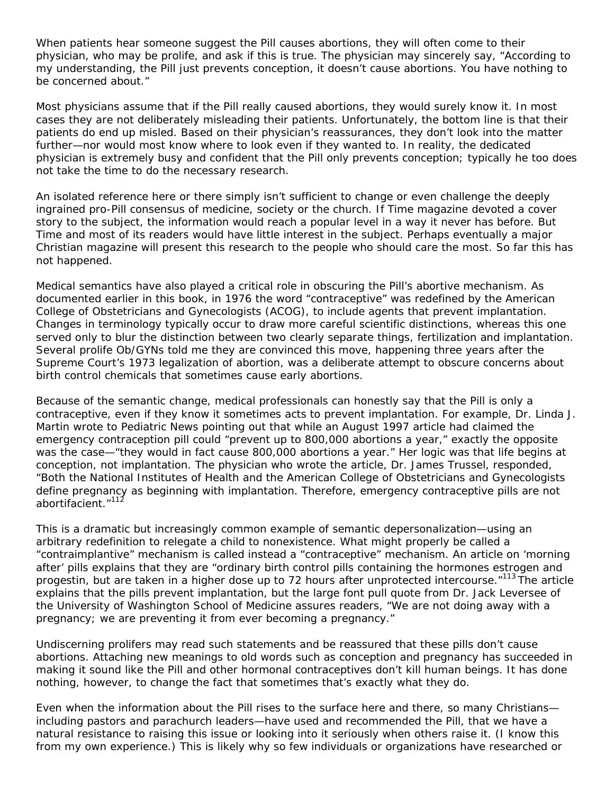When patients hear someone suggest the Pill causes abortions, they will often come to their physician, who may be prolife, and ask if this is true. The physician may sincerely say, "According to my understanding, the Pill just prevents conception, it doesn't cause abortions. You have nothing to be concerned about."

Most physicians assume that if the Pill really caused abortions, they would surely know it. In most cases they are not deliberately misleading their patients. Unfortunately, the bottom line is that their patients do end up misled. Based on their physician's reassurances, they don't look into the matter further—nor would most know where to look even if they wanted to. In reality, the dedicated physician is extremely busy and confident that the Pill only prevents conception; typically he too does not take the time to do the necessary research.

An isolated reference here or there simply isn't sufficient to change or even challenge the deeply ingrained pro-Pill consensus of medicine, society or the church. If *Time* magazine devoted a cover story to the subject, the information would reach a popular level in a way it never has before. But *Time* and most of its readers would have little interest in the subject. Perhaps eventually a major Christian magazine will present this research to the people who should care the most. So far this has not happened.

Medical semantics have also played a critical role in obscuring the Pill's abortive mechanism. As documented earlier in this book, in 1976 the word "contraceptive" was redefined by the American College of Obstetricians and Gynecologists (ACOG), to include agents that prevent implantation. Changes in terminology typically occur to draw more careful scientific distinctions, whereas this one served only to blur the distinction between two clearly separate things, fertilization and implantation. Several prolife Ob/GYNs told me they are convinced this move, happening three years after the Supreme Court's 1973 legalization of abortion, was a deliberate attempt to obscure concerns about birth control chemicals that sometimes cause early abortions.

Because of the semantic change, medical professionals can honestly say that the Pill is only a contraceptive, even if they know it sometimes acts to prevent implantation. For example, Dr. Linda J. Martin wrote to *Pediatric News* pointing out that while an August 1997 article had claimed the emergency contraception pill could "prevent up to 800,000 abortions a year," exactly the opposite was the case—"they would in fact cause 800,000 abortions a year." Her logic was that life begins at conception, not implantation. The physician who wrote the article, Dr. James Trussel, responded, "Both the National Institutes of Health and the American College of Obstetricians and Gynecologists define pregnancy as beginning with implantation. Therefore, emergency contraceptive pills are not abortifacient."<sup>[112](#page-88-22)</sup>

This is a dramatic but increasingly common example of semantic depersonalization—using an arbitrary redefinition to relegate a child to nonexistence. What might properly be called a "contraimplantive" mechanism is called instead a "contraceptive" mechanism. An article on 'morning after' pills explains that they are "ordinary birth control pills containing the hormones estrogen and progestin, but are taken in a higher dose up to 72 hours after unprotected intercourse."<sup>113</sup> The article explains that the pills prevent implantation, but the large font pull quote from Dr. Jack Leversee of the University of Washington School of Medicine assures readers, "We are not doing away with a pregnancy; we are preventing it from ever becoming a pregnancy."

Undiscerning prolifers may read such statements and be reassured that these pills don't cause abortions. Attaching new meanings to old words such as conception and pregnancy has succeeded in making it sound like the Pill and other hormonal contraceptives don't kill human beings. It has done nothing, however, to change the fact that sometimes that's exactly what they do.

Even when the information about the Pill rises to the surface here and there, so many Christians including pastors and parachurch leaders—have used and recommended the Pill, that we have a natural resistance to raising this issue or looking into it seriously when others raise it. (I know this from my own experience.) This is likely why so few individuals or organizations have researched or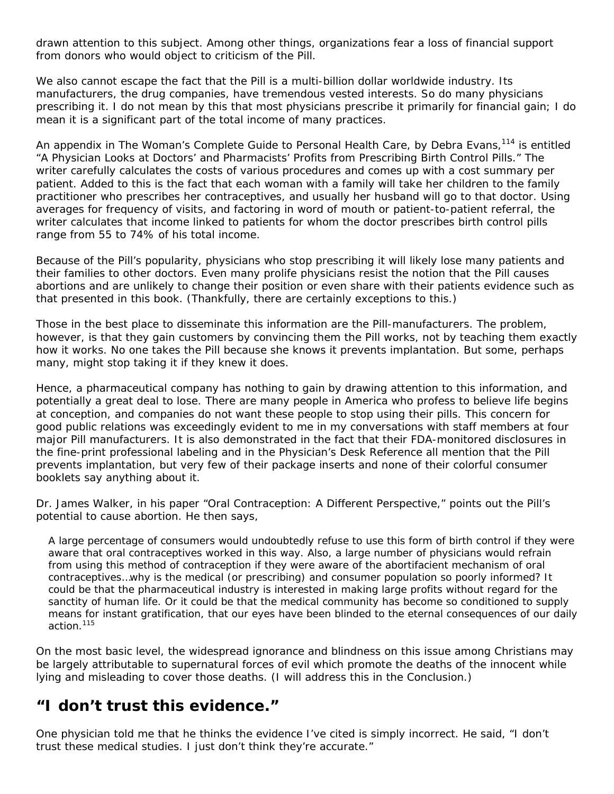drawn attention to this subject. Among other things, organizations fear a loss of financial support from donors who would object to criticism of the Pill.

We also cannot escape the fact that the Pill is a multi-billion dollar worldwide industry. Its manufacturers, the drug companies, have tremendous vested interests. So do many physicians prescribing it. I do *not* mean by this that most physicians prescribe it primarily for financial gain; I do mean it is a significant part of the total income of many practices.

An appendix in *The Woman's Complete Guide to Personal Health Care*, by Debra Evans,<sup>114</sup> is entitled "A Physician Looks at Doctors' and Pharmacists' Profits from Prescribing Birth Control Pills." The writer carefully calculates the costs of various procedures and comes up with a cost summary per patient. Added to this is the fact that each woman with a family will take her children to the family practitioner who prescribes her contraceptives, and usually her husband will go to that doctor. Using averages for frequency of visits, and factoring in word of mouth or patient-to-patient referral, the writer calculates that income linked to patients for whom the doctor prescribes birth control pills range from 55 to 74% of his total income.

Because of the Pill's popularity, physicians who stop prescribing it will likely lose many patients and their families to other doctors. Even many prolife physicians resist the notion that the Pill causes abortions and are unlikely to change their position or even share with their patients evidence such as that presented in this book. (Thankfully, there are certainly exceptions to this.)

Those in the best place to disseminate this information are the Pill-manufacturers. The problem, however, is that they gain customers by convincing them the Pill works, *not* by teaching them exactly how it works. No one takes the Pill because she knows it prevents implantation. But some, perhaps many, might stop taking it if they knew it does.

Hence, a pharmaceutical company has nothing to gain by drawing attention to this information, and potentially a great deal to lose. There are many people in America who profess to believe life begins at conception, and companies do not want these people to stop using their pills. This concern for good public relations was exceedingly evident to me in my conversations with staff members at four major Pill manufacturers. It is also demonstrated in the fact that their FDA-monitored disclosures in the fine-print professional labeling and in the *Physician's Desk Reference* all mention that the Pill prevents implantation, but very few of their package inserts and none of their colorful consumer booklets say anything about it.

Dr. James Walker, in his paper "Oral Contraception: A Different Perspective," points out the Pill's potential to cause abortion. He then says,

A large percentage of consumers would undoubtedly refuse to use this form of birth control if they were aware that oral contraceptives worked in this way. Also, a large number of physicians would refrain from using this method of contraception if they were aware of the abortifacient mechanism of oral contraceptives…why is the medical (or prescribing) and consumer population so poorly informed? It could be that the pharmaceutical industry is interested in making large profits without regard for the sanctity of human life. Or it could be that the medical community has become so conditioned to supply means for instant gratification, that our eyes have been blinded to the eternal consequences of our daily action.[115](#page-88-25)

On the most basic level, the widespread ignorance and blindness on this issue among Christians may be largely attributable to supernatural forces of evil which promote the deaths of the innocent while lying and misleading to cover those deaths. (I will address this in the Conclusion.)

## **"I don't trust this evidence."**

One physician told me that he thinks the evidence I've cited is simply incorrect. He said, "I don't trust these medical studies. I just don't think they're accurate."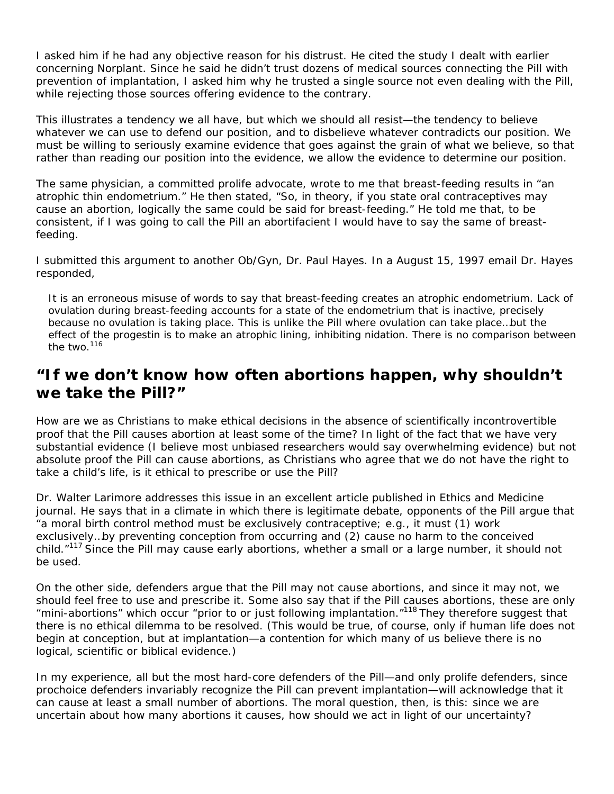I asked him if he had any objective reason for his distrust. He cited the study I dealt with earlier concerning Norplant. Since he said he didn't trust dozens of medical sources connecting the Pill with prevention of implantation, I asked him why he trusted a single source not even dealing with the Pill, while rejecting those sources offering evidence to the contrary.

This illustrates a tendency we all have, but which we should all resist—the tendency to believe whatever we can use to defend our position, and to disbelieve whatever contradicts our position. We must be willing to seriously examine evidence that goes against the grain of what we believe, so that rather than reading our position into the evidence, we allow the evidence to determine our position.

The same physician, a committed prolife advocate, wrote to me that breast-feeding results in "an atrophic thin endometrium." He then stated, "So, in theory, if you state oral contraceptives may cause an abortion, logically the same could be said for breast-feeding." He told me that, to be consistent, if I was going to call the Pill an abortifacient I would have to say the same of breastfeeding.

I submitted this argument to another Ob/Gyn, Dr. Paul Hayes. In a August 15, 1997 email Dr. Hayes responded,

It is an erroneous misuse of words to say that breast-feeding creates an atrophic endometrium. Lack of ovulation during breast-feeding accounts for a state of the endometrium that is *inactive*, precisely because no ovulation is taking place. This is unlike the Pill where ovulation can take place…but the effect of the progestin is to make an *atrophic* lining, inhibiting nidation. There is no comparison between the two. $116$ 

### **"If we don't know how often abortions happen, why** *shouldn't* **we take the Pill?"**

How are we as Christians to make ethical decisions in the absence of scientifically incontrovertible proof that the Pill causes abortion at least some of the time? In light of the fact that we have very substantial evidence (I believe most unbiased researchers would say overwhelming evidence) but not absolute proof the Pill can cause abortions, as Christians who agree that we do not have the right to take a child's life, is it ethical to prescribe or use the Pill?

Dr. Walter Larimore addresses this issue in an excellent article published in *Ethics and Medicine* journal. He says that in a climate in which there is legitimate debate, opponents of the Pill argue that "a moral birth control method must be exclusively contraceptive; e.g., it must (1) work exclusively…by preventing conception from occurring and (2) cause no harm to the conceived child.["117](#page-88-27) Since the Pill *may* cause early abortions, whether a small or a large number, it should not be used.

On the other side, defenders argue that the Pill may *not* cause abortions, and since it may not, we should feel free to use and prescribe it. Some also say that *if* the Pill causes abortions, these are only "mini-abortions" which occur "prior to or just following implantation."<sup>[118](#page-88-28)</sup> They therefore suggest that there is no ethical dilemma to be resolved. (This would be true, of course, only if human life does not begin at conception, but at implantation—a contention for which many of us believe there is no logical, scientific or biblical evidence.)

In my experience, all but the most hard-core defenders of the Pill—and only prolife defenders, since prochoice defenders invariably recognize the Pill can prevent implantation—will acknowledge that it can cause at least a small number of abortions. The moral question, then, is this: since we are uncertain about how many abortions it causes, how should we act in light of our uncertainty?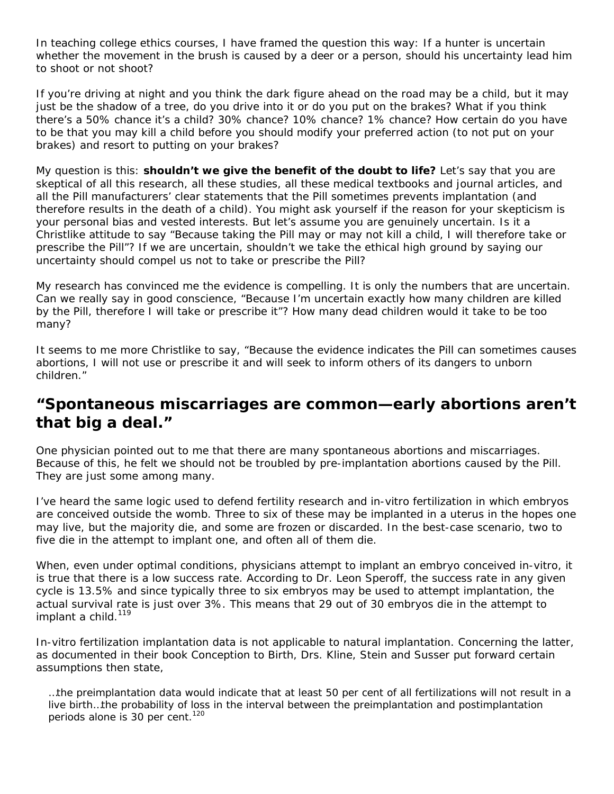In teaching college ethics courses, I have framed the question this way: If a hunter is uncertain whether the movement in the brush is caused by a deer or a person, should his uncertainty lead him to shoot or not shoot?

If you're driving at night and you think the dark figure ahead on the road may be a child, but it may just be the shadow of a tree, do you drive into it or do you put on the brakes? What if you think there's a 50% chance it's a child? 30% chance? 10% chance? 1% chance? How certain do you have to be that you may kill a child before you should modify your preferred action (to not put on your brakes) and resort to putting on your brakes?

My question is this: *shouldn't we give the benefit of the doubt to life?* Let's say that you are skeptical of all this research, all these studies, all these medical textbooks and journal articles, and all the Pill manufacturers' clear statements that the Pill sometimes prevents implantation (and therefore results in the death of a child). You might ask yourself if the reason for your skepticism is your personal bias and vested interests. But let's assume you are genuinely uncertain. Is it a Christlike attitude to say "Because taking the Pill may or may not kill a child, I will therefore take or prescribe the Pill"? If we are uncertain, shouldn't we take the ethical high ground by saying our uncertainty should compel us *not* to take or prescribe the Pill?

My research has convinced me the evidence is compelling. It is only the numbers that are uncertain. Can we really say in good conscience, "Because I'm uncertain exactly how *many* children are killed by the Pill, therefore I will take or prescribe it"? How many dead children would it take to be too many?

It seems to me more Christlike to say, "Because the evidence indicates the Pill can sometimes causes abortions, I will not use or prescribe it and will seek to inform others of its dangers to unborn children."

### **"Spontaneous miscarriages are common—early abortions aren't that big a deal."**

One physician pointed out to me that there are many spontaneous abortions and miscarriages. Because of this, he felt we should not be troubled by pre-implantation abortions caused by the Pill. They are just some among many.

I've heard the same logic used to defend fertility research and in-vitro fertilization in which embryos are conceived outside the womb. Three to six of these may be implanted in a uterus in the hopes one may live, but the majority die, and some are frozen or discarded. In the best-case scenario, two to five die in the attempt to implant one, and often all of them die.

When, even under optimal conditions, physicians attempt to implant an embryo conceived in-vitro, it is true that there is a low success rate. According to Dr. Leon Speroff, the success rate in any given cycle is 13.5% and since typically three to six embryos may be used to attempt implantation, the actual survival rate is just over 3%. This means that 29 out of 30 embryos die in the attempt to implant a child. $119$ 

In-vitro fertilization implantation data is not applicable to natural implantation. Concerning the latter, as documented in their book *Conception to Birth*, Drs. Kline, Stein and Susser put forward certain assumptions then state,

…the preimplantation data would indicate that at least 50 per cent of all fertilizations will not result in a live birth…the probability of loss in the interval between the preimplantation and postimplantation periods alone is 30 per cent.<sup>[120](#page-88-30)</sup>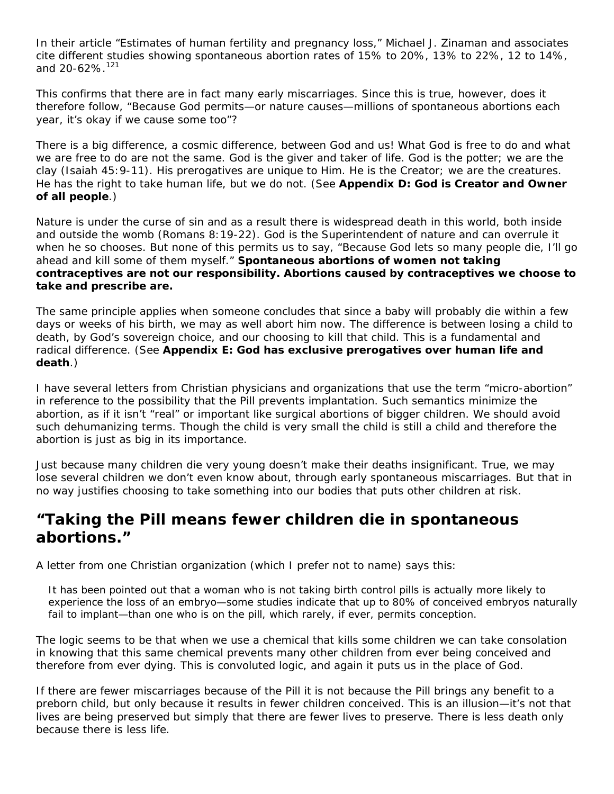In their article "Estimates of human fertility and pregnancy loss," Michael J. Zinaman and associates cite different studies showing spontaneous abortion rates of 15% to 20%, 13% to 22%, 12 to 14%, and 20-62%.<sup>[121](#page-88-31)</sup>

This confirms that there are in fact many early miscarriages. Since this is true, however, does it therefore follow, "Because God permits—or nature causes—millions of spontaneous abortions each year, it's okay if we cause some too"?

There is a big difference, a cosmic difference, between God and us! What God is free to do and what we are free to do are not the same. God is the giver and taker of life. God is the potter; we are the clay (Isaiah 45:9-11). His prerogatives are unique to Him. He is the Creator; we are the creatures. *He* has the right to take human life, but *we* do not. (See *Appendix D:* **God is Creator and Owner of all people**.)

Nature is under the curse of sin and as a result there is widespread death in this world, both inside and outside the womb (Romans 8:19-22). God is the Superintendent of nature and can overrule it when he so chooses. But none of this permits us to say, "Because God lets so many people die, I'll go ahead and kill some of them myself." **Spontaneous abortions of women not taking contraceptives are not our responsibility. Abortions caused by contraceptives we choose to take and prescribe are.**

The same principle applies when someone concludes that since a baby will probably die within a few days or weeks of his birth, we may as well abort him now. The difference is between losing a child to death, by God's sovereign choice, and our choosing to kill that child. This is a fundamental and *radical* difference. (See **Appendix E: God has exclusive prerogatives over human life and death**.)

I have several letters from Christian physicians and organizations that use the term "micro-abortion" in reference to the possibility that the Pill prevents implantation. Such semantics minimize the abortion, as if it isn't "real" or important like surgical abortions of bigger children. We should avoid such dehumanizing terms. Though the child is very small the child is still a child and therefore the abortion is just as big in its importance.

Just because many children die very young doesn't make their deaths insignificant. True, we may lose several children we don't even know about, through early spontaneous miscarriages. But that in no way justifies choosing to take something into our bodies that puts other children at risk.

### **"Taking the Pill means fewer children die in spontaneous abortions."**

A letter from one Christian organization (which I prefer not to name) says this:

It has been pointed out that a woman who is not taking birth control pills is actually more likely to experience the loss of an embryo—some studies indicate that up to 80% of conceived embryos naturally fail to implant—than one who is on the pill, which rarely, if ever, permits conception.

The logic seems to be that when we use a chemical that kills some children we can take consolation in knowing that this same chemical prevents many other children from ever being conceived and therefore from ever dying. This is convoluted logic, and again it puts us in the place of God.

If there are fewer miscarriages because of the Pill it is not because the Pill brings any benefit to a preborn child, but only because it results in fewer children conceived. This is an illusion—it's not that lives are being preserved but simply that there are fewer lives to preserve. There is less death only because there is less life.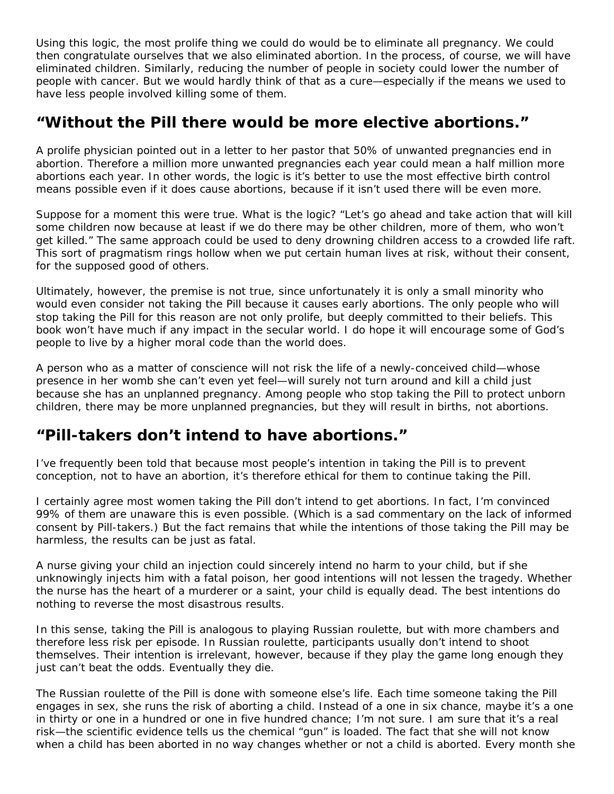Using this logic, the most prolife thing we could do would be to eliminate all pregnancy. We could then congratulate ourselves that we also eliminated abortion. In the process, of course, we will have eliminated children. Similarly, reducing the number of people in society could lower the number of people with cancer. But we would hardly think of that as a cure—especially if the means we used to have less people involved killing some of them.

## **"Without the Pill there would be more elective abortions."**

A prolife physician pointed out in a letter to her pastor that 50% of unwanted pregnancies end in abortion. Therefore a million more unwanted pregnancies each year could mean a half million more abortions each year. In other words, the logic is it's better to use the most effective birth control means possible even if it does cause abortions, because if it isn't used there will be even more.

Suppose for a moment this were true. What is the logic? "Let's go ahead and take action that will kill some children now because at least if we do there may be other children, more of them, who won't get killed." The same approach could be used to deny drowning children access to a crowded life raft. This sort of pragmatism rings hollow when we put certain human lives at risk, without their consent, for the supposed good of others.

Ultimately, however, the premise is not true, since unfortunately it is only a small minority who would even consider not taking the Pill because it causes early abortions. The only people who will stop taking the Pill for this reason are not only prolife, but deeply committed to their beliefs. This book won't have much if any impact in the secular world. I do hope it will encourage some of God's people to live by a higher moral code than the world does.

A person who as a matter of conscience will not risk the life of a newly-conceived child—whose presence in her womb she can't even yet feel—will surely not turn around and kill a child just because she has an unplanned pregnancy. Among people who stop taking the Pill to protect unborn children, there may be more unplanned pregnancies, but they will result in births, not abortions.

# **"Pill-takers don't** *intend* **to have abortions."**

I've frequently been told that because most people's intention in taking the Pill is to prevent conception, not to have an abortion, it's therefore ethical for them to continue taking the Pill.

I certainly agree most women taking the Pill don't intend to get abortions. In fact, I'm convinced 99% of them are unaware this is even possible. (Which is a sad commentary on the lack of informed consent by Pill-takers.) But the fact remains that while the *intentions* of those taking the Pill may be harmless, the *results* can be just as fatal.

A nurse giving your child an injection could sincerely intend no harm to your child, but if she unknowingly injects him with a fatal poison, her good intentions will not lessen the tragedy. Whether the nurse has the heart of a murderer or a saint, your child is equally dead. The best intentions do nothing to reverse the most disastrous results.

In this sense, taking the Pill is analogous to playing Russian roulette, but with more chambers and therefore less risk per episode. In Russian roulette, participants usually don't *intend* to shoot themselves. Their intention is irrelevant, however, because if they play the game long enough they just can't beat the odds. Eventually they die.

The Russian roulette of the Pill is done with someone else's life. Each time someone taking the Pill engages in sex, she runs the risk of aborting a child. Instead of a one in six chance, maybe it's a one in thirty or one in a hundred or one in five hundred chance; I'm not sure. I am sure that it's a real risk—the scientific evidence tells us the chemical "gun" is loaded. The fact that she will not know when a child has been aborted in no way changes whether or not a child *is* aborted. Every month she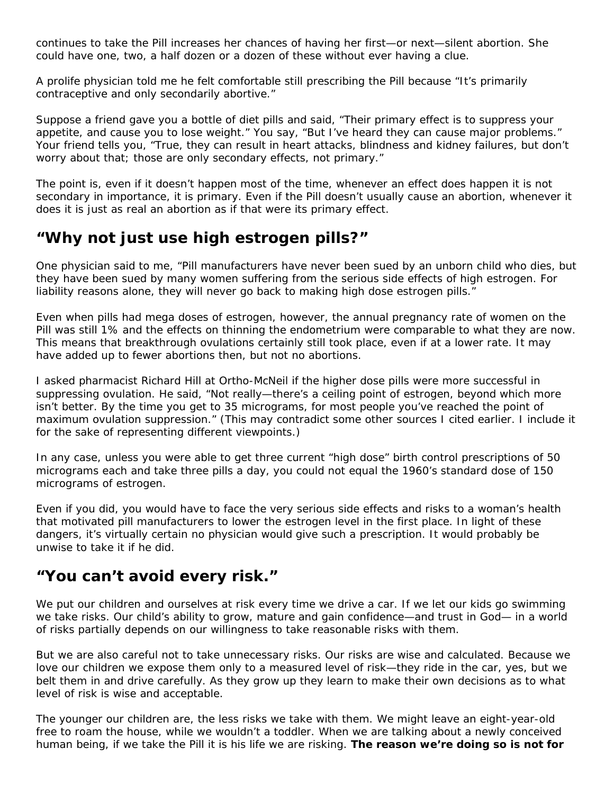continues to take the Pill increases her chances of having her first—or next—silent abortion. She could have one, two, a half dozen or a dozen of these without ever having a clue.

A prolife physician told me he felt comfortable still prescribing the Pill because "It's *primarily* contraceptive and only *secondarily* abortive."

Suppose a friend gave you a bottle of diet pills and said, "Their primary effect is to suppress your appetite, and cause you to lose weight." You say, "But I've heard they can cause major problems." Your friend tells you, "True, they can result in heart attacks, blindness and kidney failures, but don't worry about that; those are only secondary effects, not primary."

The point is, even if it doesn't happen most of the time, whenever an effect *does* happen it is not secondary in importance, it is primary. Even if the Pill doesn't usually cause an abortion, whenever it does it is just as real an abortion as if that were its primary effect.

#### **"Why not just use high estrogen pills?"**

One physician said to me, "Pill manufacturers have never been sued by an unborn child who dies, but they have been sued by many women suffering from the serious side effects of high estrogen. For liability reasons alone, they will never go back to making high dose estrogen pills."

Even when pills had mega doses of estrogen, however, the annual pregnancy rate of women on the Pill was still 1% and the effects on thinning the endometrium were comparable to what they are now. This means that breakthrough ovulations certainly still took place, even if at a lower rate. It may have added up to *fewer* abortions then, but not *no* abortions.

I asked pharmacist Richard Hill at Ortho-McNeil if the higher dose pills were more successful in suppressing ovulation. He said, "Not really—there's a ceiling point of estrogen, beyond which more isn't better. By the time you get to 35 micrograms, for most people you've reached the point of maximum ovulation suppression." (This may contradict some other sources I cited earlier. I include it for the sake of representing different viewpoints.)

In any case, unless you were able to get three current "high dose" birth control prescriptions of 50 micrograms each and take three pills a day, you could not equal the 1960's *standard* dose of 150 micrograms of estrogen.

Even if you did, you would have to face the very serious side effects and risks to a woman's health that motivated pill manufacturers to lower the estrogen level in the first place. In light of these dangers, it's virtually certain no physician would give such a prescription. It would probably be unwise to take it if he did.

#### **"You can't avoid every risk."**

We put our children and ourselves at risk every time we drive a car. If we let our kids go swimming we take risks. Our child's ability to grow, mature and gain confidence—and trust in God— in a world of risks partially depends on our willingness to take reasonable risks with them.

But we are also careful not to take unnecessary risks. Our risks are wise and calculated. Because we love our children we expose them only to a measured level of risk—they ride in the car, yes, but we belt them in and drive carefully. As they grow up they learn to make their own decisions as to what level of risk is wise and acceptable.

The younger our children are, the less risks we take with them. We might leave an eight-year-old free to roam the house, while we wouldn't a toddler. When we are talking about a newly conceived human being, if we take the Pill it is his *life* we are risking. *The reason we're doing so is not for*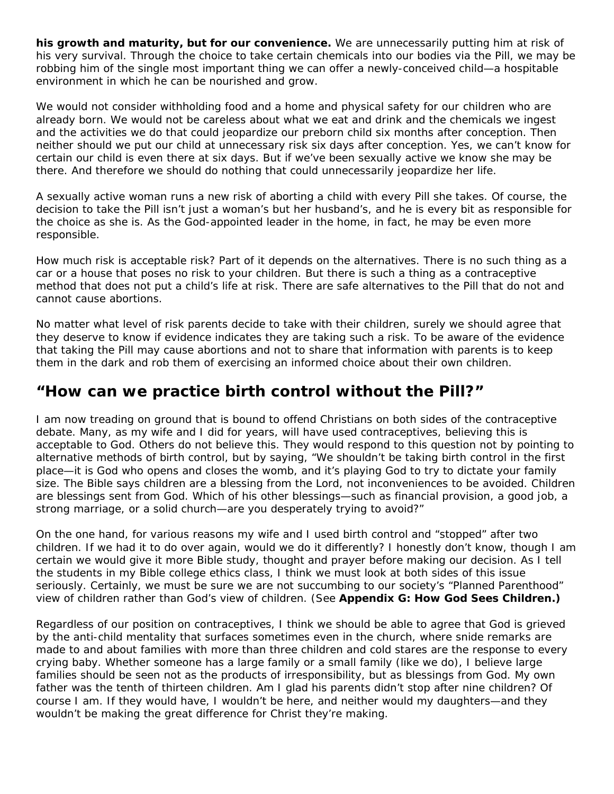*his growth and maturity, but for our convenience.* We are unnecessarily putting him at risk of his very survival. Through the choice to take certain chemicals into our bodies via the Pill, we may be robbing him of the single most important thing we can offer a newly-conceived child—a hospitable environment in which he can be nourished and grow.

We would not consider withholding food and a home and physical safety for our children who are already born. We would not be careless about what we eat and drink and the chemicals we ingest and the activities we do that could jeopardize our preborn child six months after conception. Then neither should we put our child at unnecessary risk six *days* after conception. Yes, we can't know for certain our child is even there at six days. But if we've been sexually active we know she *may* be there. And therefore we should do nothing that could unnecessarily jeopardize her life.

A sexually active woman runs a new risk of aborting a child with every Pill she takes. Of course, the decision to take the Pill isn't just a woman's but her husband's, and he is every bit as responsible for the choice as she is. As the God-appointed leader in the home, in fact, he may be even more responsible.

How much risk is acceptable risk? Part of it depends on the alternatives. There is no such thing as a car or a house that poses *no* risk to your children. But there is such a thing as a contraceptive method that does not put a child's life at risk. There *are* safe alternatives to the Pill that do not and cannot cause abortions.

No matter what level of risk parents decide to take with their children, surely we should agree that they deserve to know if evidence indicates they are taking such a risk. To be aware of the evidence that taking the Pill may cause abortions and not to share that information with parents is to keep them in the dark and rob them of exercising an informed choice about their own children.

#### **"How can we practice birth control without the Pill?"**

I am now treading on ground that is bound to offend Christians on both sides of the contraceptive debate. Many, as my wife and I did for years, will have used contraceptives, believing this is acceptable to God. Others do not believe this. They would respond to this question not by pointing to alternative methods of birth control, but by saying, "We shouldn't be taking birth control in the first place—it is God who opens and closes the womb, and it's playing God to try to dictate your family size. The Bible says children are a blessing from the Lord, not inconveniences to be avoided. Children are blessings sent from God. Which of his other blessings—such as financial provision, a good job, a strong marriage, or a solid church—are you desperately trying to avoid?"

On the one hand, for various reasons my wife and I used birth control and "stopped" after two children. If we had it to do over again, would we do it differently? I honestly don't know, though I am certain we would give it more Bible study, thought and prayer before making our decision. As I tell the students in my Bible college ethics class, I think we must look at both sides of this issue seriously. Certainly, we must be sure we are not succumbing to our society's "Planned Parenthood" view of children rather than God's view of children. (See *Appendix G:* **How God Sees Children.)**

Regardless of our position on contraceptives, I think we should be able to agree that God is grieved by the anti-child mentality that surfaces sometimes even in the church, where snide remarks are made to and about families with more than three children and cold stares are the response to every crying baby. Whether someone has a large family or a small family (like we do), I believe large families should be seen not as the products of irresponsibility, but as blessings from God. My own father was the tenth of thirteen children. Am I glad his parents didn't stop after nine children? Of course I am. If they would have, I wouldn't be here, and neither would my daughters—and they wouldn't be making the great difference for Christ they're making.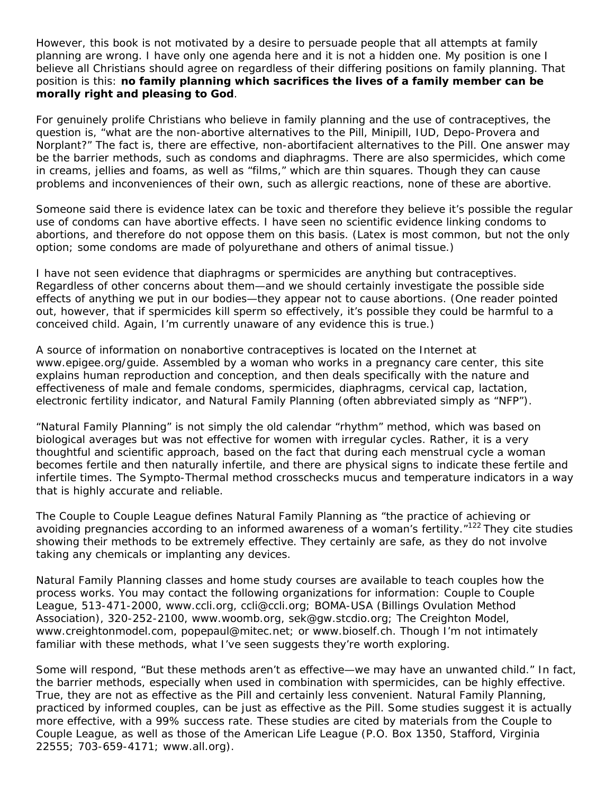However, this book is *not* motivated by a desire to persuade people that all attempts at family planning are wrong. I have only one agenda here and it is not a hidden one. My position is one I believe all Christians should agree on regardless of their differing positions on family planning. That position is this: **no family planning which sacrifices the lives of a family member can be morally right and pleasing to God**.

For genuinely prolife Christians who believe in family planning and the use of contraceptives, the question is, "what are the non-abortive alternatives to the Pill, Minipill, IUD, Depo-Provera and Norplant?" The fact is, there are effective, non-abortifacient alternatives to the Pill. One answer may be the barrier methods, such as condoms and diaphragms. There are also spermicides, which come in creams, jellies and foams, as well as "films," which are thin squares. Though they can cause problems and inconveniences of their own, such as allergic reactions, none of these are abortive.

Someone said there is evidence latex can be toxic and therefore they believe it's possible the regular use of condoms can have abortive effects. I have seen no scientific evidence linking condoms to abortions, and therefore do not oppose them on this basis. (Latex is most common, but not the only option; some condoms are made of polyurethane and others of animal tissue.)

I have not seen evidence that diaphragms or spermicides are anything but contraceptives. Regardless of other concerns about them—and we should certainly investigate the possible side effects of anything we put in our bodies—they appear not to cause abortions. (One reader pointed out, however, that if spermicides kill sperm so effectively, it's possible they could be harmful to a conceived child. Again, I'm currently unaware of any evidence this is true.)

A source of information on nonabortive contraceptives is located on the Internet at www.epigee.org/guide. Assembled by a woman who works in a pregnancy care center, this site explains human reproduction and conception, and then deals specifically with the nature and effectiveness of male and female condoms, spermicides, diaphragms, cervical cap, lactation, electronic fertility indicator, and Natural Family Planning (often abbreviated simply as "NFP").

"Natural Family Planning" is *not* simply the old calendar "rhythm" method, which was based on biological averages but was not effective for women with irregular cycles. Rather, it is a very thoughtful and scientific approach, based on the fact that during each menstrual cycle a woman becomes fertile and then naturally infertile, and there are physical signs to indicate these fertile and infertile times. The Sympto-Thermal method crosschecks mucus and temperature indicators in a way that is highly accurate and reliable.

The Couple to Couple League defines Natural Family Planning as "the practice of achieving or avoiding pregnancies according to an informed awareness of a woman's fertility."<sup>[122](#page-88-32)</sup> They cite studies showing their methods to be extremely effective. They certainly are safe, as they do not involve taking any chemicals or implanting any devices.

Natural Family Planning classes and home study courses are available to teach couples how the process works. You may contact the following organizations for information: Couple to Couple League, 513-471-2000, www.ccli.org, ccli@ccli.org; BOMA-USA (Billings Ovulation Method Association), 320-252-2100, www.woomb.org, sek@gw.stcdio.org; The Creighton Model, www.creightonmodel.com, popepaul@mitec.net; or www.bioself.ch. Though I'm not intimately familiar with these methods, what I've seen suggests they're worth exploring.

Some will respond, "But these methods aren't as effective—we may have an unwanted child." In fact, the barrier methods, especially when used in combination with spermicides, can be highly effective. True, they are not as effective as the Pill and certainly less convenient. Natural Family Planning, practiced by informed couples, can be just as effective as the Pill. Some studies suggest it is actually *more* effective, with a 99% success rate. These studies are cited by materials from the Couple to Couple League, as well as those of the American Life League (P.O. Box 1350, Stafford, Virginia 22555; 703-659-4171; [www.all.org](http://www.all.org/)).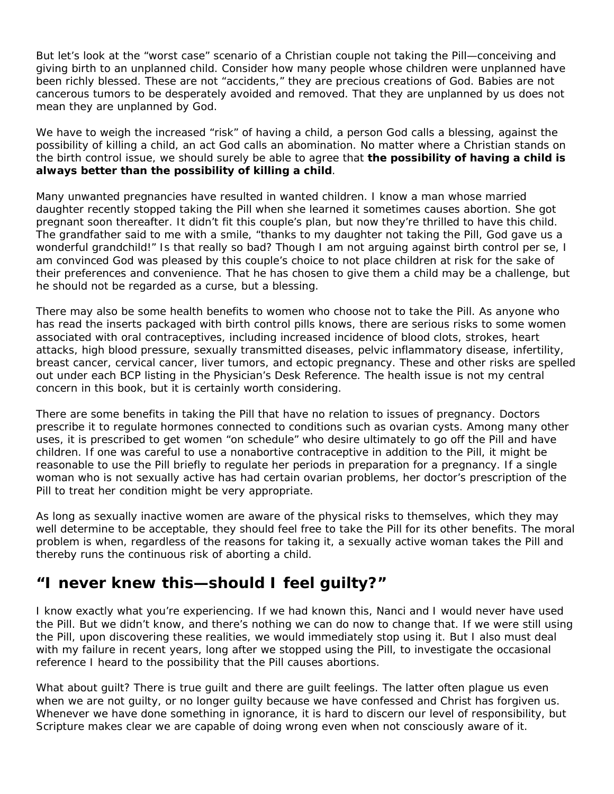But let's look at the "worst case" scenario of a Christian couple not taking the Pill—conceiving and giving birth to an unplanned child. Consider how many people whose children were unplanned have been richly blessed. These are not "accidents," they are precious creations of God. Babies are not cancerous tumors to be desperately avoided and removed. That they are unplanned by us does not mean they are unplanned by God.

We have to weigh the increased "risk" of having a child, a person God calls a blessing, against the possibility of killing a child, an act God calls an abomination. No matter where a Christian stands on the birth control issue, we should surely be able to agree that *the possibility of having a child is always better than the possibility of killing a child*.

Many unwanted pregnancies have resulted in wanted children. I know a man whose married daughter recently stopped taking the Pill when she learned it sometimes causes abortion. She got pregnant soon thereafter. It didn't fit this couple's plan, but now they're thrilled to have this child. The grandfather said to me with a smile, "thanks to my daughter not taking the Pill, God gave us a wonderful grandchild!" Is that really so bad? Though I am not arguing against birth control per se, I am convinced God was pleased by this couple's choice to not place children at risk for the sake of their preferences and convenience. That he has chosen to give them a child may be a challenge, but he should not be regarded as a curse, but a blessing.

There may also be some health benefits to women who choose not to take the Pill. As anyone who has read the inserts packaged with birth control pills knows, there are serious risks to some women associated with oral contraceptives, including increased incidence of blood clots, strokes, heart attacks, high blood pressure, sexually transmitted diseases, pelvic inflammatory disease, infertility, breast cancer, cervical cancer, liver tumors, and ectopic pregnancy. These and other risks are spelled out under each BCP listing in the *Physician's Desk Reference*. The health issue is *not* my central concern in this book, but it is certainly worth considering.

There are some benefits in taking the Pill that have no relation to issues of pregnancy. Doctors prescribe it to regulate hormones connected to conditions such as ovarian cysts. Among many other uses, it is prescribed to get women "on schedule" who desire ultimately to go off the Pill and have children. If one was careful to use a nonabortive contraceptive in addition to the Pill, it might be reasonable to use the Pill briefly to regulate her periods in preparation for a pregnancy. If a single woman who is not sexually active has had certain ovarian problems, her doctor's prescription of the Pill to treat her condition might be very appropriate.

As long as sexually inactive women are aware of the physical risks to themselves, which they may well determine to be acceptable, they should feel free to take the Pill for its other benefits. The moral problem is when, regardless of the reasons for taking it, a sexually active woman takes the Pill and thereby runs the continuous risk of aborting a child.

# **"I never knew this—should I feel guilty?"**

I know *exactly* what you're experiencing. If we had known this, Nanci and I would never have used the Pill. But we didn't know, and there's nothing we can do now to change that. If we were still using the Pill, upon discovering these realities, we would immediately stop using it. But I also must deal with my failure in recent years, long after we stopped using the Pill, to investigate the occasional reference I heard to the possibility that the Pill causes abortions.

What about guilt? There is true guilt and there are guilt feelings. The latter often plague us even when we are not guilty, or *no longer guilty* because we have confessed and Christ has forgiven us. Whenever we have done something in ignorance, it is hard to discern our level of responsibility, but Scripture makes clear we are capable of doing wrong even when not consciously aware of it.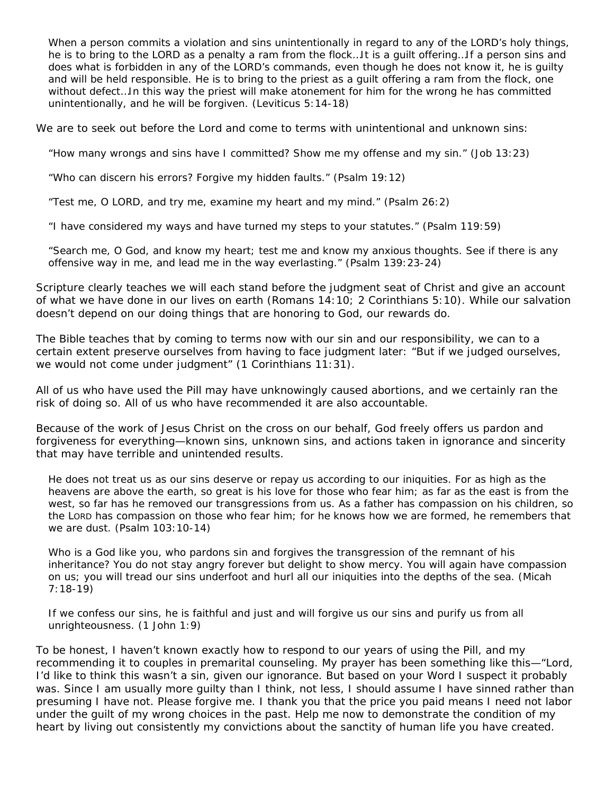When a person commits a violation and sins unintentionally in regard to any of the LORD's holy things, he is to bring to the LORD as a penalty a ram from the flock…It is a guilt offering…If a person sins and does what is forbidden in any of the LORD's commands, even though he does not know it, he is guilty and will be held responsible. He is to bring to the priest as a guilt offering a ram from the flock, one without defect…In this way the priest will make atonement for him for the wrong he has committed unintentionally, and he will be forgiven. (Leviticus 5:14-18)

We are to seek out before the Lord and come to terms with unintentional and unknown sins:

"How many wrongs and sins have I committed? Show me my offense and my sin." (Job 13:23)

"Who can discern his errors? Forgive my hidden faults." (Psalm 19:12)

"Test me, O LORD, and try me, examine my heart and my mind." (Psalm 26:2)

"I have considered my ways and have turned my steps to your statutes." (Psalm 119:59)

"Search me, O God, and know my heart; test me and know my anxious thoughts. See if there is any offensive way in me, and lead me in the way everlasting." (Psalm 139:23-24)

Scripture clearly teaches we will each stand before the judgment seat of Christ and give an account of what we have done in our lives on earth (Romans 14:10; 2 Corinthians 5:10). While our salvation doesn't depend on our doing things that are honoring to God, our rewards do.

The Bible teaches that by coming to terms now with our sin and our responsibility, we can to a certain extent preserve ourselves from having to face judgment later: "But if we judged ourselves, we would not come under judgment" (1 Corinthians 11:31).

All of us who have used the Pill may have unknowingly caused abortions, and we certainly ran the risk of doing so. All of us who have recommended it are also accountable.

Because of the work of Jesus Christ on the cross on our behalf, God freely offers us pardon and forgiveness for everything—known sins, unknown sins, and actions taken in ignorance and sincerity that may have terrible and unintended results.

He does not treat us as our sins deserve or repay us according to our iniquities. For as high as the heavens are above the earth, so great is his love for those who fear him; as far as the east is from the west, so far has he removed our transgressions from us. As a father has compassion on his children, so the LORD has compassion on those who fear him; for he knows how we are formed, he remembers that we are dust. (Psalm 103:10-14)

Who is a God like you, who pardons sin and forgives the transgression of the remnant of his inheritance? You do not stay angry forever but delight to show mercy. You will again have compassion on us; you will tread our sins underfoot and hurl all our iniquities into the depths of the sea. (Micah 7:18-19)

If we confess our sins, he is faithful and just and will forgive us our sins and purify us from all unrighteousness. (1 John 1:9)

To be honest, I haven't known exactly how to respond to our years of using the Pill, and my recommending it to couples in premarital counseling. My prayer has been something like this—"Lord, I'd like to think this wasn't a sin, given our ignorance. But based on your Word I suspect it probably was. Since I am usually *more* guilty than I think, not less, I should assume I have sinned rather than presuming I have not. Please forgive me. I thank you that the price you paid means I need not labor under the guilt of my wrong choices in the past. Help me *now* to demonstrate the condition of my heart by living out consistently my convictions about the sanctity of human life you have created.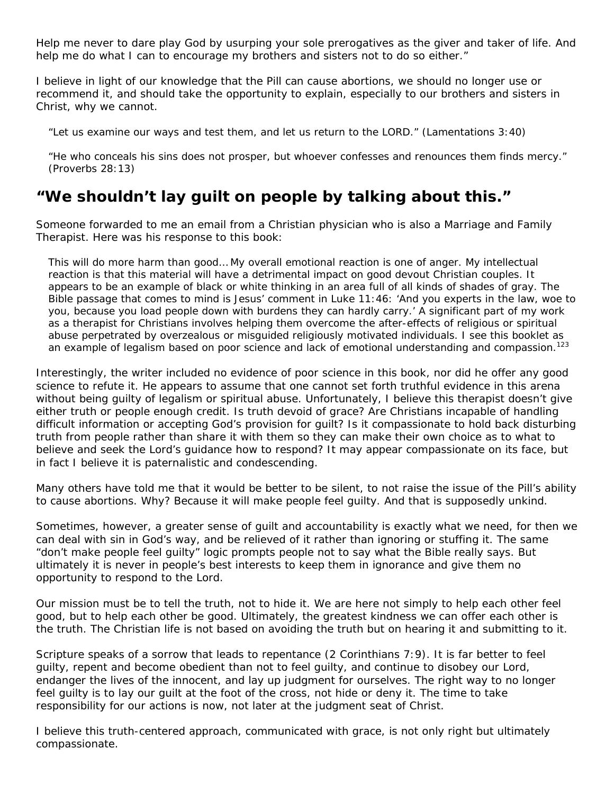Help me never to dare play God by usurping your sole prerogatives as the giver and taker of life. And help me do what I can to encourage my brothers and sisters not to do so either."

I believe in light of our knowledge that the Pill can cause abortions, we should no longer use or recommend it, and should take the opportunity to explain, especially to our brothers and sisters in Christ, why we cannot.

"Let us examine our ways and test them, and let us return to the LORD." (Lamentations 3:40)

"He who conceals his sins does not prosper, but whoever confesses and renounces them finds mercy." (Proverbs 28:13)

#### **"We shouldn't lay guilt on people by talking about this."**

Someone forwarded to me an email from a Christian physician who is also a Marriage and Family Therapist. Here was his response to this book:

This will do more harm than good… My overall emotional reaction is one of anger. My intellectual reaction is that this material will have a detrimental impact on good devout Christian couples. It appears to be an example of black or white thinking in an area full of all kinds of shades of gray. The Bible passage that comes to mind is Jesus' comment in Luke 11:46: 'And you experts in the law, woe to you, because you load people down with burdens they can hardly carry.' A significant part of my work as a therapist for Christians involves helping them overcome the after-effects of religious or spiritual abuse perpetrated by overzealous or misguided religiously motivated individuals. I see this booklet as an example of legalism based on poor science and lack of emotional understanding and compassion.<sup>[123](#page-88-33)</sup>

Interestingly, the writer included no evidence of poor science in this book, nor did he offer any good science to refute it. He appears to assume that one cannot set forth truthful evidence in this arena without being guilty of legalism or spiritual abuse. Unfortunately, I believe this therapist doesn't give either truth or people enough credit. Is truth devoid of grace? Are Christians incapable of handling difficult information or accepting God's provision for guilt? Is it compassionate to hold back disturbing truth from people rather than share it with them so they can make their own choice as to what to believe and seek the Lord's guidance how to respond? It may appear compassionate on its face, but in fact I believe it is paternalistic and condescending.

Many others have told me that it would be better to be silent, to not raise the issue of the Pill's ability to cause abortions. Why? Because it will make people feel guilty. And that is supposedly unkind.

Sometimes, however, a greater sense of guilt and accountability is exactly what we need, for then we can deal with sin in God's way, and be relieved of it rather than ignoring or stuffing it. The same "don't make people feel guilty" logic prompts people not to say what the Bible really says. But ultimately it is never in people's best interests to keep them in ignorance and give them no opportunity to respond to the Lord.

Our mission must be to tell the truth, not to hide it. We are here not simply to help each other *feel* good, but to help each other *be* good. Ultimately, the greatest kindness we can offer each other is the truth. The Christian life is not based on avoiding the truth but on hearing it and submitting to it.

Scripture speaks of a sorrow that leads to repentance (2 Corinthians 7:9). It is far better to feel guilty, repent and become obedient than not to feel guilty, and continue to disobey our Lord, endanger the lives of the innocent, and lay up judgment for ourselves. The right way to no longer feel guilty is to lay our guilt at the foot of the cross, not hide or deny it. The time to take responsibility for our actions is now, not later at the judgment seat of Christ.

I believe this truth-centered approach, communicated with grace, is not only right but ultimately compassionate.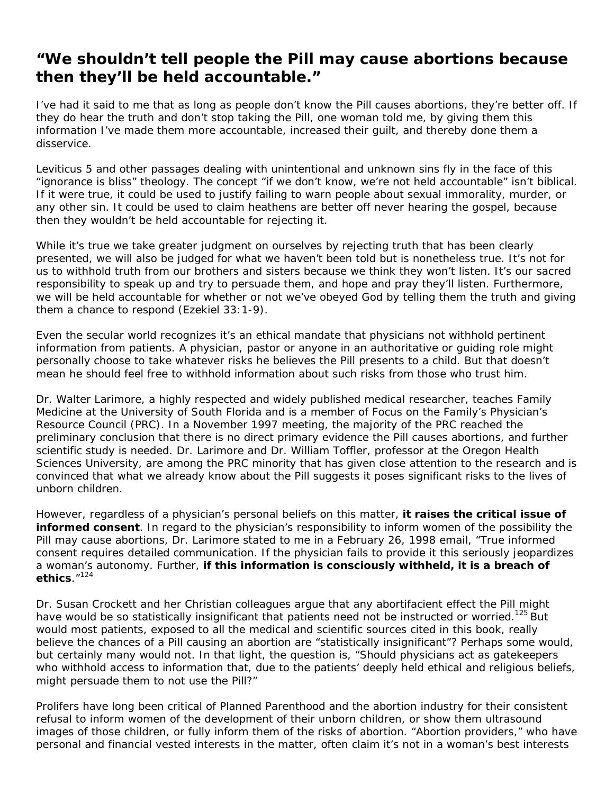# **"We shouldn't tell people the Pill may cause abortions because then they'll be held accountable."**

I've had it said to me that as long as people don't know the Pill causes abortions, they're better off. If they do hear the truth and don't stop taking the Pill, one woman told me, by giving them this information I've made them more accountable, increased their guilt, and thereby done them a disservice.

Leviticus 5 and other passages dealing with unintentional and unknown sins fly in the face of this "ignorance is bliss" theology. The concept "if we don't know, we're not held accountable" isn't biblical. If it were true, it could be used to justify failing to warn people about sexual immorality, murder, or any other sin. It could be used to claim heathens are better off never hearing the gospel, because then they wouldn't be held accountable for rejecting it.

While it's true we take greater judgment on ourselves by rejecting truth that has been clearly presented, we will also be judged for what we haven't been told but is nonetheless true. It's not for us to withhold truth from our brothers and sisters because we think they won't listen. It's our sacred responsibility to speak up and try to persuade them, and hope and pray they'll listen. Furthermore, *we* will be held accountable for whether or not we've obeyed God by telling them the truth and giving them a chance to respond (Ezekiel 33:1-9).

Even the secular world recognizes it's an ethical mandate that physicians not withhold pertinent information from patients. A physician, pastor or anyone in an authoritative or guiding role might personally choose to take whatever risks he believes the Pill presents to a child. But that doesn't mean he should feel free to withhold information about such risks from those who trust him.

Dr. Walter Larimore, a highly respected and widely published medical researcher, teaches Family Medicine at the University of South Florida and is a member of Focus on the Family's Physician's Resource Council (PRC). In a November 1997 meeting, the majority of the PRC reached the preliminary conclusion that there is no direct primary evidence the Pill causes abortions, and further scientific study is needed. Dr. Larimore and Dr. William Toffler, professor at the Oregon Health Sciences University, are among the PRC minority that has given close attention to the research and is convinced that what we already know about the Pill suggests it poses significant risks to the lives of unborn children.

However, regardless of a physician's personal beliefs on this matter, **it raises the critical issue of informed consent**. In regard to the physician's responsibility to inform women of the possibility the Pill may cause abortions, Dr. Larimore stated to me in a February 26, 1998 email, "True informed consent requires detailed communication. If the physician fails to provide it this seriously jeopardizes a woman's autonomy. Further, **if this information is consciously withheld, it is a breach of ethics**."[124](#page-88-34)

Dr. Susan Crockett and her Christian colleagues argue that any abortifacient effect the Pill might have would be so statistically insignificant that patients need not be instructed or worried.<sup>[125](#page-88-35)</sup> But would most patients, exposed to all the medical and scientific sources cited in this book, really believe the chances of a Pill causing an abortion are "statistically insignificant"? Perhaps some would, but certainly many would not. In that light, the question is, "Should physicians act as gatekeepers who withhold access to information that, due to the patients' deeply held ethical and religious beliefs, might persuade them to not use the Pill?"

Prolifers have long been critical of Planned Parenthood and the abortion industry for their consistent refusal to inform women of the development of their unborn children, or show them ultrasound images of those children, or fully inform them of the risks of abortion. "Abortion providers," who have personal and financial vested interests in the matter, often claim it's not in a woman's best interests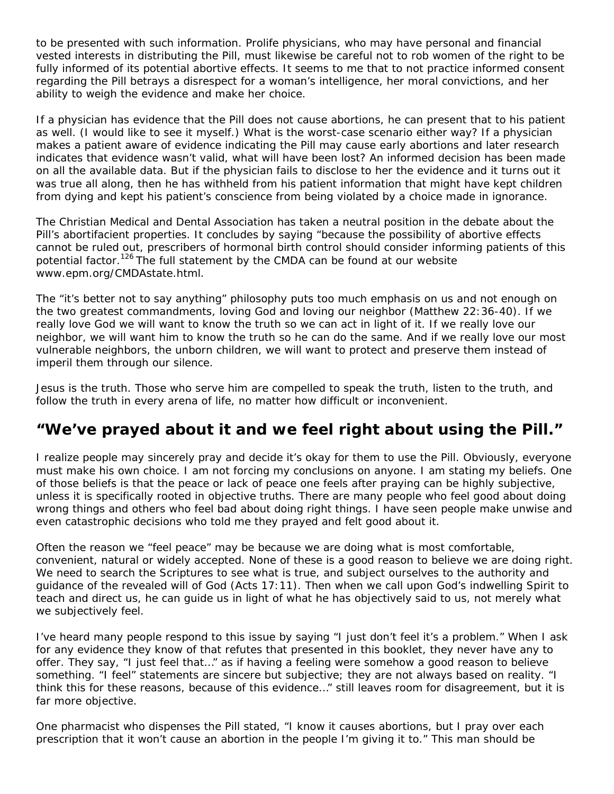to be presented with such information. Prolife physicians, who may have personal and financial vested interests in distributing the Pill, must likewise be careful not to rob women of the right to be fully informed of its potential abortive effects. It seems to me that to not practice informed consent regarding the Pill betrays a disrespect for a woman's intelligence, her moral convictions, and her ability to weigh the evidence and make her choice.

If a physician has evidence that the Pill does not cause abortions, he can present that to his patient as well. (I would like to see it myself.) What is the worst-case scenario either way? If a physician makes a patient aware of evidence indicating the Pill may cause early abortions and later research indicates that evidence wasn't valid, what will have been lost? An informed decision has been made on all the available data. But if the physician fails to disclose to her the evidence and it turns out it was true all along, then he has withheld from his patient information that might have kept children from dying and kept his patient's conscience from being violated by a choice made in ignorance.

The Christian Medical and Dental Association has taken a neutral position in the debate about the Pill's abortifacient properties. It concludes by saying "because the possibility of abortive effects cannot be ruled out, prescribers of hormonal birth control should consider informing patients of this potential factor.<sup>126</sup> The full statement by the CMDA can be found at our website www.epm.org/CMDAstate.html.

The "it's better not to say anything" philosophy puts too much emphasis on us and not enough on the two greatest commandments, loving God and loving our neighbor (Matthew 22:36-40). If we really love God we will want to know the truth so we can act in light of it. If we really love our neighbor, we will want *him* to know the truth so he can do the same. And if we really love our most vulnerable neighbors, the unborn children, we will want to protect and preserve them instead of imperil them through our silence.

Jesus is the truth. Those who serve him are compelled to speak the truth, listen to the truth, and follow the truth in every arena of life, no matter how difficult or inconvenient.

#### **"We've prayed about it and we feel right about using the Pill."**

I realize people may sincerely pray and decide it's okay for them to use the Pill. Obviously, everyone must make his own choice. I am not forcing my conclusions on anyone. I am stating my beliefs. One of those beliefs is that the peace or lack of peace one feels after praying can be highly subjective, unless it is specifically rooted in objective truths. There are many people who feel good about doing wrong things and others who feel bad about doing right things. I have seen people make unwise and even catastrophic decisions who told me they prayed and felt good about it.

Often the reason we "feel peace" may be because we are doing what is most comfortable, convenient, natural or widely accepted. None of these is a good reason to believe we are doing right. We need to search the Scriptures to see what is true, and subject ourselves to the authority and guidance of the revealed will of God (Acts 17:11). Then when we call upon God's indwelling Spirit to teach and direct us, he can guide us in light of what he has objectively said to us, not merely what we subjectively feel.

I've heard many people respond to this issue by saying "I just don't feel it's a problem." When I ask for any evidence they know of that refutes that presented in this booklet, they never have any to offer. They say, "I just feel that…" as if having a feeling were somehow a good reason to believe something. "I feel" statements are sincere but subjective; they are not always based on reality. "I think this for these reasons, because of this evidence…" still leaves room for disagreement, but it is far more objective.

One pharmacist who dispenses the Pill stated, "I know it causes abortions, but I pray over each prescription that it won't cause an abortion in the people I'm giving it to." This man should be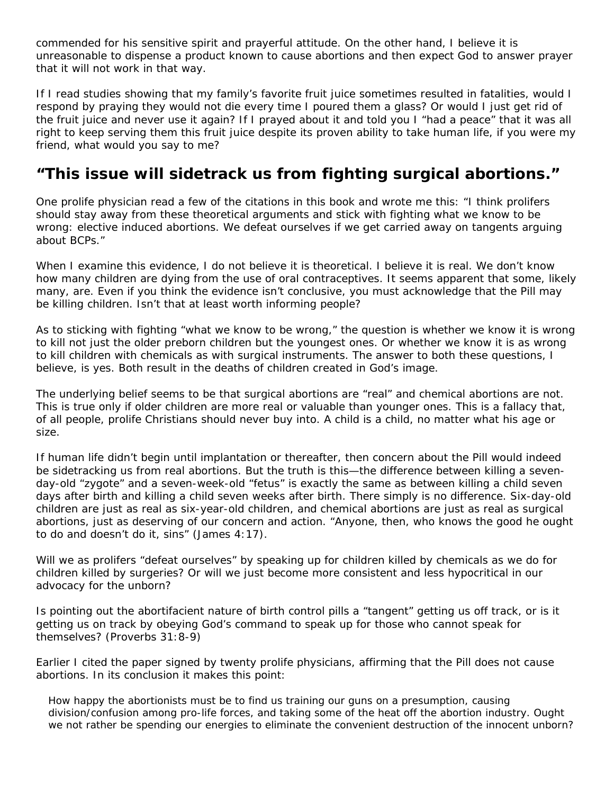commended for his sensitive spirit and prayerful attitude. On the other hand, I believe it is unreasonable to dispense a product known to cause abortions and then expect God to answer prayer that it will not work in that way.

If I read studies showing that my family's favorite fruit juice sometimes resulted in fatalities, would I respond by praying they would not die every time I poured them a glass? Or would I just get rid of the fruit juice and never use it again? If I prayed about it and told you I "had a peace" that it was all right to keep serving them this fruit juice despite its proven ability to take human life, if you were my friend, what would you say to me?

## **"This issue will sidetrack us from fighting surgical abortions."**

One prolife physician read a few of the citations in this book and wrote me this: "I think prolifers should stay away from these theoretical arguments and stick with fighting what we know to be wrong: elective induced abortions. We defeat ourselves if we get carried away on tangents arguing about BCPs."

When I examine this evidence, I do not believe it is theoretical. I believe it is real. We don't know how many children are dying from the use of oral contraceptives. It seems apparent that some, likely many, are. Even if you think the evidence isn't conclusive, you must acknowledge that the Pill *may* be killing children. Isn't that at least worth informing people?

As to sticking with fighting "what we know to be wrong," the question is whether we know it is wrong to kill not just the older preborn children but the youngest ones. Or whether we know it is as wrong to kill children with chemicals as with surgical instruments. The answer to both these questions, I believe, is yes. Both result in the deaths of children created in God's image.

The underlying belief seems to be that surgical abortions are "real" and chemical abortions are not. This is true only if older children are more real or valuable than younger ones. This is a fallacy that, of all people, prolife Christians should never buy into. A child is a child, no matter what his age or size.

If human life didn't begin until implantation or thereafter, then concern about the Pill would indeed be sidetracking us from real abortions. But the truth is this—the difference between killing a sevenday-old "zygote" and a seven-week-old "fetus" is exactly the same as between killing a child seven days after birth and killing a child seven weeks after birth. There simply is no difference. Six-day-old children are just as real as six-year-old children, and chemical abortions are just as real as surgical abortions, just as deserving of our concern and action. "Anyone, then, who knows the good he ought to do and doesn't do it, sins" (James 4:17).

Will we as prolifers "defeat ourselves" by speaking up for children killed by chemicals as we do for children killed by surgeries? Or will we just become more consistent and less hypocritical in our advocacy for the unborn?

Is pointing out the abortifacient nature of birth control pills a "tangent" getting us off track, or is it getting us *on* track by obeying God's command to speak up for those who cannot speak for themselves? (Proverbs 31:8-9)

Earlier I cited the paper signed by twenty prolife physicians, affirming that the Pill does not cause abortions. In its conclusion it makes this point:

How happy the abortionists must be to find us training our guns on a presumption, causing division/confusion among pro-life forces, and taking some of the heat off the abortion industry. Ought we not rather be spending our energies to eliminate the convenient destruction of the innocent unborn?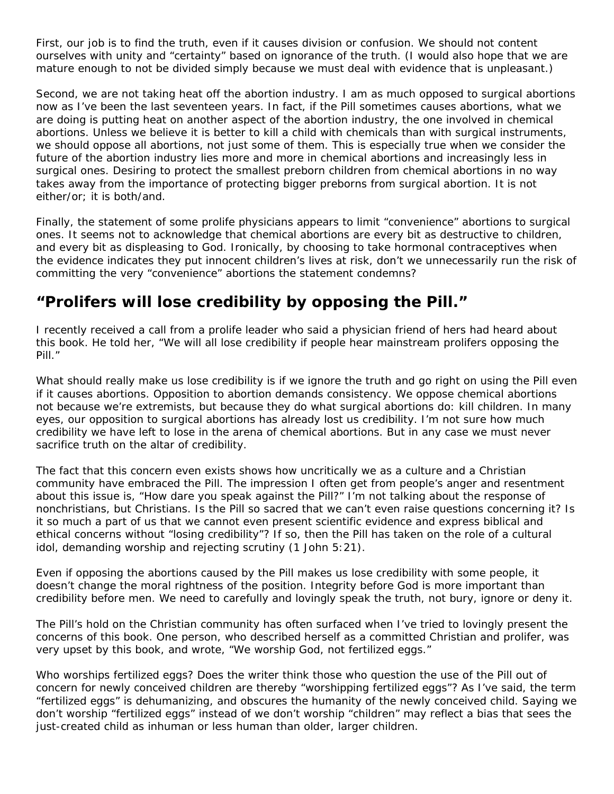First, our job is to find the truth, even if it causes division or confusion. We should not content ourselves with unity and "certainty" based on ignorance of the truth. (I would also hope that we are mature enough to not be divided simply because we must deal with evidence that is unpleasant.)

Second, we are not taking heat off the abortion industry. I am as much opposed to surgical abortions now as I've been the last seventeen years. In fact, if the Pill sometimes causes abortions, what we are doing is putting heat on another aspect of the abortion industry, the one involved in chemical abortions. Unless we believe it is better to kill a child with chemicals than with surgical instruments, we should oppose all abortions, not just some of them. This is especially true when we consider the future of the abortion industry lies more and more in chemical abortions and increasingly less in surgical ones. Desiring to protect the smallest preborn children from chemical abortions in no way takes away from the importance of protecting bigger preborns from surgical abortion. It is not either/or; it is both/and.

Finally, the statement of some prolife physicians appears to limit "convenience" abortions to surgical ones. It seems not to acknowledge that chemical abortions are every bit as destructive to children, and every bit as displeasing to God. Ironically, by choosing to take hormonal contraceptives when the evidence indicates they put innocent children's lives at risk, don't we unnecessarily run the risk of committing the very "convenience" abortions the statement condemns?

# **"Prolifers will lose credibility by opposing the Pill."**

I recently received a call from a prolife leader who said a physician friend of hers had heard about this book. He told her, "We will all lose credibility if people hear mainstream prolifers opposing the Pill."

What should really make us lose credibility is if we ignore the truth and go right on using the Pill even if it causes abortions. Opposition to abortion demands consistency. We oppose chemical abortions not because we're extremists, but because they do what surgical abortions do: kill children. In many eyes, our opposition to surgical abortions has already lost us credibility. I'm not sure how much credibility we have left to lose in the arena of chemical abortions. But in any case we must never sacrifice truth on the altar of credibility.

The fact that this concern even exists shows how uncritically we as a culture and a Christian community have embraced the Pill. The impression I often get from people's anger and resentment about this issue is, "How *dare* you speak against the Pill?" I'm not talking about the response of nonchristians, but Christians. Is the Pill so sacred that we can't even raise questions concerning it? Is it so much a part of us that we cannot even present scientific evidence and express biblical and ethical concerns without "losing credibility"? If so, then the Pill has taken on the role of a cultural idol, demanding worship and rejecting scrutiny (1 John 5:21).

Even if opposing the abortions caused by the Pill makes us lose credibility with some people, it doesn't change the moral rightness of the position. Integrity before God is more important than credibility before men. We need to carefully and lovingly speak the truth, not bury, ignore or deny it.

The Pill's hold on the Christian community has often surfaced when I've tried to lovingly present the concerns of this book. One person, who described herself as a committed Christian and prolifer, was very upset by this book, and wrote, "We worship God, not fertilized eggs."

Who worships fertilized eggs? Does the writer think those who question the use of the Pill out of concern for newly conceived children are thereby "worshipping fertilized eggs"? As I've said, the term "fertilized eggs" is dehumanizing, and obscures the humanity of the newly conceived child. Saying we don't worship "fertilized eggs" instead of we don't worship "children" may reflect a bias that sees the just-created child as inhuman or less human than older, larger children.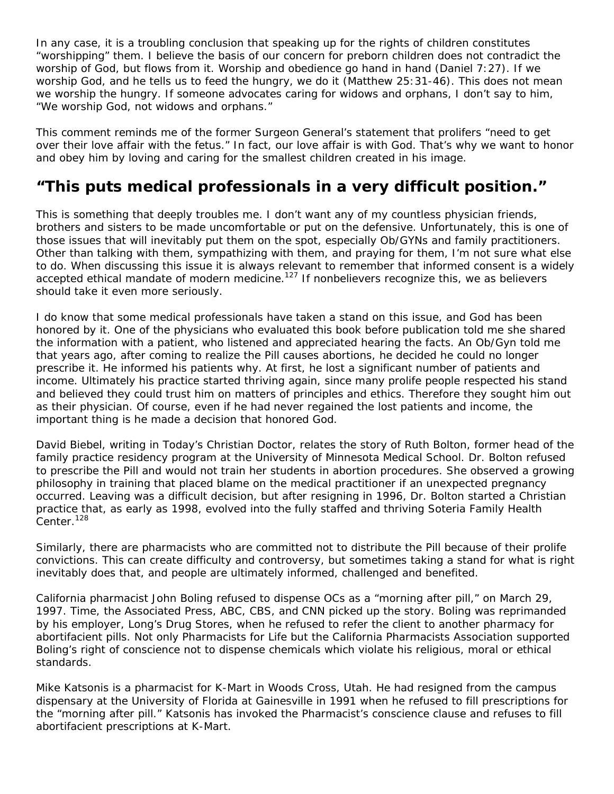In any case, it is a troubling conclusion that speaking up for the rights of children constitutes "worshipping" them. I believe the basis of our concern for preborn children does not contradict the worship of God, but flows from it. Worship and obedience go hand in hand (Daniel 7:27). If we worship God, and he tells us to feed the hungry, we do it (Matthew 25:31-46). This does not mean we worship the hungry. If someone advocates caring for widows and orphans, I don't say to him, "We worship God, not widows and orphans."

This comment reminds me of the former Surgeon General's statement that prolifers "need to get over their love affair with the fetus." In fact, our love affair is with God. That's why we want to honor and obey him by loving and caring for the smallest children created in his image.

# **"This puts medical professionals in a very difficult position."**

This is something that deeply troubles me. I don't want any of my countless physician friends, brothers and sisters to be made uncomfortable or put on the defensive. Unfortunately, this is one of those issues that will inevitably put them on the spot, especially Ob/GYNs and family practitioners. Other than talking with them, sympathizing with them, and praying for them, I'm not sure what else to do. When discussing this issue it is always relevant to remember that informed consent is a widely accepted ethical mandate of modern medicine.<sup>127</sup> If nonbelievers recognize this, we as believers should take it even more seriously.

I do know that some medical professionals have taken a stand on this issue, and God has been honored by it. One of the physicians who evaluated this book before publication told me she shared the information with a patient, who listened and appreciated hearing the facts. An Ob/Gyn told me that years ago, after coming to realize the Pill causes abortions, he decided he could no longer prescribe it. He informed his patients why. At first, he lost a significant number of patients and income. Ultimately his practice started thriving again, since many prolife people respected his stand and believed they could trust him on matters of principles and ethics. Therefore they sought him out as their physician. Of course, even if he had never regained the lost patients and income, the important thing is he made a decision that honored God.

David Biebel, writing in *Today's Christian Doctor*, relates the story of Ruth Bolton, former head of the family practice residency program at the University of Minnesota Medical School. Dr. Bolton refused to prescribe the Pill and would not train her students in abortion procedures. She observed a growing philosophy in training that placed blame on the medical practitioner if an unexpected pregnancy occurred. Leaving was a difficult decision, but after resigning in 1996, Dr. Bolton started a Christian practice that, as early as 1998, evolved into the fully staffed and thriving Soteria Family Health Center.<sup>[128](#page-88-38)</sup>

Similarly, there are pharmacists who are committed not to distribute the Pill because of their prolife convictions. This can create difficulty and controversy, but sometimes taking a stand for what is right inevitably does that, and people are ultimately informed, challenged and benefited.

California pharmacist John Boling refused to dispense OCs as a "morning after pill," on March 29, 1997. Time, the Associated Press, ABC, CBS, and CNN picked up the story. Boling was reprimanded by his employer, Long's Drug Stores, when he refused to refer the client to another pharmacy for abortifacient pills. Not only Pharmacists for Life but the California Pharmacists Association supported Boling's right of conscience not to dispense chemicals which violate his religious, moral or ethical standards.

Mike Katsonis is a pharmacist for K-Mart in Woods Cross, Utah. He had resigned from the campus dispensary at the University of Florida at Gainesville in 1991 when he refused to fill prescriptions for the "morning after pill." Katsonis has invoked the Pharmacist's conscience clause and refuses to fill abortifacient prescriptions at K-Mart.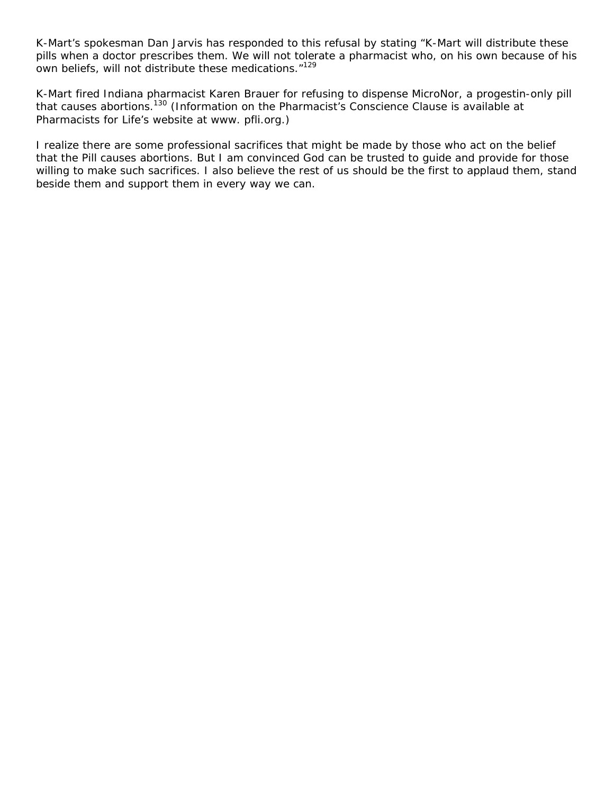K-Mart's spokesman Dan Jarvis has responded to this refusal by stating "K-Mart will distribute these pills when a doctor prescribes them. We will not tolerate a pharmacist who, on his own because of his own beliefs, will not distribute these medications."<sup>[129](#page-88-39)</sup>

K-Mart fired Indiana pharmacist Karen Brauer for refusing to dispense MicroNor, a progestin-only pill that causes abortions[.130](#page-88-40) (Information on the Pharmacist's Conscience Clause is available at Pharmacists for Life's website at www. pfli.org.)

I realize there are some professional sacrifices that might be made by those who act on the belief that the Pill causes abortions. But I am convinced God can be trusted to guide and provide for those willing to make such sacrifices. I also believe the rest of us should be the first to applaud them, stand beside them and support them in every way we can.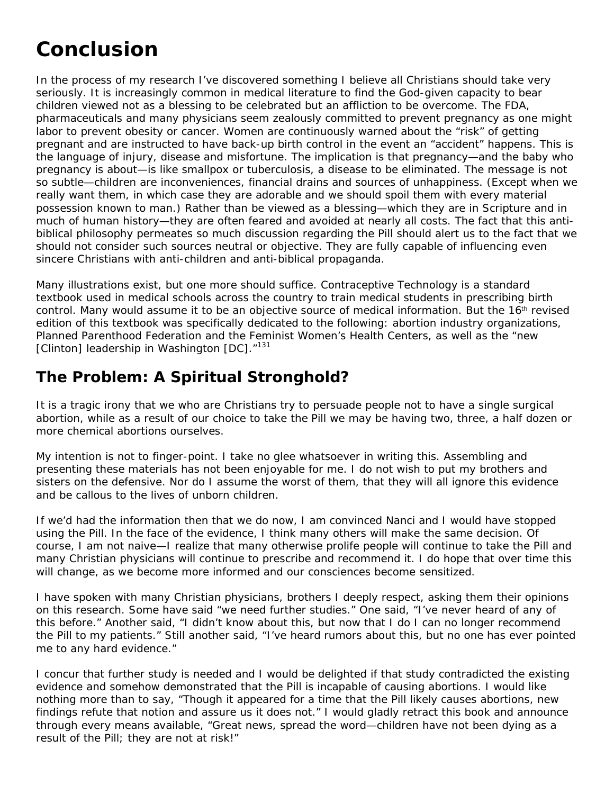# **Conclusion**

In the process of my research I've discovered something I believe all Christians should take very seriously. It is increasingly common in medical literature to find the God-given capacity to bear children viewed not as a blessing to be celebrated but an affliction to be overcome. The FDA, pharmaceuticals and many physicians seem zealously committed to prevent pregnancy as one might labor to prevent obesity or cancer. Women are continuously warned about the "risk" of getting pregnant and are instructed to have back-up birth control in the event an "accident" happens. This is the language of injury, disease and misfortune. The implication is that pregnancy—and the baby who pregnancy is about—is like smallpox or tuberculosis, a disease to be eliminated. The message is not so subtle—children are inconveniences, financial drains and sources of unhappiness. (Except when we really want them, in which case they are adorable and we should spoil them with every material possession known to man.) Rather than be viewed as a blessing—which they are in Scripture and in much of human history—they are often feared and avoided at nearly all costs. The fact that this antibiblical philosophy permeates so much discussion regarding the Pill should alert us to the fact that we should not consider such sources neutral or objective. They are fully capable of influencing even sincere Christians with anti-children and anti-biblical propaganda.

Many illustrations exist, but one more should suffice. *Contraceptive Technology* is a standard textbook used in medical schools across the country to train medical students in prescribing birth control. Many would assume it to be an objective source of medical information. But the 16th revised edition of this textbook was specifically dedicated to the following: abortion industry organizations, Planned Parenthood Federation and the Feminist Women's Health Centers, as well as the "new [Clinton] leadership in Washington  $[DC]$ .  $"^{131}$ 

# **The Problem: A Spiritual Stronghold?**

It is a tragic irony that we who are Christians try to persuade people not to have a single surgical abortion, while as a result of our choice to take the Pill we may be having two, three, a half dozen or more chemical abortions ourselves.

My intention is not to finger-point. I take no glee whatsoever in writing this. Assembling and presenting these materials has not been enjoyable for me. I do not wish to put my brothers and sisters on the defensive. Nor do I assume the worst of them, that they will all ignore this evidence and be callous to the lives of unborn children.

If we'd had the information then that we do now, I am convinced Nanci and I would have stopped using the Pill. In the face of the evidence, I think many others will make the same decision. Of course, I am not naive—I realize that many otherwise prolife people will continue to take the Pill and many Christian physicians will continue to prescribe and recommend it. I do hope that over time this will change, as we become more informed and our consciences become sensitized.

I have spoken with many Christian physicians, brothers I deeply respect, asking them their opinions on this research. Some have said "we need further studies." One said, "I've never heard of any of this before." Another said, "I didn't know about this, but now that I do I can no longer recommend the Pill to my patients." Still another said, "I've heard rumors about this, but no one has ever pointed me to any hard evidence."

I concur that further study is needed and I would be *delighted* if that study contradicted the existing evidence and somehow demonstrated that the Pill is incapable of causing abortions. I would like nothing more than to say, "Though it appeared for a time that the Pill likely causes abortions, new findings refute that notion and assure us it does not." I would gladly retract this book and announce through every means available, "Great news, spread the word—children have not been dying as a result of the Pill; they are not at risk!"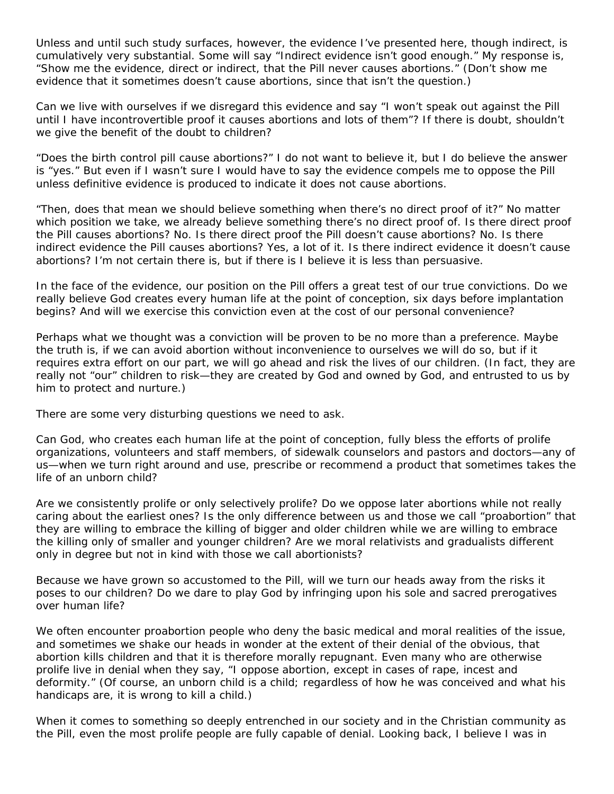Unless and until such study surfaces, however, the evidence I've presented here, though indirect, is cumulatively very substantial. Some will say "Indirect evidence isn't good enough." My response is, "Show me the evidence, direct *or* indirect, that the Pill never causes abortions." (Don't show me evidence that it *sometimes* doesn't cause abortions, since that isn't the question.)

Can we live with ourselves if we disregard this evidence and say "I won't speak out against the Pill until I have incontrovertible proof it causes abortions and lots of them"? If there is doubt, shouldn't we give the benefit of the doubt to children?

"Does the birth control pill cause abortions?" I do not want to believe it, but I do believe the answer is "yes." But even if I wasn't sure I would have to say the evidence compels me to oppose the Pill unless definitive evidence is produced to indicate it does not cause abortions.

"Then, does that mean we should believe something when there's no direct proof of it?" No matter which position we take, we *already* believe something there's no direct proof of. Is there direct proof the Pill causes abortions? No. Is there direct proof the Pill doesn't cause abortions? No. Is there indirect evidence the Pill causes abortions? Yes, a lot of it. Is there indirect evidence it doesn't cause abortions? I'm not certain there is, but if there is I believe it is less than persuasive.

In the face of the evidence, our position on the Pill offers a great test of our true convictions. Do we really believe God creates every human life at the point of conception, six days before implantation begins? And will we exercise this conviction even at the cost of our personal convenience?

Perhaps what we thought was a conviction will be proven to be no more than a preference. Maybe the truth is, if we can avoid abortion without inconvenience to ourselves we will do so, but if it requires extra effort on our part, we will go ahead and risk the lives of our children. (In fact, they are really not "our" children to risk—they are created by God and owned by God, and entrusted to us by him to protect and nurture.)

There are some very disturbing questions we need to ask.

Can God, who creates each human life at the point of conception, fully bless the efforts of prolife organizations, volunteers and staff members, of sidewalk counselors and pastors and doctors—any of us—when we turn right around and use, prescribe or recommend a product that sometimes takes the life of an unborn child?

Are we consistently prolife or only selectively prolife? Do we oppose later abortions while not really caring about the earliest ones? Is the only difference between us and those we call "proabortion" that they are willing to embrace the killing of bigger and older children while we are willing to embrace the killing only of smaller and younger children? Are we moral relativists and gradualists different only in degree but not in kind with those we call abortionists?

Because we have grown so accustomed to the Pill, will we turn our heads away from the risks it poses to our children? Do we dare to play God by infringing upon his sole and sacred prerogatives over human life?

We often encounter proabortion people who deny the basic medical and moral realities of the issue, and sometimes we shake our heads in wonder at the extent of their denial of the obvious, that abortion kills children and that it is therefore morally repugnant. Even many who are otherwise prolife live in denial when they say, "I oppose abortion, except in cases of rape, incest and deformity." (Of course, an unborn child is a child; regardless of how he was conceived and what his handicaps are, it is wrong to kill a child.)

When it comes to something so deeply entrenched in our society and in the Christian community as the Pill, even the most prolife people are fully capable of denial. Looking back, I believe I was in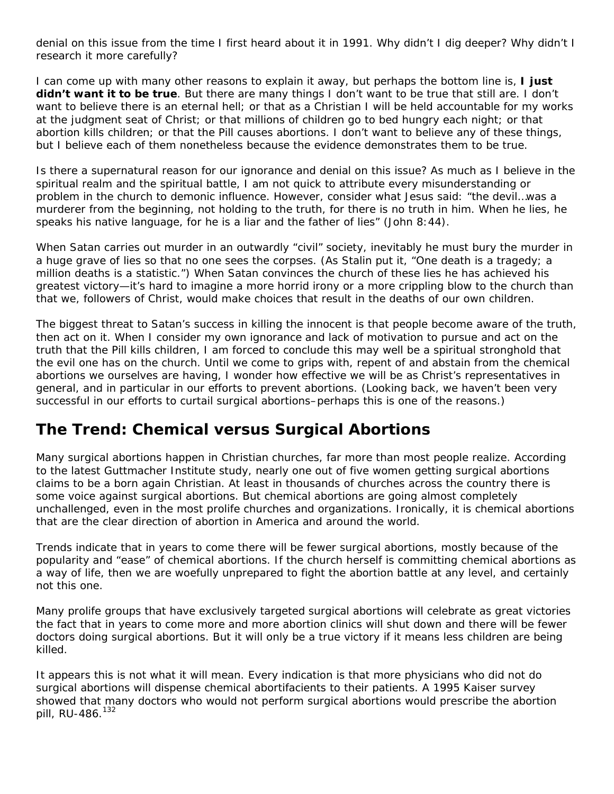denial on this issue from the time I first heard about it in 1991. Why didn't I dig deeper? Why didn't I research it more carefully?

I can come up with many other reasons to explain it away, but perhaps the bottom line is, **I just didn't want it to be true**. But there are many things I don't want to be true that still are. I don't want to believe there is an eternal hell; or that as a Christian I will be held accountable for my works at the judgment seat of Christ; or that millions of children go to bed hungry each night; or that abortion kills children; or that the Pill causes abortions. I don't want to believe any of these things, but I believe each of them nonetheless because the evidence demonstrates them to be true.

Is there a supernatural reason for our ignorance and denial on this issue? As much as I believe in the spiritual realm and the spiritual battle, I am not quick to attribute every misunderstanding or problem in the church to demonic influence. However, consider what Jesus said: "the devil…was a murderer from the beginning, not holding to the truth, for there is no truth in him. When he lies, he speaks his native language, for he is a liar and the father of lies" (John 8:44).

When Satan carries out murder in an outwardly "civil" society, inevitably he must bury the murder in a huge grave of lies so that no one sees the corpses. (As Stalin put it, "One death is a tragedy; a million deaths is a statistic.") When Satan convinces the church of these lies he has achieved his greatest victory—it's hard to imagine a more horrid irony or a more crippling blow to the church than that we, followers of Christ, would make choices that result in the deaths of our own children.

The biggest threat to Satan's success in killing the innocent is that people become aware of the truth, then act on it. When I consider my own ignorance and lack of motivation to pursue and act on the truth that the Pill kills children, I am forced to conclude this may well be a spiritual stronghold that the evil one has on the church. Until we come to grips with, repent of and abstain from the chemical abortions we ourselves are having, I wonder how effective we will be as Christ's representatives in general, and in particular in our efforts to prevent abortions. (Looking back, we haven't been very successful in our efforts to curtail surgical abortions–perhaps this is one of the reasons.)

#### **The Trend: Chemical versus Surgical Abortions**

Many surgical abortions happen in Christian churches, far more than most people realize. According to the latest Guttmacher Institute study, nearly one out of five women getting surgical abortions claims to be a born again Christian. At least in thousands of churches across the country there is *some* voice against surgical abortions. But chemical abortions are going almost completely unchallenged, even in the most prolife churches and organizations. Ironically, it is chemical abortions that are the clear direction of abortion in America and around the world.

Trends indicate that in years to come there will be fewer surgical abortions, mostly because of the popularity and "ease" of chemical abortions. If the church herself is committing chemical abortions as a way of life, then we are woefully unprepared to fight the abortion battle at any level, and certainly not this one.

Many prolife groups that have exclusively targeted surgical abortions will celebrate as great victories the fact that in years to come more and more abortion clinics will shut down and there will be fewer doctors doing surgical abortions. But it will only be a true victory if it means less children are being killed.

It appears this is *not* what it will mean. Every indication is that more physicians who did not do surgical abortions will dispense chemical abortifacients to their patients. A 1995 Kaiser survey showed that many doctors who would not perform surgical abortions would prescribe the abortion pill, RU-486.<sup>[132](#page-88-42)</sup>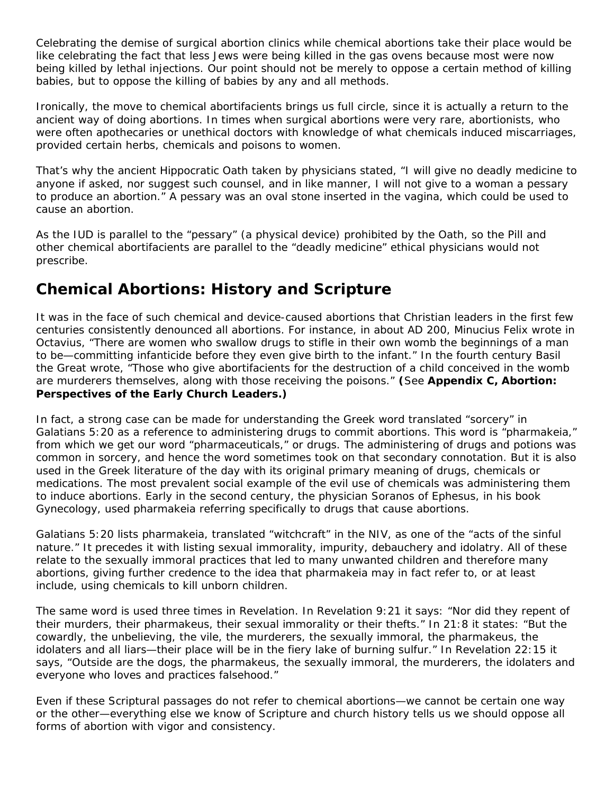Celebrating the demise of surgical abortion clinics while chemical abortions take their place would be like celebrating the fact that less Jews were being killed in the gas ovens because most were now being killed by lethal injections. Our point should not be merely to oppose a certain method of killing babies, but to oppose the killing of babies by any and all methods.

Ironically, the move to chemical abortifacients brings us full circle, since it is actually a return to the ancient way of doing abortions. In times when surgical abortions were very rare, abortionists, who were often apothecaries or unethical doctors with knowledge of what chemicals induced miscarriages, provided certain herbs, chemicals and poisons to women.

That's why the ancient Hippocratic Oath taken by physicians stated, "I will give no deadly medicine to anyone if asked, nor suggest such counsel, and in like manner, I will not give to a woman a pessary to produce an abortion." A pessary was an oval stone inserted in the vagina, which could be used to cause an abortion.

As the IUD is parallel to the "pessary" (a physical device) prohibited by the Oath, so the Pill and other chemical abortifacients are parallel to the "deadly medicine" ethical physicians would not prescribe.

# **Chemical Abortions: History and Scripture**

It was in the face of such chemical and device-caused abortions that Christian leaders in the first few centuries consistently denounced all abortions. For instance, in about AD 200, Minucius Felix wrote in *Octavius*, "There are women who swallow drugs to stifle in their own womb the beginnings of a man to be—committing infanticide before they even give birth to the infant." In the fourth century Basil the Great wrote, "Those who give abortifacients for the destruction of a child conceived in the womb are murderers themselves, along with those receiving the poisons." **(**See *Appendix C,* **Abortion: Perspectives of the Early Church Leaders.)** 

In fact, a strong case can be made for understanding the Greek word translated "sorcery" in Galatians 5:20 as a reference to administering drugs to commit abortions. This word is "*pharmakeia*," from which we get our word "pharmaceuticals," or drugs. The administering of drugs and potions was common in sorcery, and hence the word sometimes took on that secondary connotation. But it is also used in the Greek literature of the day with its original primary meaning of drugs, chemicals or medications. The most prevalent social example of the evil use of chemicals was administering them to induce abortions. Early in the second century, the physician Soranos of Ephesus, in his book *Gynecology*, used *pharmakeia* referring specifically to drugs that cause abortions.

Galatians 5:20 lists *pharmakeia,* translated "witchcraft" in the NIV*,* as one of the "acts of the sinful nature." It precedes it with listing sexual immorality, impurity, debauchery and idolatry. All of these relate to the sexually immoral practices that led to many unwanted children and therefore many abortions, giving further credence to the idea that *pharmakeia* may in fact refer to, or at least include, using chemicals to kill unborn children.

The same word is used three times in Revelation. In Revelation 9:21 it says: "Nor did they repent of their murders, their *pharmakeus*, their sexual immorality or their thefts." In 21:8 it states: "But the cowardly, the unbelieving, the vile, the murderers, the sexually immoral, the *pharmakeus*, the idolaters and all liars—their place will be in the fiery lake of burning sulfur." In Revelation 22:15 it says, "Outside are the dogs, the *pharmakeus*, the sexually immoral, the murderers, the idolaters and everyone who loves and practices falsehood."

Even if these Scriptural passages do not refer to chemical abortions—we cannot be certain one way or the other—everything else we know of Scripture and church history tells us we should oppose all forms of abortion with vigor and consistency.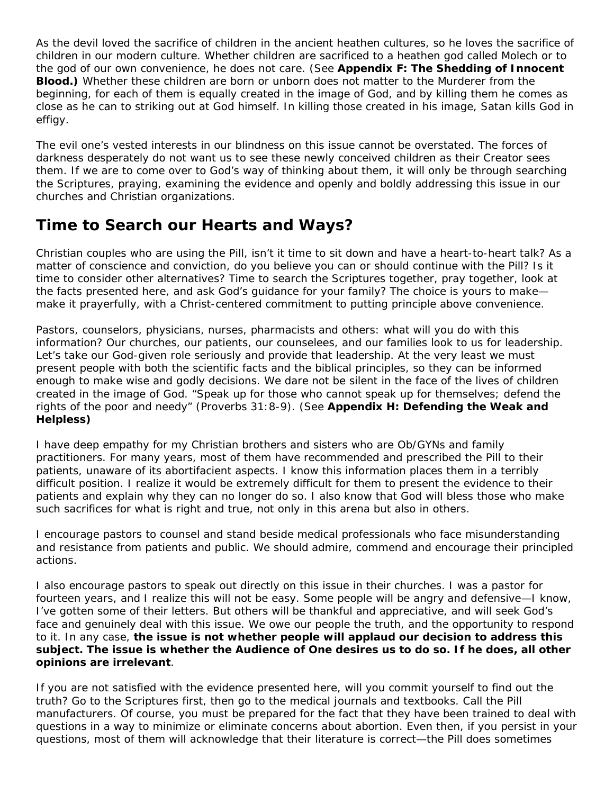As the devil loved the sacrifice of children in the ancient heathen cultures, so he loves the sacrifice of children in our modern culture. Whether children are sacrificed to a heathen god called Molech or to the god of our own convenience, he does not care. (See *Appendix F:* **The Shedding of Innocent Blood.)** Whether these children are born or unborn does not matter to the Murderer from the beginning, for each of them is equally created in the image of God, and by killing them he comes as close as he can to striking out at God himself. In killing those created in his image, Satan kills God in effigy.

The evil one's vested interests in our blindness on this issue cannot be overstated. The forces of darkness desperately do not want us to see these newly conceived children as their Creator sees them. If we are to come over to God's way of thinking about them, it will only be through searching the Scriptures, praying, examining the evidence and openly and boldly addressing this issue in our churches and Christian organizations.

# **Time to Search our Hearts and Ways?**

Christian couples who are using the Pill, isn't it time to sit down and have a heart-to-heart talk? As a matter of conscience and conviction, do you believe you can or should continue with the Pill? Is it time to consider other alternatives? Time to search the Scriptures together, pray together, look at the facts presented here, and ask God's guidance for your family? The choice is yours to make make it prayerfully, with a Christ-centered commitment to putting principle above convenience.

Pastors, counselors, physicians, nurses, pharmacists and others: what will you do with this information? Our churches, our patients, our counselees, and our families look to us for leadership. Let's take our God-given role seriously and provide that leadership. At the very least we must present people with both the scientific facts and the biblical principles, so they can be informed enough to make wise and godly decisions. We dare not be silent in the face of the lives of children created in the image of God. "Speak up for those who cannot speak up for themselves; defend the rights of the poor and needy" (Proverbs 31:8-9). (See *Appendix H:* **Defending the Weak and Helpless)** 

I have deep empathy for my Christian brothers and sisters who are Ob/GYNs and family practitioners. For many years, most of them have recommended and prescribed the Pill to their patients, unaware of its abortifacient aspects. I know this information places them in a terribly difficult position. I realize it would be extremely difficult for them to present the evidence to their patients and explain why they can no longer do so. I also know that God will bless those who make such sacrifices for what is right and true, not only in this arena but also in others.

I encourage pastors to counsel and stand beside medical professionals who face misunderstanding and resistance from patients and public. We should admire, commend and encourage their principled actions.

I also encourage pastors to speak out directly on this issue in their churches. I was a pastor for fourteen years, and I realize this will not be easy. Some people will be angry and defensive—I know, I've gotten some of their letters. But others will be thankful and appreciative, and will seek God's face and genuinely deal with this issue. We owe our people the truth, and the opportunity to respond to it. In any case, **the issue is not whether people will applaud our decision to address this subject. The issue is whether the Audience of One desires us to do so. If he does, all other opinions are irrelevant**.

If you are not satisfied with the evidence presented here, will you commit yourself to find out the truth? Go to the Scriptures first, then go to the medical journals and textbooks. Call the Pill manufacturers. Of course, you must be prepared for the fact that they have been trained to deal with questions in a way to minimize or eliminate concerns about abortion. Even then, if you persist in your questions, most of them will acknowledge that their literature is correct—the Pill *does* sometimes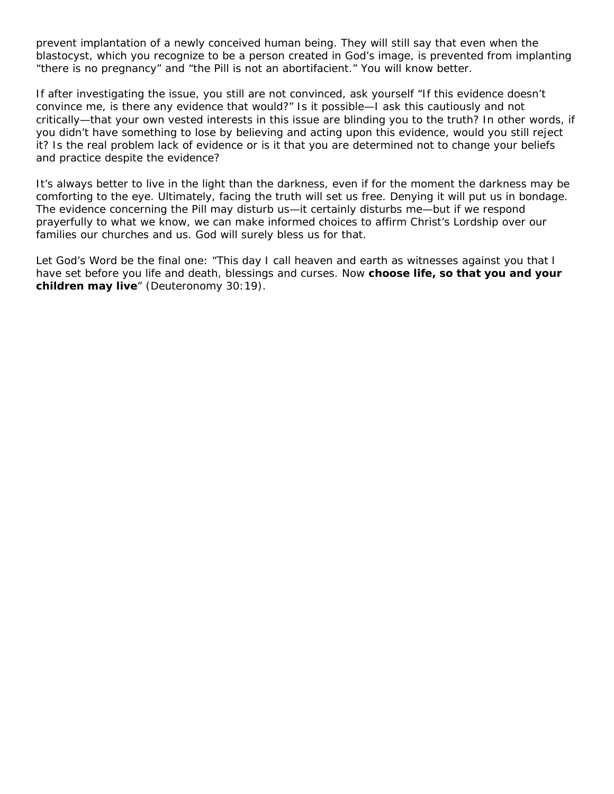prevent implantation of a newly conceived human being. They will still say that even when the blastocyst, which you recognize to be a person created in God's image, is prevented from implanting "there is no pregnancy" and "the Pill is not an abortifacient." You will know better.

If after investigating the issue, you still are not convinced, ask yourself "If *this* evidence doesn't convince me, is there any evidence that would?" Is it possible—I ask this cautiously and not critically—that your own vested interests in this issue are blinding you to the truth? In other words, if you didn't have something to lose by believing and acting upon this evidence, would you still reject it? Is the real problem lack of evidence or is it that you are determined not to change your beliefs and practice despite the evidence?

It's always better to live in the light than the darkness, even if for the moment the darkness may be comforting to the eye. Ultimately, facing the truth will set us free. Denying it will put us in bondage. The evidence concerning the Pill may disturb us—it certainly disturbs me—but if we respond prayerfully to what we know, we can make informed choices to affirm Christ's Lordship over our families our churches and us. God will surely bless us for that.

Let God's Word be the final one: "This day I call heaven and earth as witnesses against you that I have set before you life and death, blessings and curses. Now **choose life, so that you and your children may live**" (Deuteronomy 30:19).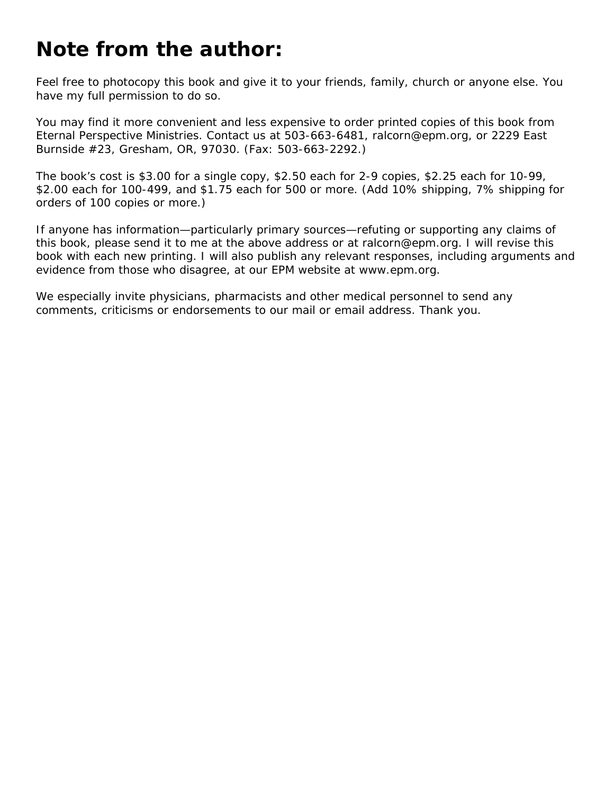# **Note from the author:**

Feel free to photocopy this book and give it to your friends, family, church or anyone else. You have my full permission to do so.

You may find it more convenient and less expensive to order printed copies of this book from Eternal Perspective Ministries. Contact us at 503-663-6481, ralcorn@epm.org, or 2229 East Burnside #23, Gresham, OR, 97030. (Fax: 503-663-2292.)

The book's cost is \$3.00 for a single copy, \$2.50 each for 2-9 copies, \$2.25 each for 10-99, \$2.00 each for 100-499, and \$1.75 each for 500 or more. (Add 10% shipping, 7% shipping for orders of 100 copies or more.)

If anyone has information—particularly primary sources—refuting or supporting any claims of this book, please send it to me at the above address or at ralcorn@epm.org. I will revise this book with each new printing. I will also publish any relevant responses, including arguments and evidence from those who disagree, at our EPM website at www.epm.org.

We especially invite physicians, pharmacists and other medical personnel to send any comments, criticisms or endorsements to our mail or email address. Thank you.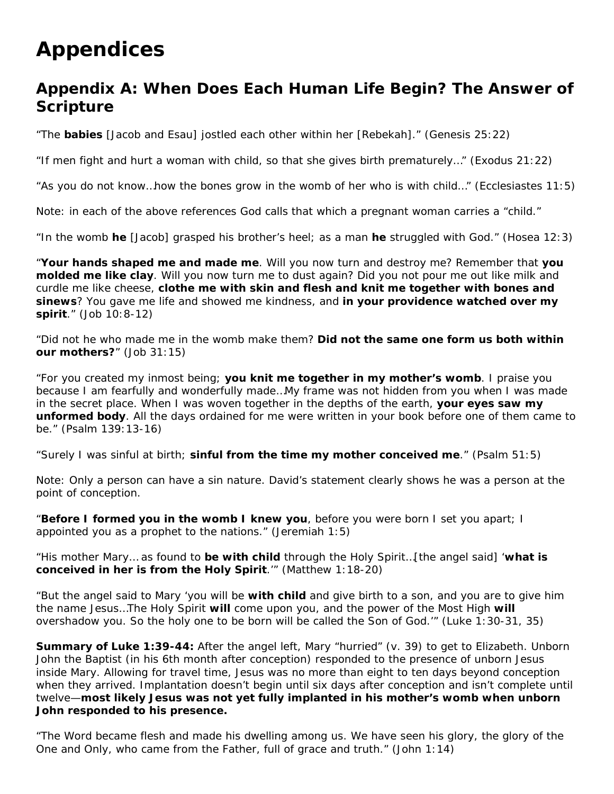# **Appendices**

# *Appendix A:* **When Does Each Human Life Begin? The Answer of Scripture**

"The **babies** [Jacob and Esau] jostled each other within her [Rebekah]." (Genesis 25:22)

"If men fight and hurt a woman with child, so that she gives birth prematurely…" (Exodus 21:22)

"As you do not know…how the bones grow in the womb of her who is with child…" (Ecclesiastes 11:5)

*Note: in each of the above references God calls that which a pregnant woman carries a "child."* 

"In the womb **he** [Jacob] grasped his brother's heel; as a man **he** struggled with God." (Hosea 12:3)

"**Your hands shaped me and made me**. Will you now turn and destroy me? Remember that **you molded me like clay**. Will you now turn me to dust again? Did you not pour me out like milk and curdle me like cheese, **clothe me with skin and flesh and knit me together with bones and sinews**? You gave me life and showed me kindness, and **in your providence watched over my spirit**." (Job 10:8-12)

"Did not he who made me in the womb make them? **Did not the same one form us both within our mothers?**" (Job 31:15)

"For you created my inmost being; **you knit me together in my mother's womb**. I praise you because I am fearfully and wonderfully made…My frame was not hidden from you when I was made in the secret place. When I was woven together in the depths of the earth, **your eyes saw my unformed body**. All the days ordained for me were written in your book before one of them came to be." (Psalm 139:13-16)

"Surely I was sinful at birth; **sinful from the time my mother conceived me**." (Psalm 51:5)

*Note: Only a person can have a sin nature. David's statement clearly shows he was a person at the point of conception.*

"**Before I formed you in the womb I knew you**, before you were born I set you apart; I appointed you as a prophet to the nations." (Jeremiah 1:5)

"His mother Mary… as found to **be with child** through the Holy Spirit…[the angel said] '**what is conceived in her is from the Holy Spirit**.'" (Matthew 1:18-20)

"But the angel said to Mary 'you will be **with child** and give birth to a son, and you are to give him the name Jesus…The Holy Spirit **will** come upon you, and the power of the Most High **will** overshadow you. So the holy one to be born will be called the Son of God.'" (Luke 1:30-31, 35)

**Summary of Luke 1:39-44:** *After the angel left, Mary "hurried" (v. 39) to get to Elizabeth. Unborn John the Baptist (in his 6th month after conception) responded to the presence of unborn Jesus inside Mary. Allowing for travel time, Jesus was no more than eight to ten days beyond conception*  when they arrived. Implantation doesn't begin until six days after conception and isn't complete until *twelve—most likely Jesus was not yet fully implanted in his mother's womb when unborn John responded to his presence.* 

"The Word became flesh and made his dwelling among us. We have seen his glory, the glory of the One and Only, who came from the Father, full of grace and truth." (John 1:14)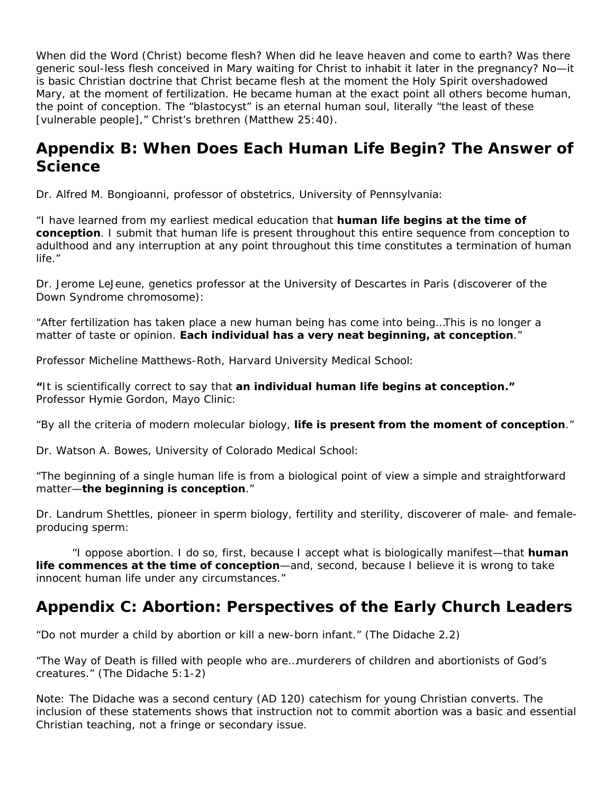*When did the Word (Christ) become flesh? When did he leave heaven and come to earth? Was there generic soul-less flesh conceived in Mary waiting for Christ to inhabit it later in the pregnancy? No—it is basic Christian doctrine that Christ became flesh at the moment the Holy Spirit overshadowed Mary, at the moment of fertilization. He became human at the exact point all others become human, the point of conception. The "blastocyst" is an eternal human soul, literally "the least of these [vulnerable people]," Christ's brethren (Matthew 25:40).* 

# *Appendix B:* **When Does Each Human Life Begin? The Answer of Science**

*Dr. Alfred M. Bongioanni, professor of obstetrics, University of Pennsylvania:*

"I have learned from my earliest medical education that **human life begins at the time of conception**. I submit that human life is present throughout this entire sequence from conception to adulthood and any interruption at any point throughout this time constitutes a termination of human life."

*Dr. Jerome LeJeune, genetics professor at the University of Descartes in Paris (discoverer of the Down Syndrome chromosome):* 

"After fertilization has taken place a new human being has come into being…This is no longer a matter of taste or opinion. **Each individual has a very neat beginning, at conception**."

*Professor Micheline Matthews-Roth, Harvard University Medical School:*

**"**It is scientifically correct to say that **an individual human life begins at conception."**  *Professor Hymie Gordon*, *Mayo Clinic:*

"By all the criteria of modern molecular biology, **life is present from the moment of conception**."

*Dr. Watson A. Bowes*, *University of Colorado Medical School:* 

"The beginning of a single human life is from a biological point of view a simple and straightforward matter—**the beginning is conception**."

*Dr. Landrum Shettles, pioneer in sperm biology, fertility and sterility, discoverer of male- and femaleproducing sperm:* 

 "I oppose abortion. I do so, first, because I accept what is biologically manifest—that **human life commences at the time of conception**—and, second, because I believe it is wrong to take innocent human life under any circumstances."

# *Appendix C:* **Abortion: Perspectives of the Early Church Leaders**

"Do not murder a child by abortion or kill a new-born infant." (*The Didache* 2.2)

"The Way of Death is filled with people who are…murderers of children and abortionists of God's creatures." (*The Didache* 5:1-2)

Note: *The Didache* was a second century (AD 120) catechism for young Christian converts. The inclusion of these statements shows that instruction not to commit abortion was a basic and essential Christian teaching, not a fringe or secondary issue.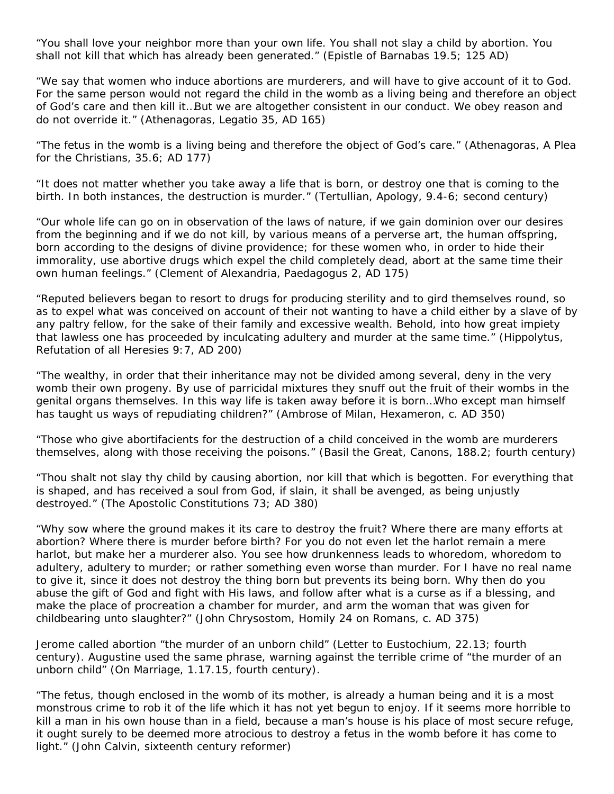"You shall love your neighbor more than your own life. You shall not slay a child by abortion. You shall not kill that which has already been generated." (*Epistle of Barnabas* 19.5; 125 AD)

"We say that women who induce abortions are murderers, and will have to give account of it to God. For the same person would not regard the child in the womb as a living being and therefore an object of God's care and then kill it…But we are altogether consistent in our conduct. We obey reason and do not override it." (Athenagoras, *Legatio 35*, AD 165)

"The fetus in the womb is a living being and therefore the object of God's care." (Athenagoras, *A Plea for the Christians*, 35.6; AD 177)

"It does not matter whether you take away a life that is born, or destroy one that is coming to the birth. In both instances, the destruction is murder." (Tertullian, *Apology*, 9.4-6; second century)

"Our whole life can go on in observation of the laws of nature, if we gain dominion over our desires from the beginning and if we do not kill, by various means of a perverse art, the human offspring, born according to the designs of divine providence; for these women who, in order to hide their immorality, use abortive drugs which expel the child completely dead, abort at the same time their own human feelings." (Clement of Alexandria, *Paedagogus* 2, AD 175)

"Reputed believers began to resort to drugs for producing sterility and to gird themselves round, so as to expel what was conceived on account of their not wanting to have a child either by a slave of by any paltry fellow, for the sake of their family and excessive wealth. Behold, into how great impiety that lawless one has proceeded by inculcating adultery and murder at the same time." (Hippolytus, *Refutation of all Heresies* 9:7, AD 200)

"The wealthy, in order that their inheritance may not be divided among several, deny in the very womb their own progeny. By use of parricidal mixtures they snuff out the fruit of their wombs in the genital organs themselves. In this way life is taken away before it is born…Who except man himself has taught us ways of repudiating children?" (Ambrose of Milan, *Hexameron*, c. AD 350)

"Those who give abortifacients for the destruction of a child conceived in the womb are murderers themselves, along with those receiving the poisons." (Basil the Great, *Canons*, 188.2; fourth century)

"Thou shalt not slay thy child by causing abortion, nor kill that which is begotten. For everything that is shaped, and has received a soul from God, if slain, it shall be avenged, as being unjustly destroyed." *(The Apostolic Constitutions* 73; AD 380)

"Why sow where the ground makes it its care to destroy the fruit? Where there are many efforts at abortion? Where there is murder before birth? For you do not even let the harlot remain a mere harlot, but make her a murderer also. You see how drunkenness leads to whoredom, whoredom to adultery, adultery to murder; or rather something even worse than murder. For I have no real name to give it, since it does not destroy the thing born but prevents its being born. Why then do you abuse the gift of God and fight with His laws, and follow after what is a curse as if a blessing, and make the place of procreation a chamber for murder, and arm the woman that was given for childbearing unto slaughter?" (John Chrysostom, *Homily 24 on Romans*, c. AD 375)

Jerome called abortion "the murder of an unborn child" (*Letter to Eustochium*, 22.13; fourth century). Augustine used the same phrase, warning against the terrible crime of "the murder of an unborn child" (*On Marriage*, 1.17.15, fourth century).

"The fetus, though enclosed in the womb of its mother, is already a human being and it is a most monstrous crime to rob it of the life which it has not yet begun to enjoy. If it seems more horrible to kill a man in his own house than in a field, because a man's house is his place of most secure refuge, it ought surely to be deemed more atrocious to destroy a fetus in the womb before it has come to light." (John Calvin, sixteenth century reformer)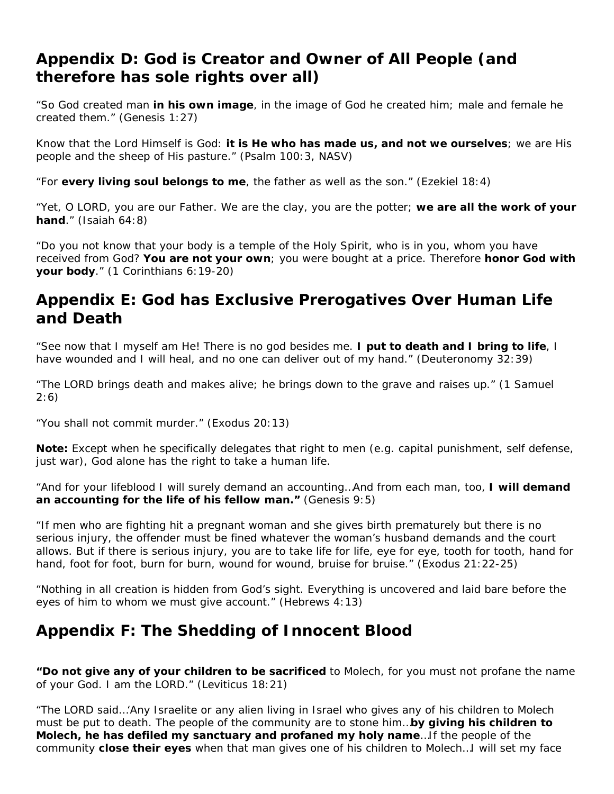# *Appendix D:* **God is Creator and Owner of All People (and therefore has sole rights over all)**

"So God created man **in his own image**, in the image of God he created him; male and female he created them." (Genesis 1:27)

Know that the Lord Himself is God: **it is He who has made us, and not we ourselves**; we are His people and the sheep of His pasture." (Psalm 100:3, NASV)

"For **every living soul belongs to me**, the father as well as the son." (Ezekiel 18:4)

"Yet, O LORD, you are our Father. We are the clay, you are the potter; **we are all the work of your hand**." (Isaiah 64:8)

"Do you not know that your body is a temple of the Holy Spirit, who is in you, whom you have received from God? **You are not your own**; you were bought at a price. Therefore **honor God with your body**." (1 Corinthians 6:19-20)

## *Appendix E:* **God has Exclusive Prerogatives Over Human Life and Death**

"See now that I myself am He! There is no god besides me. **I put to death and I bring to life**, I have wounded and I will heal, and no one can deliver out of my hand." (Deuteronomy 32:39)

"The LORD brings death and makes alive; he brings down to the grave and raises up." (1 Samuel 2:6)

"You shall not commit murder." (Exodus 20:13)

**Note:** Except when he specifically delegates that right to men (e.g. capital punishment, self defense, just war), God alone has the right to take a human life.

"And for your lifeblood I will surely demand an accounting…And from each man, too, **I will demand an accounting for the life of his fellow man."** (Genesis 9:5)

"If men who are fighting hit a pregnant woman and she gives birth prematurely but there is no serious injury, the offender must be fined whatever the woman's husband demands and the court allows. But if there is serious injury, you are to take life for life, eye for eye, tooth for tooth, hand for hand, foot for foot, burn for burn, wound for wound, bruise for bruise." (Exodus 21:22-25)

"Nothing in all creation is hidden from God's sight. Everything is uncovered and laid bare before the eyes of him to whom we must give account." (Hebrews 4:13)

## *Appendix F:* **The Shedding of Innocent Blood**

**"Do not give any of your children to be sacrificed** to Molech, for you must not profane the name of your God. I am the LORD." (Leviticus 18:21)

"The LORD said…'Any Israelite or any alien living in Israel who gives any of his children to Molech must be put to death. The people of the community are to stone him…**by giving his children to Molech, he has defiled my sanctuary and profaned my holy name**…If the people of the community **close their eyes** when that man gives one of his children to Molech…I will set my face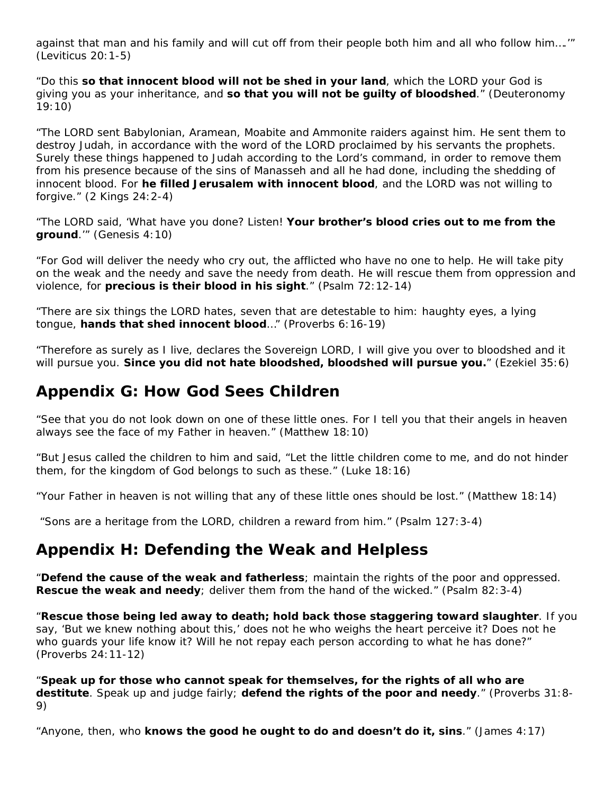against that man and his family and will cut off from their people both him and all who follow him….'" (Leviticus 20:1-5)

"Do this **so that innocent blood will not be shed in your land**, which the LORD your God is giving you as your inheritance, and **so that you will not be guilty of bloodshed**." (Deuteronomy 19:10)

"The LORD sent Babylonian, Aramean, Moabite and Ammonite raiders against him. He sent them to destroy Judah, in accordance with the word of the LORD proclaimed by his servants the prophets. Surely these things happened to Judah according to the Lord's command, in order to remove them from his presence *because of the sins of Manasseh and all he had done, including the shedding of innocent blood.* For **he filled Jerusalem with innocent blood**, and the LORD was not willing to forgive." (2 Kings 24:2-4)

"The LORD said, 'What have you done? Listen! **Your brother's blood cries out to me from the ground**.'" (Genesis 4:10)

"For God will deliver the needy who cry out, the afflicted who have no one to help. He will take pity on the weak and the needy and save the needy from death. He will rescue them from oppression and violence, for **precious is their blood in his sight**." (Psalm 72:12-14)

"There are six things the LORD hates, seven that are detestable to him: haughty eyes, a lying tongue, **hands that shed innocent blood**…" (Proverbs 6:16-19)

"Therefore as surely as I live, declares the Sovereign LORD, I will give you over to bloodshed and it will pursue you. **Since you did not hate bloodshed, bloodshed will pursue you.**" (Ezekiel 35:6)

#### *Appendix G:* **How God Sees Children**

"See that you do not look down on one of these little ones. For I tell you that their angels in heaven always see the face of my Father in heaven." (Matthew 18:10)

"But Jesus called the children to him and said, "Let the little children come to me, and do not hinder them, for the kingdom of God belongs to such as these." (Luke 18:16)

"Your Father in heaven is not willing that any of these little ones should be lost." (Matthew 18:14)

"Sons are a heritage from the LORD, children a reward from him." (Psalm 127:3-4)

## *Appendix H:* **Defending the Weak and Helpless**

"**Defend the cause of the weak and fatherless**; maintain the rights of the poor and oppressed. **Rescue the weak and needy**; deliver them from the hand of the wicked." (Psalm 82:3-4)

"**Rescue those being led away to death; hold back those staggering toward slaughter**. If you say, 'But we knew nothing about this,' does not he who weighs the heart perceive it? Does not he who guards your life know it? Will he not repay each person according to what he has done?" (Proverbs 24:11-12)

"**Speak up for those who cannot speak for themselves, for the rights of all who are destitute**. Speak up and judge fairly; **defend the rights of the poor and needy**." (Proverbs 31:8- 9)

"Anyone, then, who **knows the good he ought to do and doesn't do it, sins**." (James 4:17)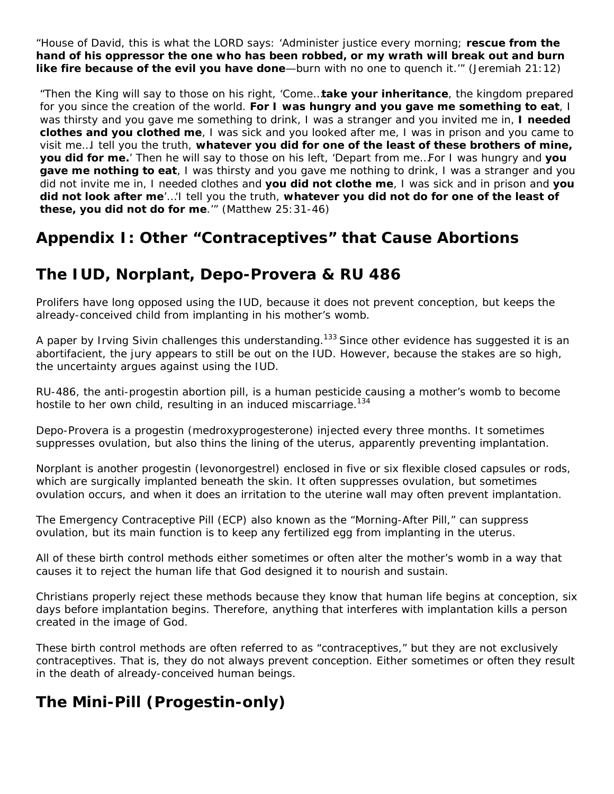"House of David, this is what the LORD says: 'Administer justice every morning; **rescue from the hand of his oppressor the one who has been robbed, or my wrath will break out and burn like fire because of the evil you have done**—burn with no one to quench it.'" (Jeremiah 21:12)

"Then the King will say to those on his right, 'Come…**take your inheritance**, the kingdom prepared for you since the creation of the world. **For I was hungry and you gave me something to eat**, I was thirsty and you gave me something to drink, I was a stranger and you invited me in, **I needed clothes and you clothed me**, I was sick and you looked after me, I was in prison and you came to visit me…I tell you the truth, **whatever you did for one of the least of these brothers of mine, you did for me.**' Then he will say to those on his left, 'Depart from me…For I was hungry and **you gave me nothing to eat**, I was thirsty and you gave me nothing to drink, I was a stranger and you did not invite me in, I needed clothes and **you did not clothe me**, I was sick and in prison and **you did not look after me**'…'I tell you the truth, **whatever you did** *not* **do for one of the least of these, you did** *not* **do for me**.'" (Matthew 25:31-46)

# *Appendix I:* **Other "Contraceptives" that Cause Abortions**

## **The IUD, Norplant, Depo-Provera & RU 486**

Prolifers have long opposed using the IUD, because it does not prevent conception, but keeps the already-conceived child from implanting in his mother's womb.

A paper by Irving Sivin challenges this understanding.<sup>133</sup> Since other evidence has suggested it is an abortifacient, the jury appears to still be out on the IUD. However, because the stakes are so high, the uncertainty argues against using the IUD.

RU-486, the anti-progestin abortion pill, is a human pesticide causing a mother's womb to become hostile to her own child, resulting in an induced miscarriage.<sup>[134](#page-88-1)</sup>

Depo-Provera is a progestin (medroxyprogesterone) injected every three months. It sometimes suppresses ovulation, but also thins the lining of the uterus, apparently preventing implantation.

Norplant is another progestin (levonorgestrel) enclosed in five or six flexible closed capsules or rods, which are surgically implanted beneath the skin. It often suppresses ovulation, but sometimes ovulation occurs, and when it does an irritation to the uterine wall may often prevent implantation.

The Emergency Contraceptive Pill (ECP) also known as the "Morning-After Pill," can suppress ovulation, but its main function is to keep any fertilized egg from implanting in the uterus.

All of these birth control methods either sometimes or often alter the mother's womb in a way that causes it to reject the human life that God designed it to nourish and sustain.

Christians properly reject these methods because they know that human life begins at conception, six days before implantation begins. Therefore, anything that interferes with implantation kills a person created in the image of God.

These birth control methods are often referred to as "contraceptives," but they are *not* exclusively contraceptives. That is, they do not always prevent conception. Either sometimes or often they result in the death of already-conceived human beings.

# **The Mini-Pill (Progestin-only)**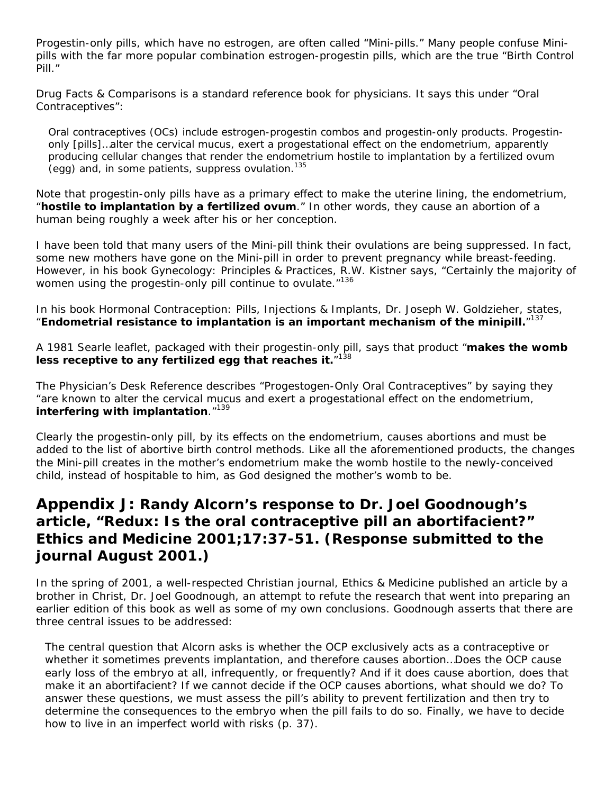Progestin-only pills, which have no estrogen, are often called "Mini-pills." Many people confuse Minipills with the far more popular combination estrogen-progestin pills, which are the true "Birth Control Pill."

*Drug Facts & Comparisons* is a standard reference book for physicians*.* It says this under "Oral Contraceptives":

Oral contraceptives (OCs) include estrogen-progestin combos and progestin-only products. Progestinonly [pills]…alter the cervical mucus, exert a progestational effect on the endometrium, apparently producing cellular changes that render the endometrium hostile to implantation by a fertilized ovum (egg) and, in some patients, suppress ovulation.<sup>[135](#page-88-2)</sup>

Note that progestin-only pills have as a primary effect to make the uterine lining, the endometrium, "**hostile to implantation by a fertilized ovum**." In other words, they cause an abortion of a human being roughly a week after his or her conception.

I have been told that many users of the Mini-pill think their ovulations are being suppressed. In fact, some new mothers have gone on the Mini-pill in order to prevent pregnancy while breast-feeding. However, in his book *Gynecology: Principles & Practices*, R.W. Kistner says, "Certainly the majority of women using the progestin-only pill continue to ovulate."<sup>[136](#page-88-3)</sup>

In his book *Hormonal Contraception: Pills, Injections & Implants*, Dr. Joseph W. Goldzieher, states, "**Endometrial resistance to implantation is an important mechanism of the minipill.**" [137](#page-88-4)

A 1981 Searle leaflet, packaged with their progestin-only pill, says that product "**makes the womb less receptive to any fertilized egg that reaches it.**" [138](#page-88-5)

*The Physician's Desk Reference* describes "Progestogen-Only Oral Contraceptives" by saying they "are known to alter the cervical mucus and exert a progestational effect on the endometrium, **interfering with implantation**.["139](#page-88-6)

Clearly the progestin-only pill, by its effects on the endometrium, causes abortions and must be added to the list of abortive birth control methods. Like all the aforementioned products, the changes the Mini-pill creates in the mother's endometrium make the womb hostile to the newly-conceived child, instead of hospitable to him, as God designed the mother's womb to be.

#### *Appendix J: Randy Alcorn's response to Dr. Joel Goodnough's article, "Redux: Is the oral contraceptive pill an abortifacient?" Ethics and Medicine 2001;17:37-51. (Response submitted to the journal August 2001.)*

In the spring of 2001, a well-respected Christian journal, *Ethics & Medicine* published an article by a brother in Christ, Dr. Joel Goodnough, an attempt to refute the research that went into preparing an earlier edition of this book as well as some of my own conclusions. Goodnough asserts that there are three central issues to be addressed:

The central question that Alcorn asks is whether the OCP exclusively acts as a contraceptive or whether it sometimes prevents implantation, and therefore causes abortion…Does the OCP cause early loss of the embryo at all, infrequently, or frequently? And if it does cause abortion, does that make it an abortifacient? If we cannot decide if the OCP causes abortions, what should we do? To answer these questions, we must assess the pill's ability to prevent fertilization and then try to determine the consequences to the embryo when the pill fails to do so. Finally, we have to decide how to live in an imperfect world with risks (p. 37).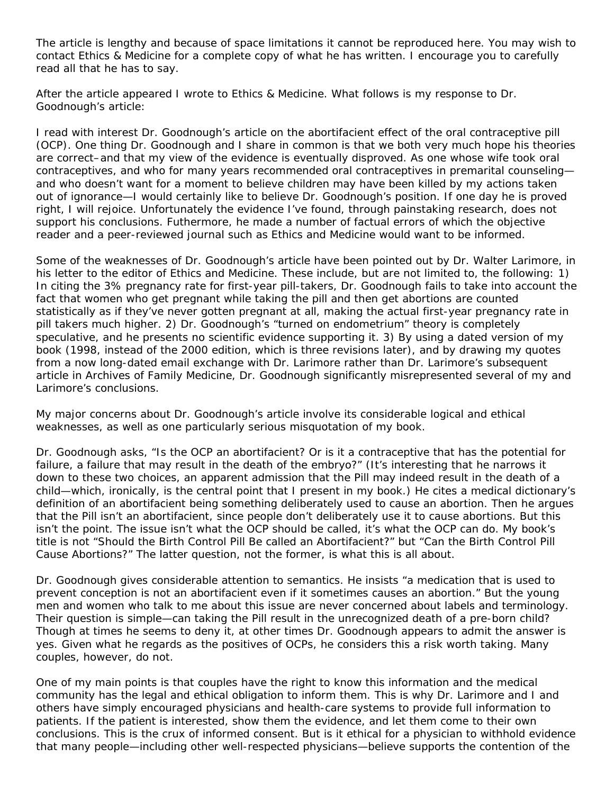The article is lengthy and because of space limitations it cannot be reproduced here. You may wish to contact *Ethics & Medicine* for a complete copy of what he has written. I encourage you to carefully read all that he has to say.

After the article appeared I wrote to *Ethics & Medicine*. What follows is my response to Dr. Goodnough's article:

I read with interest Dr. Goodnough's article on the abortifacient effect of the oral contraceptive pill (OCP). One thing Dr. Goodnough and I share in common is that we both very much hope his theories are correct–and that my view of the evidence is eventually disproved. As one whose wife took oral contraceptives, and who for many years recommended oral contraceptives in premarital counseling and who doesn't want for a moment to believe children may have been killed by my actions taken out of ignorance—I would certainly like to believe Dr. Goodnough's position. If one day he is proved right, I will rejoice. Unfortunately the evidence I've found, through painstaking research, does not support his conclusions. Futhermore, he made a number of factual errors of which the objective reader and a peer-reviewed journal such as *Ethics and Medicine* would want to be informed.

Some of the weaknesses of Dr. Goodnough's article have been pointed out by Dr. Walter Larimore, in his letter to the editor of *Ethics and Medicine*. These include, but are not limited to, the following: 1) In citing the 3% pregnancy rate for first-year pill-takers, Dr. Goodnough fails to take into account the fact that women who get pregnant while taking the pill and then get abortions are counted statistically as if they've never gotten pregnant at all, making the actual first-year pregnancy rate in pill takers much higher. 2) Dr. Goodnough's "turned on endometrium" theory is completely speculative, and he presents no scientific evidence supporting it. 3) By using a dated version of my book (1998, instead of the 2000 edition, which is three revisions later), and by drawing my quotes from a now long-dated email exchange with Dr. Larimore rather than Dr. Larimore's subsequent article in *Archives of Family Medicine*, Dr. Goodnough significantly misrepresented several of my and Larimore's conclusions.

My major concerns about Dr. Goodnough's article involve its considerable logical and ethical weaknesses, as well as one particularly serious misquotation of my book.

Dr. Goodnough asks, "Is the OCP an abortifacient? Or is it a contraceptive that has the potential for failure, a failure that may result in the death of the embryo?" (It's interesting that he narrows it down to these two choices, an apparent admission that the Pill may indeed result in the death of a child—which, ironically, is the central point that I present in my book.) He cites a medical dictionary's definition of an abortifacient being something deliberately used to cause an abortion. Then he argues that the Pill isn't an abortifacient, since people don't deliberately use it to cause abortions. But this isn't the point. The issue isn't what the OCP should be called, it's what the OCP can do. My book's title is not "Should the Birth Control Pill Be called an Abortifacient?" but "Can the Birth Control Pill Cause Abortions?" The latter question, not the former, is what this is all about.

Dr. Goodnough gives considerable attention to semantics. He insists "a medication that is used to prevent conception is not an abortifacient even if it sometimes causes an abortion." But the young men and women who talk to me about this issue are never concerned about labels and terminology. Their question is simple—can taking the Pill result in the unrecognized death of a pre-born child? Though at times he seems to deny it, at other times Dr. Goodnough appears to admit the answer is yes. Given what he regards as the positives of OCPs, he considers this a risk worth taking. Many couples, however, do not.

One of my main points is that couples have the right to know this information and the medical community has the legal and ethical obligation to inform them. This is why Dr. Larimore and I and others have simply encouraged physicians and health-care systems to provide full information to patients. If the patient is interested, show them the evidence, and let them come to their own conclusions. This is the crux of informed consent. But is it ethical for a physician to withhold evidence that many people—including other well-respected physicians—believe supports the contention of the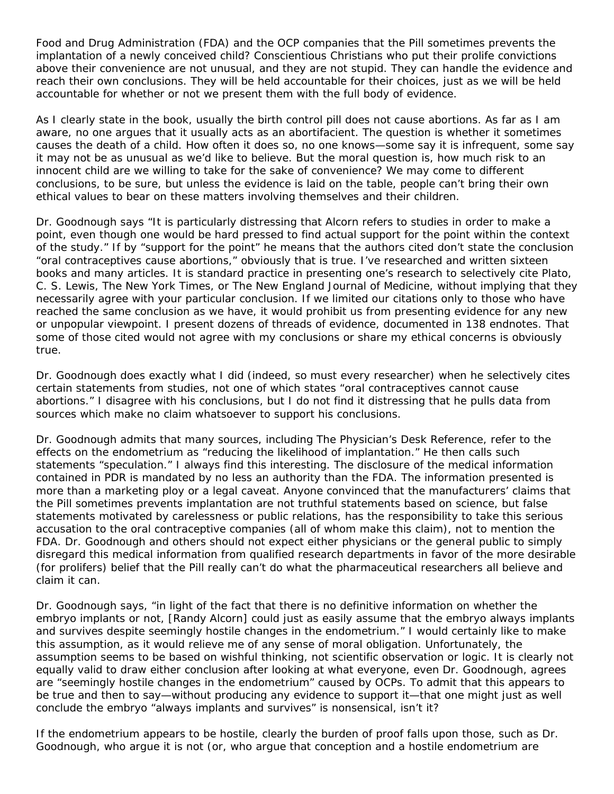Food and Drug Administration (FDA) and the OCP companies that the Pill sometimes prevents the implantation of a newly conceived child? Conscientious Christians who put their prolife convictions above their convenience are not unusual, and they are not stupid. They can handle the evidence and reach their own conclusions. They will be held accountable for their choices, just as we will be held accountable for whether or not we present them with the full body of evidence.

As I clearly state in the book, usually the birth control pill does *not* cause abortions. As far as I am aware, no one argues that it usually acts as an abortifacient. The question is whether it *sometimes*  causes the death of a child. How often it does so, no one knows—some say it is infrequent, some say it may not be as unusual as we'd like to believe. But the moral question is, how much risk to an innocent child are we willing to take for the sake of convenience? We may come to different conclusions, to be sure, but unless the evidence is laid on the table, people can't bring their own ethical values to bear on these matters involving themselves and their children.

Dr. Goodnough says "It is particularly distressing that Alcorn refers to studies in order to make a point, even though one would be hard pressed to find actual support for the point within the context of the study." If by "support for the point" he means that the authors cited don't state the conclusion "oral contraceptives cause abortions," obviously that is true. I've researched and written sixteen books and many articles. It is standard practice in presenting one's research to selectively cite Plato, C. S. Lewis, *The New York Times*, or *The New England Journal of Medicine*, without implying that they necessarily agree with your particular conclusion. If we limited our citations only to those who have reached the same conclusion as we have, it would prohibit us from presenting evidence for any new or unpopular viewpoint. I present dozens of threads of evidence, documented in 138 endnotes. That some of those cited would not agree with my conclusions or share my ethical concerns is obviously true.

Dr. Goodnough does exactly what I did (indeed, so must every researcher) when he selectively cites certain statements from studies, not one of which states "oral contraceptives cannot cause abortions." I disagree with his conclusions, but I do not find it distressing that he pulls data from sources which make no claim whatsoever to support his conclusions.

Dr. Goodnough admits that many sources, including *The Physician's Desk Reference,* refer to the effects on the endometrium as "reducing the likelihood of implantation." He then calls such statements "speculation." I always find this interesting. The disclosure of the medical information contained in *PDR* is mandated by no less an authority than the FDA. The information presented is more than a marketing ploy or a legal caveat. Anyone convinced that the manufacturers' claims that the Pill sometimes prevents implantation are not truthful statements based on science, but false statements motivated by carelessness or public relations, has the responsibility to take this serious accusation to the oral contraceptive companies (all of whom make this claim), not to mention the FDA. Dr. Goodnough and others should *not* expect either physicians or the general public to simply disregard this medical information from qualified research departments in favor of the more desirable (for prolifers) belief that the Pill really can't do what the pharmaceutical researchers all believe and claim it can.

Dr. Goodnough says, "in light of the fact that there is no definitive information on whether the embryo implants or not, [Randy Alcorn] could just as easily assume that the embryo always implants and survives despite seemingly hostile changes in the endometrium." I would certainly like to make this assumption, as it would relieve me of any sense of moral obligation. Unfortunately, the assumption seems to be based on wishful thinking, not scientific observation or logic. It is clearly *not*  equally valid to draw either conclusion after looking at what everyone, even Dr. Goodnough, agrees are "seemingly hostile changes in the endometrium" caused by OCPs. To admit that this appears to be true and then to say—without producing any evidence to support it—that one might just as well conclude the embryo "always implants and survives" is nonsensical, isn't it?

If the endometrium appears to be hostile, clearly the burden of proof falls upon those, such as Dr. Goodnough, who argue it is not (or, who argue that conception and a hostile endometrium are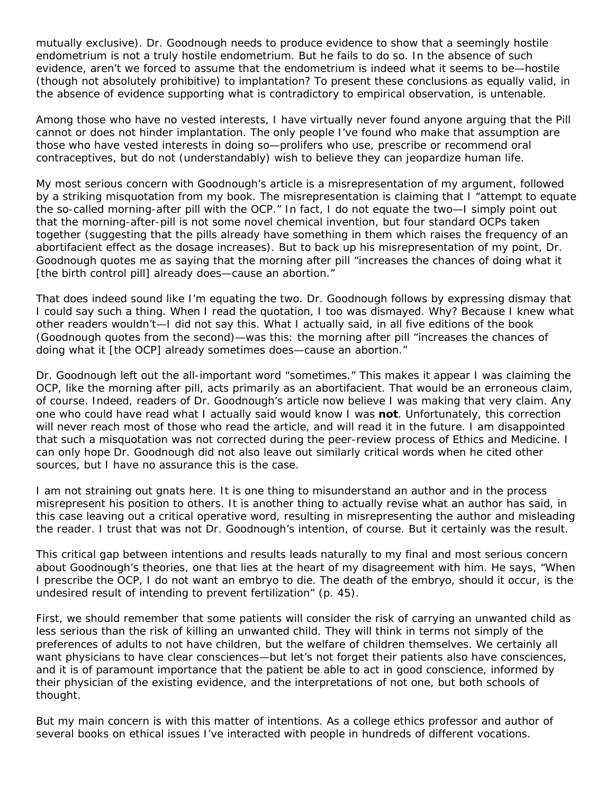mutually exclusive). Dr. Goodnough needs to produce evidence to show that a *seemingly* hostile endometrium is not a *truly* hostile endometrium. But he fails to do so. In the absence of such evidence, aren't we forced to assume that the endometrium is indeed what it seems to be—hostile (though not absolutely prohibitive) to implantation? To present these conclusions as equally valid, in the absence of evidence supporting what is contradictory to empirical observation, is untenable.

Among those who have no vested interests, I have virtually never found anyone arguing that the Pill cannot or does not hinder implantation. The *only* people I've found who make that assumption are those who have vested interests in doing so—prolifers who use, prescribe or recommend oral contraceptives, but do not (understandably) wish to believe they can jeopardize human life.

My most serious concern with Goodnough's article is a misrepresentation of my argument, followed by a striking misquotation from my book. The misrepresentation is claiming that I "attempt to equate the so-called morning-after pill with the OCP." In fact, I do *not* equate the two—I simply point out that the morning-after-pill is not some novel chemical invention, but four standard OCPs taken together (suggesting that the pills already have something in them which raises the frequency of an abortifacient effect as the dosage increases). But to back up his misrepresentation of my point, Dr. Goodnough quotes me as saying that the morning after pill "increases the chances of doing what it [the birth control pill] already does-cause an abortion."

That does indeed sound like I'm equating the two. Dr. Goodnough follows by expressing dismay that I could say such a thing. When I read the quotation, I too was dismayed. Why? Because I knew what other readers wouldn't—I did *not* say this. What I actually said, in all five editions of the book (Goodnough quotes from the second)—was this: the morning after pill "increases the chances of doing what it [the OCP] already *sometimes* does—cause an abortion."

Dr. Goodnough left out the all-important word "sometimes." This makes it appear I was claiming the OCP, like the morning after pill, acts primarily as an abortifacient. That would be an erroneous claim, of course. Indeed, readers of Dr. Goodnough's article now believe I was making that very claim. Any one who could have read what I actually said would know I was *not*. Unfortunately, this correction will never reach most of those who read the article, and will read it in the future. I am disappointed that such a misquotation was not corrected during the peer-review process of *Ethics and Medicine*. I can only hope Dr. Goodnough did not also leave out similarly critical words when he cited other sources, but I have no assurance this is the case.

I am not straining out gnats here. It is one thing to misunderstand an author and in the process misrepresent his position to others. It is another thing to actually revise what an author has said, in this case leaving out a critical operative word, resulting in misrepresenting the author and misleading the reader. I trust that was not Dr. Goodnough's *intention*, of course. But it certainly was the *result*.

This critical gap between intentions and results leads naturally to my final and most serious concern about Goodnough's theories, one that lies at the heart of my disagreement with him. He says, "When I prescribe the OCP, I do not want an embryo to die. The death of the embryo, should it occur, is the undesired result of intending to prevent fertilization" (p. 45).

First, we should remember that some patients will consider the risk of carrying an unwanted child as less serious than the risk of killing an unwanted child. They will think in terms not simply of the preferences of adults to not have children, but the welfare of children themselves. We certainly all want physicians to have clear consciences—but let's not forget their patients also have consciences, and it is of paramount importance that the patient be able to act in good conscience, informed by their physician of the existing evidence, and the interpretations of not one, but both schools of thought.

But my main concern is with this matter of intentions. As a college ethics professor and author of several books on ethical issues I've interacted with people in hundreds of different vocations.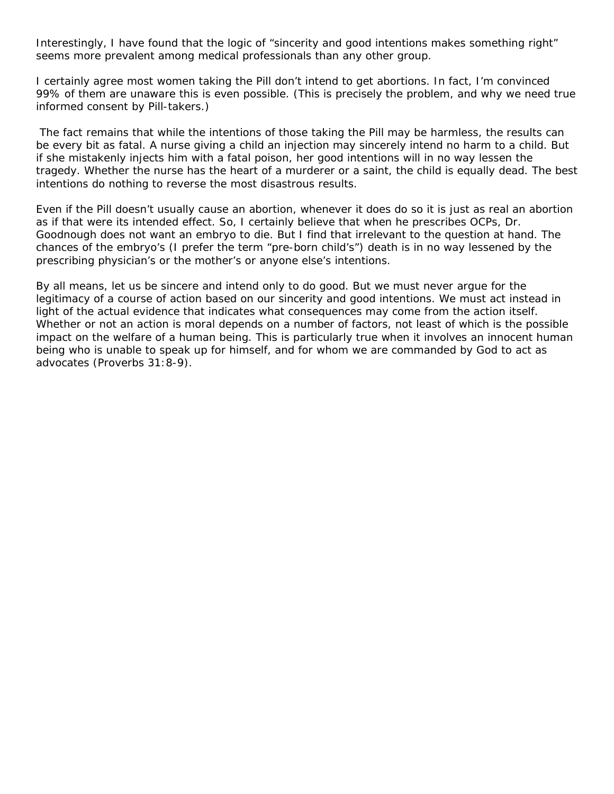Interestingly, I have found that the logic of "sincerity and good intentions makes something right" seems more prevalent among medical professionals than any other group.

I certainly agree most women taking the Pill don't intend to get abortions. In fact, I'm convinced 99% of them are unaware this is even possible. (This is precisely the problem, and why we need true informed consent by Pill-takers.)

 The fact remains that while the *intentions* of those taking the Pill may be harmless, the *results* can be every bit as fatal. A nurse giving a child an injection may sincerely intend no harm to a child. But if she mistakenly injects him with a fatal poison, her good intentions will in no way lessen the tragedy. Whether the nurse has the heart of a murderer or a saint, the child is equally dead. The best intentions do nothing to reverse the most disastrous results.

Even if the Pill doesn't usually cause an abortion, whenever it *does* do so it is just as real an abortion as if that were its intended effect. So, I certainly believe that when he prescribes OCPs, Dr. Goodnough does not want an embryo to die. But I find that irrelevant to the question at hand. The chances of the embryo's (I prefer the term "pre-born child's") death is in no way lessened by the prescribing physician's or the mother's or anyone else's intentions.

By all means, let us be sincere and intend only to do good. But we must never argue for the legitimacy of a course of action based on our sincerity and good intentions. We must act instead in light of the actual evidence that indicates what consequences may come from the action itself. Whether or not an action is moral depends on a number of factors, not least of which is the possible impact on the welfare of a human being. This is particularly true when it involves an innocent human being who is unable to speak up for himself, and for whom we are commanded by God to act as advocates (Proverbs 31:8-9).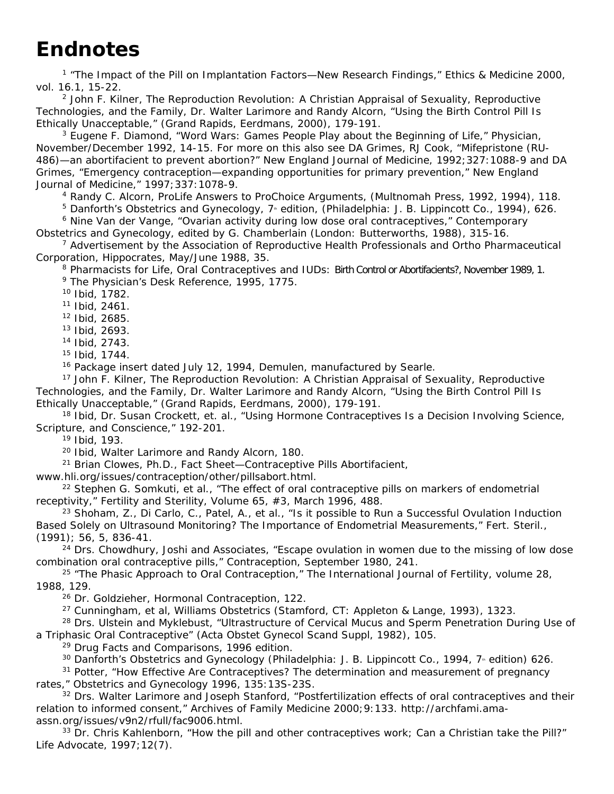# **Endnotes**

 1 "The Impact of the Pill on Implantation Factors—New Research Findings," *Ethics & Medicine 2000*, vol. 16.1, 15-22.

 2 John F. Kilner, *The Reproduction Revolution: A Christian Appraisal of Sexuality, Reproductive Technologies, and the Family,* Dr. Walter Larimore and Randy Alcorn, "Using the Birth Control Pill Is Ethically Unacceptable," (Grand Rapids, Eerdmans, 2000), 179-191.

 3 Eugene F. Diamond, "Word Wars: Games People Play about the Beginning of Life," *Physician,*  November/December 1992, 14-15. For more on this also see DA Grimes, RJ Cook, "Mifepristone (RU-486)—an abortifacient to prevent abortion?" *New England Journal of Medicine*, 1992;327:1088-9 and DA Grimes, "Emergency contraception—expanding opportunities for primary prevention," *New England Journal of Medicine*," 1997;337:1078-9.

4 Randy C. Alcorn, *ProLife Answers to ProChoice Arguments*, (Multnomah Press, 1992, 1994), 118.

<sup>5</sup> Danforth's Obstetrics and Gynecology, 7<sup>th</sup> edition, (Philadelphia: J. B. Lippincott Co., 1994), 626.

 6 Nine Van der Vange, "Ovarian activity during low dose oral contraceptives," *Contemporary Obstetrics and Gynecology*, edited by G. Chamberlain (London: Butterworths, 1988), 315-16.

 $<sup>7</sup>$  Advertisement by the Association of Reproductive Health Professionals and Ortho Pharmaceutical</sup> Corporation, *Hippocrates*, May/June 1988, 35.

 8 Pharmacists for Life, *Oral Contraceptives and IUDs: Birth Control or Abortifacients?,* November 1989, 1. <sup>9</sup> *The Physician's Desk Reference,* 1995, 1775.

10 Ibid, 1782.

11 Ibid, 2461.

12 Ibid, 2685.

13 Ibid, 2693.

14 Ibid, 2743.

15 Ibid, 1744.

<sup>16</sup> Package insert dated July 12, 1994, Demulen, manufactured by Searle.

 17 John F. Kilner, *The Reproduction Revolution: A Christian Appraisal of Sexuality, Reproductive Technologies, and the Family,* Dr. Walter Larimore and Randy Alcorn, "Using the Birth Control Pill Is Ethically Unacceptable," (Grand Rapids, Eerdmans, 2000), 179-191.

<sup>18</sup> Ibid, Dr. Susan Crockett, et. al., "Using Hormone Contraceptives Is a Decision Involving Science, Scripture, and Conscience," 192-201.

19 Ibid, 193.

20 Ibid, Walter Larimore and Randy Alcorn, 180.

21 Brian Clowes, Ph.D., Fact Sheet—*Contraceptive Pills Abortifacient*,

www.hli.org/issues/contraception/other/pillsabort.html.

 $22$  Stephen G. Somkuti, et al., "The effect of oral contraceptive pills on markers of endometrial receptivity," *Fertility and Sterility*, Volume 65, #3, March 1996, 488.

 23 Shoham, Z., Di Carlo, C., Patel, A., *et al.,* "Is it possible to Run a Successful Ovulation Induction Based Solely on Ultrasound Monitoring? The Importance of Endometrial Measurements," *Fert. Steril*., (1991); 56, 5, 836-41.

 $24$  Drs. Chowdhury, Joshi and Associates, "Escape ovulation in women due to the missing of low dose combination oral contraceptive pills," *Contraception*, September 1980, 241.

 25 "The Phasic Approach to Oral Contraception," *The International Journal of Fertility*, volume 28, 1988, 129.

26 Dr. Goldzieher, *Hormonal Contraception*, 122.

27 Cunningham, et al, *Williams Obstetrics* (Stamford, CT: Appleton & Lange, 1993), 1323.

<sup>28</sup> Drs. Ulstein and Myklebust, "Ultrastructure of Cervical Mucus and Sperm Penetration During Use of a Triphasic Oral Contraceptive" (*Acta Obstet Gynecol Scand Suppl,* 1982), 105.

<sup>29</sup> *Drug Facts and Comparisons,* 1996 edition.

30 *Danforth's Obstetrics and Gynecology* (Philadelphia: J. B. Lippincott Co., 1994, 7<sup>th</sup> edition) 626.

<sup>31</sup> Potter, "How Effective Are Contraceptives? The determination and measurement of pregnancy

rates," *Obstetrics and Gynecology* 1996, 135:13S-23S.

32 Drs. Walter Larimore and Joseph Stanford, "Postfertilization effects of oral contraceptives and their relation to informed consent," *Archives of Family Medicine* 2000;9:133. http://archfami.amaassn.org/issues/v9n2/rfull/fac9006.html.

 $33$  Dr. Chris Kahlenborn, "How the pill and other contraceptives work; Can a Christian take the Pill?" *Life Advocate*, 1997;12(7).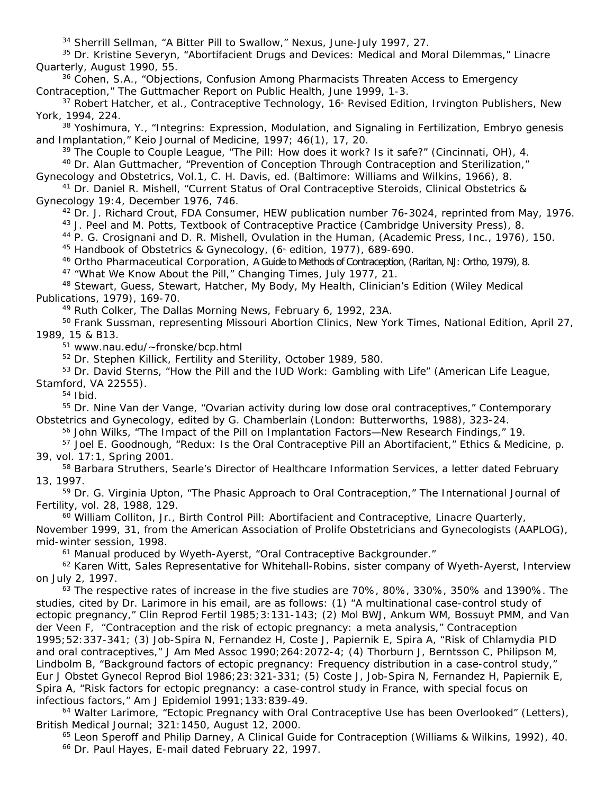34 Sherrill Sellman, "A Bitter Pill to Swallow," *Nexus*, June-July 1997, 27.

 35 Dr. Kristine Severyn, "Abortifacient Drugs and Devices: Medical and Moral Dilemmas," *Linacre Quarterly*, August 1990, 55.

<sup>36</sup> Cohen, S.A., "Objections, Confusion Among Pharmacists Threaten Access to Emergency Contraception," *The Guttmacher Report on Public Health, June 1999, 1-3*. 37 Robert Hatcher, *et al*., *Contraceptive Technology,* 16th Revised Edition, Irvington Publishers, New

York, 1994, 224.

<sup>38</sup> Yoshimura, Y., "Integrins: Expression, Modulation, and Signaling in Fertilization, Embryo genesis and Implantation," *Keio Journal of Medicine*, 1997; 46(1), 17, 20.

 $39$  The Couple to Couple League, "The Pill: How does it work? Is it safe?" (Cincinnati, OH), 4.

 40 Dr. Alan Guttmacher, "Prevention of Conception Through Contraception and Sterilization," *Gynecology and Obstetrics*, Vol.1, C. H. Davis, ed. (Baltimore: Williams and Wilkins, 1966), 8.

 41 Dr. Daniel R. Mishell, "Current Status of Oral Contraceptive Steroids, *Clinical Obstetrics & Gynecology* 19:4, December 1976, 746.

 42 Dr. J. Richard Crout, *FDA Consumer*, HEW publication number 76-3024, reprinted from May, 1976. 43 J. Peel and M. Potts, *Textbook of Contraceptive Practice* (Cambridge University Press), 8.

44 P. G. Crosignani and D. R. Mishell, *Ovulation in the Human*, (Academic Press, Inc., 1976), 150.

<sup>45</sup> Handbook of Obstetrics & Gynecology, (6<sup>th</sup> edition, 1977), 689-690.

46 Ortho Pharmaceutical Corporation, *A Guide to Methods of Contraception*, (Raritan, NJ: Ortho, 1979), 8.

47 "What We Know About the Pill," *Changing Times*, July 1977, 21.

 48 Stewart, Guess, Stewart, Hatcher, *My Body, My Health*, Clinician's Edition (Wiley Medical Publications, 1979), 169-70.

49 Ruth Colker, *The Dallas Morning News*, February 6, 1992, 23A.

<sup>50</sup> Frank Sussman, representing Missouri Abortion Clinics, New York Times, National Edition, April 27, 1989, 15 & B13.

51 www.nau.edu/~fronske/bcp.html

52 Dr. Stephen Killick, *Fertility and Sterility*, October 1989, 580.

 53 Dr. David Sterns, "*How the Pill and the IUD Work: Gambling with Life"* (American Life League, Stamford, VA 22555).

 $54$  Ibid.

 55 Dr. Nine Van der Vange, "Ovarian activity during low dose oral contraceptives," *Contemporary Obstetrics and Gynecology*, edited by G. Chamberlain (London: Butterworths, 1988), 323-24.

<sup>56</sup> John Wilks, "The Impact of the Pill on Implantation Factors—New Research Findings," 19.

<sup>57</sup> Joel E. Goodnough, "Redux: Is the Oral Contraceptive Pill an Abortifacient," *Ethics & Medicine,* p. 39, vol. 17:1, Spring 2001.

58 Barbara Struthers, Searle's Director of Healthcare Information Services, a letter dated February 13, 1997.

 59 Dr. G. Virginia Upton, "The Phasic Approach to Oral Contraception," *The International Journal of Fertility,* vol. 28, 1988, 129.

 60 William Colliton, Jr., *Birth Control Pill: Abortifacient and Contraceptive, Linacre Quarterly,*  November 1999, 31, from the American Association of Prolife Obstetricians and Gynecologists (AAPLOG), mid-winter session, 1998.

<sup>61</sup> Manual produced by Wyeth-Ayerst, "Oral Contraceptive Backgrounder."

<sup>62</sup> Karen Witt, Sales Representative for Whitehall-Robins, sister company of Wyeth-Ayerst, Interview on July 2, 1997.

<sup>63</sup> The respective rates of increase in the five studies are 70%, 80%, 330%, 350% and 1390%. The studies, cited by Dr. Larimore in his email, are as follows: (1) "A multinational case-control study of ectopic pregnancy," *Clin Reprod Fertil* 1985;3:131-143; (2) Mol BWJ, Ankum WM, Bossuyt PMM, and Van der Veen F, "Contraception and the risk of ectopic pregnancy: a meta analysis," *Contraception* 1995;52:337-341; (3) Job-Spira N, Fernandez H, Coste J, Papiernik E, Spira A, "Risk of Chlamydia PID and oral contraceptives," *J Am Med Assoc* 1990;264:2072-4; (4) Thorburn J, Berntsson C, Philipson M, Lindbolm B, "Background factors of ectopic pregnancy: Frequency distribution in a case-control study," *Eur J Obstet Gynecol Reprod Biol* 1986;23:321-331; (5) Coste J, Job-Spira N, Fernandez H, Papiernik E, Spira A, "Risk factors for ectopic pregnancy: a case-control study in France, with special focus on infectious factors," *Am J Epidemiol* 1991;133:839-49.

<sup>64</sup> Walter Larimore, "Ectopic Pregnancy with Oral Contraceptive Use has been Overlooked" (Letters), *British Medical Journal;* 321:1450, August 12, 2000.

 65 Leon Speroff and Philip Darney, *A Clinical Guide for Contraception* (Williams & Wilkins, 1992), 40. 66 Dr. Paul Hayes, E-mail dated February 22, 1997.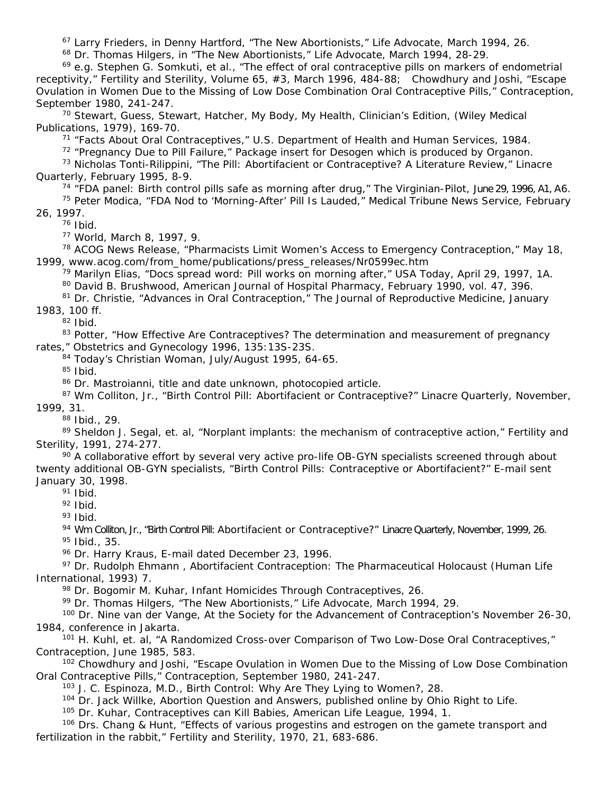67 Larry Frieders, in Denny Hartford, "The New Abortionists," *Life Advocate*, March 1994, 26.

68 Dr. Thomas Hilgers, in "The New Abortionists," *Life Advocate,* March 1994, 28-29.

 $69$  e.g. Stephen G. Somkuti, et al., "The effect of oral contraceptive pills on markers of endometrial receptivity," *Fertility and Sterility*, Volume 65, #3, March 1996, 484-88; Chowdhury and Joshi, "Escape Ovulation in Women Due to the Missing of Low Dose Combination Oral Contraceptive Pills," *Contraception*, September 1980, 241-247.

 70 Stewart, Guess, Stewart, Hatcher, My Body, *My Health*, Clinician's Edition, (Wiley Medical Publications, 1979), 169-70.

71 "Facts About Oral Contraceptives," U.S. Department of Health and Human Services, 1984.

 $72$  "Pregnancy Due to Pill Failure," Package insert for Desogen which is produced by Organon.

 73 Nicholas Tonti-Rilippini, "The Pill: Abortifacient or Contraceptive? A Literature Review," *Linacre Quarterly*, February 1995, 8-9.

74 "FDA panel: Birth control pills safe as morning after drug," *The Virginian-Pilot*, June 29, 1996, A1, A6.

 75 Peter Modica, "FDA Nod to 'Morning-After' Pill Is Lauded," *Medical Tribune News Service*, February 26, 1997.

76 Ibid.

<sup>77</sup> *World*, March 8, 1997, 9.

 $78$  ACOG News Release, "Pharmacists Limit Women's Access to Emergency Contraception," May 18, 1999, www.acog.com/from\_home/publications/press\_releases/Nr0599ec.htm

79 Marilyn Elias, "Docs spread word: Pill works on morning after," *USA Today,* April 29, 1997, 1A.

80 David B. Brushwood, *American Journal of Hospital Pharmacy*, February 1990, vol. 47, 396.

 81 Dr. Christie, "Advances in Oral Contraception," *The Journal of Reproductive Medicine,* January 1983, 100 ff.

 $82$  Ibid.

83 Potter, "How Effective Are Contraceptives? The determination and measurement of pregnancy rates," *Obstetrics and Gynecology* 1996, 135:13S-23S.

<sup>84</sup> *Today's Christian Woman*, July/August 1995, 64-65.

 $85$  Ibid.

86 Dr. Mastroianni, title and date unknown, photocopied article.

 87 Wm Colliton, Jr., "Birth Control Pill: Abortifacient or Contraceptive?" *Linacre Quarterly,* November, 1999, 31.

88 Ibid., 29.

 89 Sheldon J. Segal, et. al, "Norplant implants: the mechanism of contraceptive action," *Fertility and Sterility*, 1991, 274-277.

<sup>90</sup> A collaborative effort by several very active pro-life OB-GYN specialists screened through about twenty additional OB-GYN specialists, "Birth Control Pills: Contraceptive or Abortifacient?" E-mail sent January 30, 1998.

 $91$  Ibid.

 $92$  Ibid.

 $93$  Ibid.

 94 Wm Colliton, Jr., "Birth Control Pill: Abortifacient or Contraceptive?" *Linacre Quarterly,* November, 1999, 26. 95 Ibid., 35.

96 Dr. Harry Kraus, E-mail dated December 23, 1996.

 97 Dr. Rudolph Ehmann , *Abortifacient Contraception: The Pharmaceutical Holocaust* (Human Life International, 1993) 7.

98 Dr. Bogomir M. Kuhar, *Infant Homicides Through Contraceptives,* 26.

99 Dr. Thomas Hilgers, "The New Abortionists," *Life Advocate*, March 1994, 29.

<sup>100</sup> Dr. Nine van der Vange, At the Society for the Advancement of Contraception's November 26-30, 1984, conference in Jakarta.

<sup>101</sup> H. Kuhl, et. al, "A Randomized Cross-over Comparison of Two Low-Dose Oral Contraceptives," *Contraception*, June 1985, 583.

<sup>102</sup> Chowdhury and Joshi, "Escape Ovulation in Women Due to the Missing of Low Dose Combination Oral Contraceptive Pills," *Contraception*, September 1980, 241-247.

103 J. C. Espinoza, M.D., *Birth Control: Why Are They Lying to Women?,* 28.

104 Dr. Jack Willke, *Abortion Question and Answers*, published online by Ohio Right to Life.

105 Dr. Kuhar, *Contraceptives can Kill Babies*, American Life League, 1994, 1.

<sup>106</sup> Drs. Chang & Hunt, "Effects of various progestins and estrogen on the gamete transport and fertilization in the rabbit," *Fertility and Sterility*, 1970, 21, 683-686.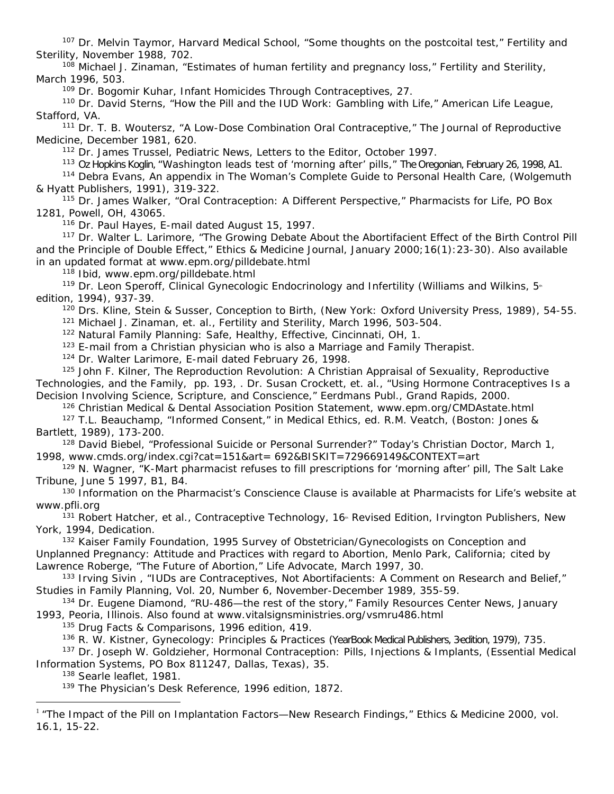107 Dr. Melvin Taymor, Harvard Medical School, "Some thoughts on the postcoital test," *Fertility and Sterility*, November 1988, 702.

 108 Michael J. Zinaman, "Estimates of human fertility and pregnancy loss," *Fertility and Sterility,* March 1996, 503.

109 Dr. Bogomir Kuhar, *Infant Homicides Through Contraceptives*, 27.

 110 Dr. David Sterns, "*How the Pill and the IUD Work: Gambling with Life*," American Life League, Stafford, VA.

 111 Dr. T. B. Woutersz, "A Low-Dose Combination Oral Contraceptive," *The Journal of Reproductive Medicine,* December 1981, 620.

112 Dr. James Trussel, *Pediatric News*, Letters to the Editor, October 1997.

113 Oz Hopkins Koglin, "Washington leads test of 'morning after' pills," *The Oregonian,* February 26, 1998, A1.

 114 Debra Evans, An appendix in *The Woman's Complete Guide to Personal Health Care*, (Wolgemuth & Hyatt Publishers, 1991), 319-322.

 115 Dr. James Walker, "*Oral Contraception: A Different Perspective*," Pharmacists for Life, PO Box 1281, Powell, OH, 43065.

116 Dr. Paul Hayes, E-mail dated August 15, 1997.

<sup>117</sup> Dr. Walter L. Larimore, "The Growing Debate About the Abortifacient Effect of the Birth Control Pill and the Principle of Double Effect," *Ethics & Medicine* Journal, January 2000;16(1):23-30). Also available in an updated format at www.epm.org/pilldebate.html

<sup>118</sup> Ibid, www.epm.org/pilldebate.html

<sup>119</sup> Dr. Leon Speroff, *Clinical Gynecologic Endocrinology and Infertility* (Williams and Wilkins, 5<sup>th</sup> edition, 1994), 937-39.

 120 Drs. Kline, Stein & Susser, *Conception to Birth*, (New York: Oxford University Press, 1989), 54-55. 121 Michael J. Zinaman, et. al., *Fertility and Sterility*, March 1996, 503-504.

<sup>122</sup> *Natural Family Planning: Safe, Healthy, Effective*, Cincinnati, OH, 1.

 $123$  E-mail from a Christian physician who is also a Marriage and Family Therapist.

124 Dr. Walter Larimore, E-mail dated February 26, 1998.

 125 John F. Kilner, *The Reproduction Revolution: A Christian Appraisal of Sexuality, Reproductive Technologies, and the Family, pp. 193, .* Dr. Susan Crockett, et. al., "Using Hormone Contraceptives Is a Decision Involving Science, Scripture, and Conscience," Eerdmans Publ., Grand Rapids, 2000.

126 Christian Medical & Dental Association Position Statement, www.epm.org/CMDAstate.html

 127 T.L. Beauchamp, "Informed Consent," in *Medical Ethics*, ed. R.M. Veatch, (Boston: Jones & Bartlett, 1989), 173-200.

 128 David Biebel, "Professional Suicide or Personal Surrender?" *Today's Christian Doctor*, March 1, 1998, www.cmds.org/index.cgi?cat=151&art= 692&BISKIT=729669149&CONTEXT=art

 129 N. Wagner, "K-Mart pharmacist refuses to fill prescriptions for 'morning after' pill, *The Salt Lake Tribune*, June 5 1997, B1, B4.

130 Information on the Pharmacist's Conscience Clause is available at Pharmacists for Life's website at www.pfli.org

131 Robert Hatcher, *et al., Contraceptive Technology*, 16<sup>\*</sup> Revised Edition, Irvington Publishers, New York, 1994, Dedication.

<sup>132</sup> Kaiser Family Foundation, 1995 Survey of Obstetrician/Gynecologists on Conception and Unplanned Pregnancy: Attitude and Practices with regard to Abortion, Menlo Park, California; cited by Lawrence Roberge, "The Future of Abortion," *Life Advocate*, March 1997, 30.

<sup>133</sup> Irving Sivin, "IUDs are Contraceptives, Not Abortifacients: A Comment on Research and Belief," *Studies in Family Planning*, Vol. 20, Number 6, November-December 1989, 355-59.

 134 Dr. Eugene Diamond, "RU-486—the rest of the story," *Family Resources Center News,* January 1993, Peoria, Illinois. Also found at www.vitalsignsministries.org/vsmru486.html

<sup>135</sup> *Drug Facts & Comparisons*, 1996 edition, 419.

<sup>136</sup> R. W. Kistner, *Gynecology: Principles & Practices* (YearBook Medical Publishers, 3edition, 1979), 735.

 137 Dr. Joseph W. Goldzieher, *Hormonal Contraception: Pills, Injections & Implants,* (Essential Medical Information Systems, PO Box 811247, Dallas, Texas), 35.

<sup>138</sup> Searle leaflet, 1981.

 $\overline{a}$ 

<sup>139</sup> *The Physician's Desk Reference*, 1996 edition, 1872.

<sup>&</sup>lt;sup>1</sup> "The Impact of the Pill on Implantation Factors—New Research Findings," *Ethics & Medicine 2000*, vol. 16.1, 15-22.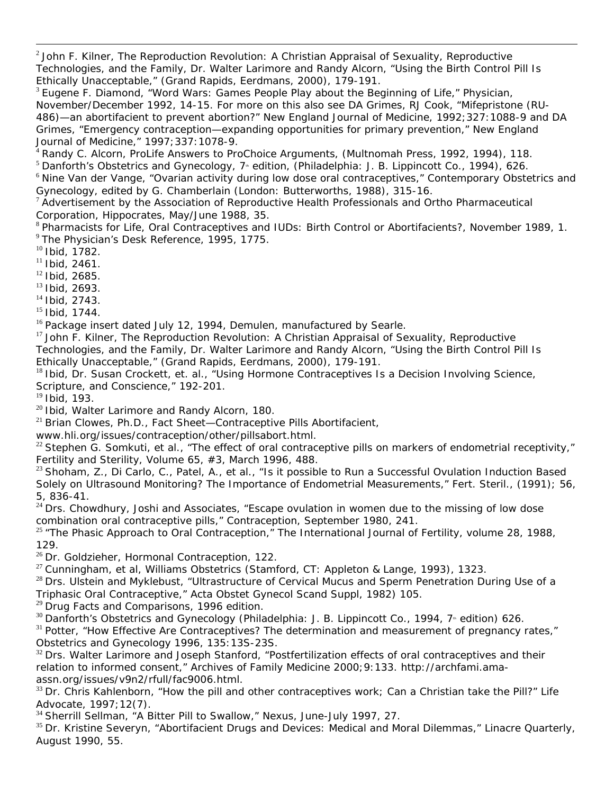2 John F. Kilner, *The Reproduction Revolution: A Christian Appraisal of Sexuality, Reproductive Technologies, and the Family,* Dr. Walter Larimore and Randy Alcorn, "Using the Birth Control Pill Is Ethically Unacceptable," (Grand Rapids, Eerdmans, 2000), 179-191.

<sup>3</sup> Eugene F. Diamond, "Word Wars: Games People Play about the Beginning of Life," *Physician,*  November/December 1992, 14-15. For more on this also see DA Grimes, RJ Cook, "Mifepristone (RU-486)—an abortifacient to prevent abortion?" *New England Journal of Medicine*, 1992;327:1088-9 and DA Grimes, "Emergency contraception—expanding opportunities for primary prevention," *New England Journal of Medicine*," 1997;337:1078-9.

<sup>4</sup> Randy C. Alcorn, *ProLife Answers to ProChoice Arguments*, (Multnomah Press, 1992, 1994), 118.

<sup>5</sup> Danforth's Obstetrics and Gynecology, 7<sup>th</sup> edition, (Philadelphia: J. B. Lippincott Co., 1994), 626.

<sup>6</sup> Nine Van der Vange, "Ovarian activity during low dose oral contraceptives," *Contemporary Obstetrics and Gynecology*, edited by G. Chamberlain (London: Butterworths, 1988), 315-16.

 $^7$  Advertisement by the Association of Reproductive Health Professionals and Ortho Pharmaceutical Corporation, *Hippocrates*, May/June 1988, 35.

<sup>8</sup> Pharmacists for Life, *Oral Contraceptives and IUDs: Birth Control or Abortifacients?,* November 1989, 1. <sup>9</sup> The Physician's Desk Reference, 1995, 1775.

 $10$  Ibid, 1782.

 $11$  Ibid, 2461.

 $12$  Ibid, 2685.

<sup>13</sup> Ibid, 2693.

 $14$  Ibid, 2743.

 $15$  Ibid, 1744.

<sup>16</sup> Package insert dated July 12, 1994, Demulen, manufactured by Searle.

<sup>17</sup> John F. Kilner, *The Reproduction Revolution: A Christian Appraisal of Sexuality, Reproductive Technologies, and the Family,* Dr. Walter Larimore and Randy Alcorn, "Using the Birth Control Pill Is Ethically Unacceptable," (Grand Rapids, Eerdmans, 2000), 179-191.

 $18$  Ibid, Dr. Susan Crockett, et. al., "Using Hormone Contraceptives Is a Decision Involving Science, Scripture, and Conscience," 192-201.

<sup>19</sup> Ibid, 193.

 $20$  Ibid, Walter Larimore and Randy Alcorn, 180.

<sup>21</sup> Brian Clowes, Ph.D., Fact Sheet—*Contraceptive Pills Abortifacient*,

www.hli.org/issues/contraception/other/pillsabort.html.

 $22$  Stephen G. Somkuti, et al., "The effect of oral contraceptive pills on markers of endometrial receptivity," *Fertility and Sterility*, Volume 65, #3, March 1996, 488.

<sup>23</sup> Shoham, Z., Di Carlo, C., Patel, A., *et al.,* "Is it possible to Run a Successful Ovulation Induction Based Solely on Ultrasound Monitoring? The Importance of Endometrial Measurements," *Fert. Steril*., (1991); 56, 5, 836-41.

 $24$  Drs. Chowdhury, Joshi and Associates, "Escape ovulation in women due to the missing of low dose combination oral contraceptive pills," *Contraception*, September 1980, 241.

<sup>25</sup> "The Phasic Approach to Oral Contraception," *The International Journal of Fertility*, volume 28, 1988, 129.

<sup>26</sup> Dr. Goldzieher, *Hormonal Contraception*, 122.

<sup>27</sup> Cunningham, et al, *Williams Obstetrics* (Stamford, CT: Appleton & Lange, 1993), 1323.

<sup>28</sup> Drs. Ulstein and Myklebust, "Ultrastructure of Cervical Mucus and Sperm Penetration During Use of a Triphasic Oral Contraceptive," *Acta Obstet Gynecol Scand Suppl,* 1982) 105.

<sup>29</sup> *Drug Facts and Comparisons,* 1996 edition.

<sup>30</sup> Danforth's Obstetrics and Gynecology (Philadelphia: J. B. Lippincott Co., 1994, 7<sup>th</sup> edition) 626.

 $31$  Potter, "How Effective Are Contraceptives? The determination and measurement of pregnancy rates," *Obstetrics and Gynecology* 1996, 135:13S-23S.

 $32$  Drs. Walter Larimore and Joseph Stanford, "Postfertilization effects of oral contraceptives and their relation to informed consent," *Archives of Family Medicine* 2000;9:133. http://archfami.amaassn.org/issues/v9n2/rfull/fac9006.html.

<sup>33</sup> Dr. Chris Kahlenborn, "How the pill and other contraceptives work; Can a Christian take the Pill?" *Life Advocate*, 1997;12(7).

<sup>34</sup> Sherrill Sellman, "A Bitter Pill to Swallow," *Nexus*, June-July 1997, 27.

<sup>35</sup> Dr. Kristine Severyn, "Abortifacient Drugs and Devices: Medical and Moral Dilemmas," *Linacre Quarterly*, August 1990, 55.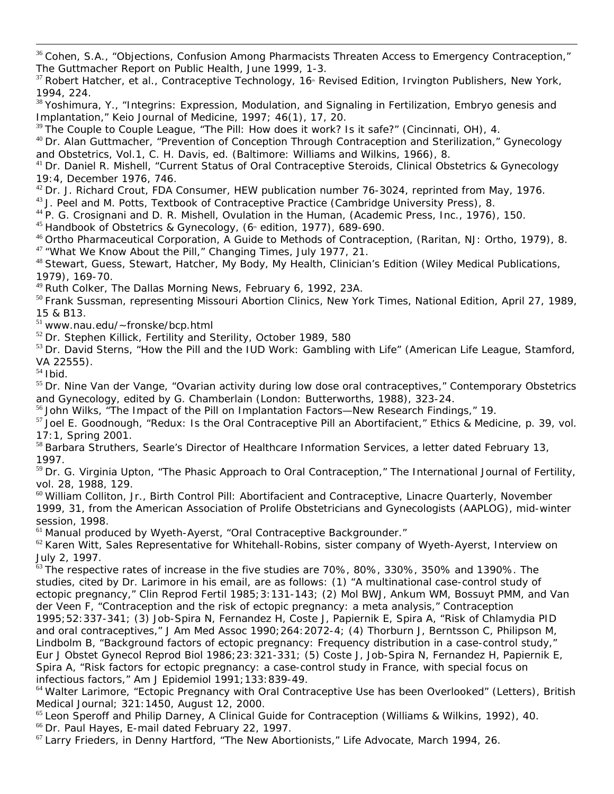<sup>36</sup> Cohen, S.A., "Objections, Confusion Among Pharmacists Threaten Access to Emergency Contraception," *The Guttmacher Report on Public Health, June 1999, 1-3*.

<sup>37</sup> Robert Hatcher, *et al., Contraceptive Technology*, 16<sup>\*</sup> Revised Edition, Irvington Publishers, New York, 1994, 224.

<sup>38</sup> Yoshimura, Y., "Integrins: Expression, Modulation, and Signaling in Fertilization, Embryo genesis and Implantation," *Keio Journal of Medicine*, 1997; 46(1), 17, 20.

 $39$  The Couple to Couple League, "The Pill: How does it work? Is it safe?" (Cincinnati, OH), 4.

<sup>40</sup> Dr. Alan Guttmacher, "Prevention of Conception Through Contraception and Sterilization," *Gynecology and Obstetrics*, Vol.1, C. H. Davis, ed. (Baltimore: Williams and Wilkins, 1966), 8.

<sup>41</sup> Dr. Daniel R. Mishell, "Current Status of Oral Contraceptive Steroids, *Clinical Obstetrics & Gynecology* 19:4, December 1976, 746.

<sup>42</sup> Dr. J. Richard Crout, *FDA Consumer*, HEW publication number 76-3024, reprinted from May, 1976.

<sup>43</sup> J. Peel and M. Potts, *Textbook of Contraceptive Practice* (Cambridge University Press), 8.

<sup>44</sup> P. G. Crosignani and D. R. Mishell, *Ovulation in the Human*, (Academic Press, Inc., 1976), 150.

<sup>45</sup> Handbook of Obstetrics & Gynecology, (6<sup>th</sup> edition, 1977), 689-690.

<sup>46</sup> Ortho Pharmaceutical Corporation, *A Guide to Methods of Contraception*, (Raritan, NJ: Ortho, 1979), 8. <sup>47</sup> "What We Know About the Pill," *Changing Times*, July 1977, 21.

<sup>48</sup> Stewart, Guess, Stewart, Hatcher, *My Body, My Health*, Clinician's Edition (Wiley Medical Publications, 1979), 169-70.

<sup>49</sup> Ruth Colker, *The Dallas Morning News*, February 6, 1992, 23A.

<sup>50</sup> Frank Sussman, representing Missouri Abortion Clinics, New York Times, National Edition, April 27, 1989, 15 & B13.

<sup>51</sup> www.nau.edu/~fronske/bcp.html

<sup>52</sup> Dr. Stephen Killick, *Fertility and Sterility*, October 1989, 580

<sup>53</sup> Dr. David Sterns, "*How the Pill and the IUD Work: Gambling with Life"* (American Life League, Stamford, VA 22555).

 $54$  Ibid.

<sup>55</sup> Dr. Nine Van der Vange, "Ovarian activity during low dose oral contraceptives," *Contemporary Obstetrics and Gynecology*, edited by G. Chamberlain (London: Butterworths, 1988), 323-24.

<sup>56</sup> John Wilks, "The Impact of the Pill on Implantation Factors—New Research Findings," 19.

<sup>57</sup> Joel E. Goodnough, "Redux: Is the Oral Contraceptive Pill an Abortifacient," *Ethics & Medicine,* p. 39, vol. 17:1, Spring 2001.

<sup>58</sup> Barbara Struthers, Searle's Director of Healthcare Information Services, a letter dated February 13, 1997.

<sup>59</sup> Dr. G. Virginia Upton, "The Phasic Approach to Oral Contraception," *The International Journal of Fertility,* vol. 28, 1988, 129.

<sup>60</sup> William Colliton, Jr., *Birth Control Pill: Abortifacient and Contraceptive, Linacre Quarterly,* November 1999, 31, from the American Association of Prolife Obstetricians and Gynecologists (AAPLOG), mid-winter session, 1998.

 $61$  Manual produced by Wyeth-Ayerst, "Oral Contraceptive Backgrounder."

 $62$  Karen Witt, Sales Representative for Whitehall-Robins, sister company of Wyeth-Ayerst, Interview on July 2, 1997.

 $^{63}$  The respective rates of increase in the five studies are 70%, 80%, 330%, 350% and 1390%. The studies, cited by Dr. Larimore in his email, are as follows: (1) "A multinational case-control study of ectopic pregnancy," *Clin Reprod Fertil* 1985;3:131-143; (2) Mol BWJ, Ankum WM, Bossuyt PMM, and Van der Veen F, "Contraception and the risk of ectopic pregnancy: a meta analysis," *Contraception* 1995;52:337-341; (3) Job-Spira N, Fernandez H, Coste J, Papiernik E, Spira A, "Risk of Chlamydia PID and oral contraceptives," *J Am Med Assoc* 1990;264:2072-4; (4) Thorburn J, Berntsson C, Philipson M, Lindbolm B, "Background factors of ectopic pregnancy: Frequency distribution in a case-control study," *Eur J Obstet Gynecol Reprod Biol* 1986;23:321-331; (5) Coste J, Job-Spira N, Fernandez H, Papiernik E, Spira A, "Risk factors for ectopic pregnancy: a case-control study in France, with special focus on infectious factors," *Am J Epidemiol* 1991;133:839-49.

<sup>64</sup> Walter Larimore, "Ectopic Pregnancy with Oral Contraceptive Use has been Overlooked" (Letters), *British Medical Journal;* 321:1450, August 12, 2000.

<sup>65</sup> Leon Speroff and Philip Darney, *A Clinical Guide for Contraception* (Williams & Wilkins, 1992), 40. <sup>66</sup> Dr. Paul Hayes, E-mail dated February 22, 1997.

<sup>67</sup> Larry Frieders, in Denny Hartford, "The New Abortionists," *Life Advocate*, March 1994, 26.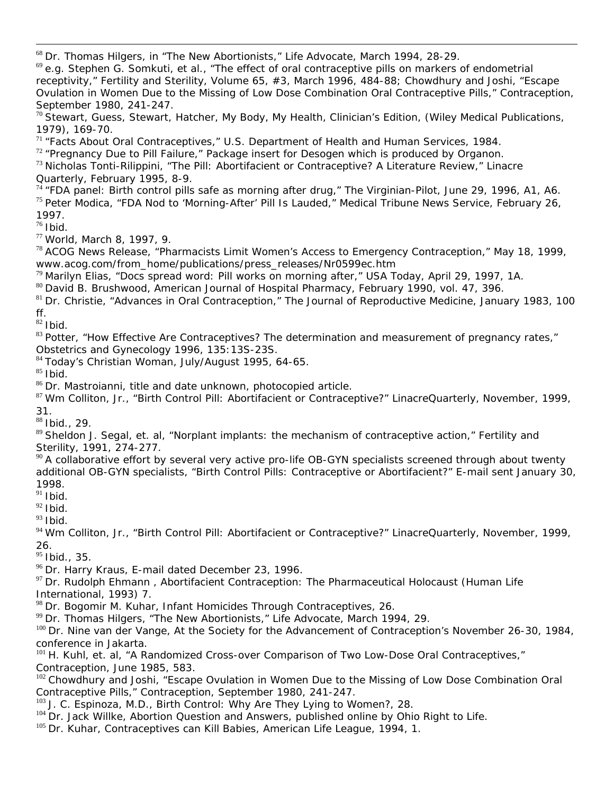68 Dr. Thomas Hilgers, in "The New Abortionists," *Life Advocate,* March 1994, 28-29.  $69$  e.g. Stephen G. Somkuti, et al., "The effect of oral contraceptive pills on markers of endometrial receptivity," *Fertility and Sterility*, Volume 65, #3, March 1996, 484-88; Chowdhury and Joshi, "Escape Ovulation in Women Due to the Missing of Low Dose Combination Oral Contraceptive Pills," *Contraception*, September 1980, 241-247. <sup>70</sup> Stewart, Guess, Stewart, Hatcher, My Body, *My Health*, Clinician's Edition, (Wiley Medical Publications, 1979), 169-70.  $71$  "Facts About Oral Contraceptives," U.S. Department of Health and Human Services, 1984.  $72$  "Pregnancy Due to Pill Failure," Package insert for Desogen which is produced by Organon. <sup>73</sup> Nicholas Tonti-Rilippini, "The Pill: Abortifacient or Contraceptive? A Literature Review," *Linacre Quarterly*, February 1995, 8-9. <sup>74</sup> "FDA panel: Birth control pills safe as morning after drug," *The Virginian-Pilot*, June 29, 1996, A1, A6. <sup>75</sup> Peter Modica, "FDA Nod to 'Morning-After' Pill Is Lauded," *Medical Tribune News Service*, February 26, 1997.  $76$  Ibid. <sup>77</sup> *World*, March 8, 1997, 9.  $78$  ACOG News Release, "Pharmacists Limit Women's Access to Emergency Contraception," May 18, 1999, www.acog.com/from\_home/publications/press\_releases/Nr0599ec.htm <sup>79</sup> Marilyn Elias, "Docs spread word: Pill works on morning after," *USA Today,* April 29, 1997, 1A. <sup>80</sup> David B. Brushwood, *American Journal of Hospital Pharmacy*, February 1990, vol. 47, 396. <sup>81</sup> Dr. Christie, "Advances in Oral Contraception," *The Journal of Reproductive Medicine,* January 1983, 100 ff.  $82$  Ibid. 83 Potter, "How Effective Are Contraceptives? The determination and measurement of pregnancy rates," *Obstetrics and Gynecology* 1996, 135:13S-23S. <sup>84</sup> *Today's Christian Woman*, July/August 1995, 64-65.  $85$  Ibid. <sup>86</sup> Dr. Mastroianni, title and date unknown, photocopied article. <sup>87</sup> Wm Colliton, Jr., "Birth Control Pill: Abortifacient or Contraceptive?" *LinacreQuarterly,* November, 1999, 31. <sup>88</sup> Ibid., 29. <sup>89</sup> Sheldon J. Segal, et. al, "Norplant implants: the mechanism of contraceptive action," *Fertility and Sterility*, 1991, 274-277.  $90$  A collaborative effort by several very active pro-life OB-GYN specialists screened through about twenty additional OB-GYN specialists, "Birth Control Pills: Contraceptive or Abortifacient?" E-mail sent January 30, 1998.  $91$  Ibid.  $92$  Ibid.  $93$  Ibid. <sup>94</sup> Wm Colliton, Jr., "Birth Control Pill: Abortifacient or Contraceptive?" *LinacreQuarterly,* November, 1999, 26. <sup>95</sup> Ibid., 35. <sup>96</sup> Dr. Harry Kraus, E-mail dated December 23, 1996. <sup>97</sup> Dr. Rudolph Ehmann , *Abortifacient Contraception: The Pharmaceutical Holocaust* (Human Life International, 1993) 7. <sup>98</sup> Dr. Bogomir M. Kuhar, *Infant Homicides Through Contraceptives,* 26. <sup>99</sup> Dr. Thomas Hilgers, "The New Abortionists," *Life Advocate*, March 1994, 29. <sup>100</sup> Dr. Nine van der Vange, At the Society for the Advancement of Contraception's November 26-30, 1984, conference in Jakarta. <sup>101</sup> H. Kuhl, et. al, "A Randomized Cross-over Comparison of Two Low-Dose Oral Contraceptives," *Contraception*, June 1985, 583.

<sup>102</sup> Chowdhury and Joshi, "Escape Ovulation in Women Due to the Missing of Low Dose Combination Oral Contraceptive Pills," *Contraception*, September 1980, 241-247.

<sup>103</sup> J. C. Espinoza, M.D., *Birth Control: Why Are They Lying to Women?,* 28.

<sup>104</sup> Dr. Jack Willke, *Abortion Question and Answers*, published online by Ohio Right to Life.

<sup>105</sup> Dr. Kuhar, *Contraceptives can Kill Babies*, American Life League, 1994, 1.